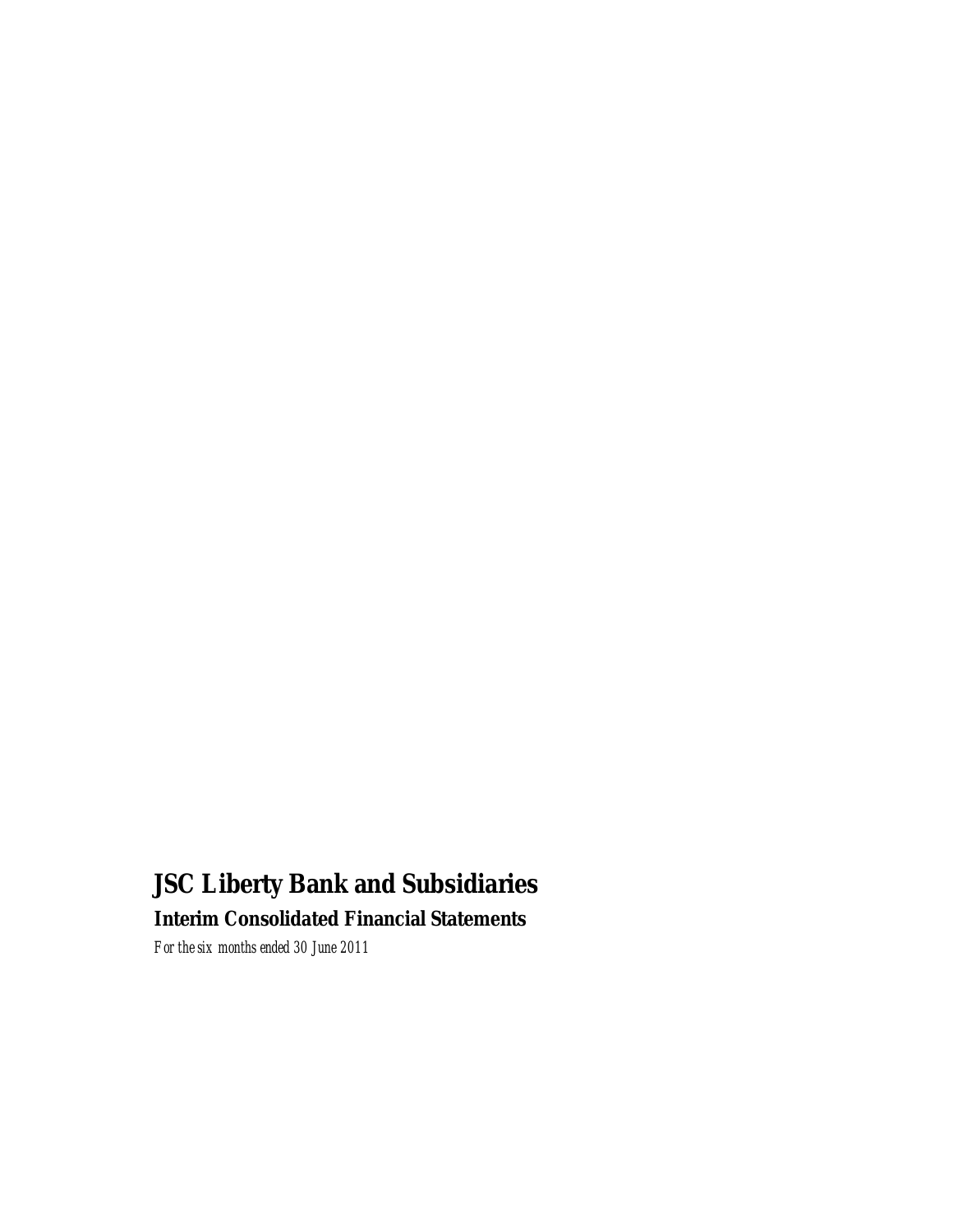# **JSC Liberty Bank and Subsidiaries Interim Consolidated Financial Statements**

*For the six months ended 30 June 2011*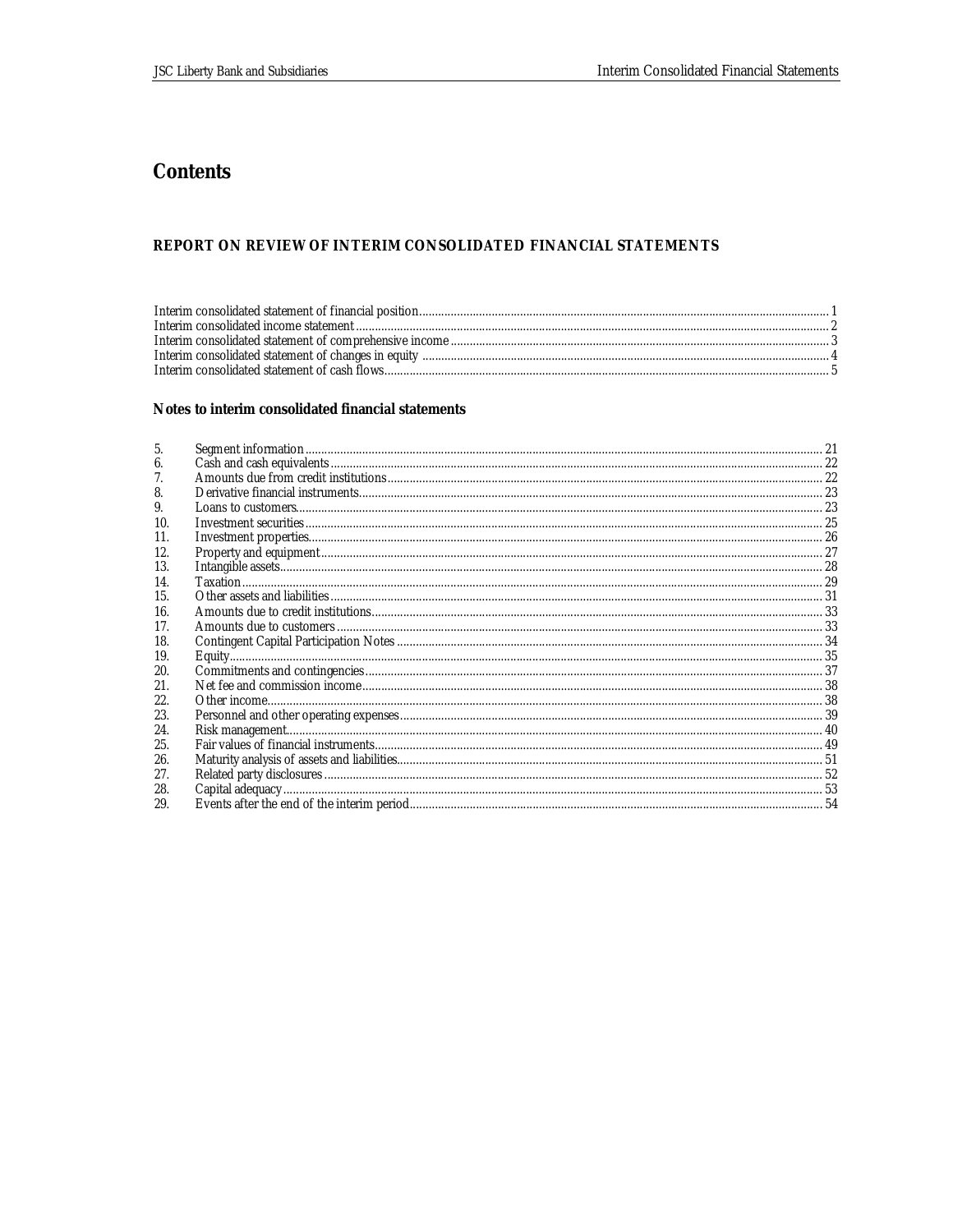# Contents

# REPORT ON REVIEW OF INTERIM CONSOLIDATED FINANCIAL STATEMENTS

Notes to interim consolidated financial statements

| 5.         |  |
|------------|--|
| b.         |  |
| $\prime$ . |  |
| 8.         |  |
| 9.         |  |
| 10.        |  |
| 11.        |  |
| 12.        |  |
| 13.        |  |
| 14.        |  |
| 15.        |  |
| 16.        |  |
| 17.        |  |
| 18.        |  |
| 19.        |  |
| 20.        |  |
| 21.        |  |
| 22.        |  |
| 23.        |  |
| 24.        |  |
| 25.        |  |
| 26.        |  |
| 27.        |  |
| 28.        |  |
| 29.        |  |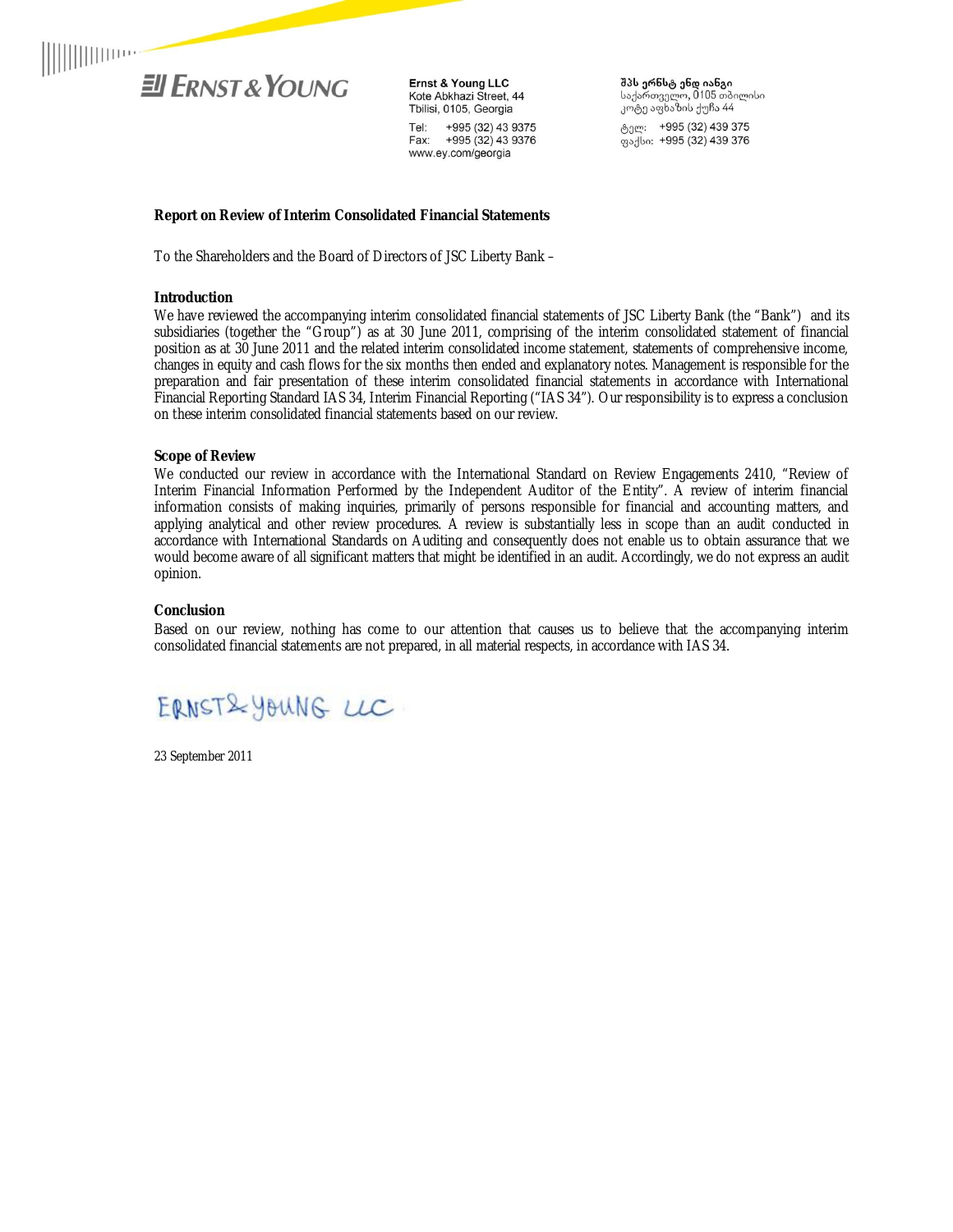

Ernst & Young LLC Kote Abkhazi Street, 44 Tbilisi, 0105, Georgia Tel: +995 (32) 43 9375 Fax: +995 (32) 43 9376 www.ey.com/georgia

**შპს ერნსტ ენდ იანგი**<br>საქართველო, 0105 თბილისი<br>კოტე აფხაზის ქუჩა 44

ტელ: +995 (32) 439 375 ფაქსი: +995 (32) 439 376

**Report on Review of Interim Consolidated Financial Statements** 

To the Shareholders and the Board of Directors of JSC Liberty Bank –

### **Introduction**

We have reviewed the accompanying interim consolidated financial statements of JSC Liberty Bank (the "Bank") and its subsidiaries (together the "Group") as at 30 June 2011, comprising of the interim consolidated statement of financial position as at 30 June 2011 and the related interim consolidated income statement, statements of comprehensive income, changes in equity and cash flows for the six months then ended and explanatory notes. Management is responsible for the preparation and fair presentation of these interim consolidated financial statements in accordance with International Financial Reporting Standard IAS 34, Interim Financial Reporting ("IAS 34"). Our responsibility is to express a conclusion on these interim consolidated financial statements based on our review.

### **Scope of Review**

We conducted our review in accordance with the International Standard on Review Engagements 2410, "Review of Interim Financial Information Performed by the Independent Auditor of the Entity". A review of interim financial information consists of making inquiries, primarily of persons responsible for financial and accounting matters, and applying analytical and other review procedures. A review is substantially less in scope than an audit conducted in accordance with International Standards on Auditing and consequently does not enable us to obtain assurance that we would become aware of all significant matters that might be identified in an audit. Accordingly, we do not express an audit opinion.

### **Conclusion**

Based on our review, nothing has come to our attention that causes us to believe that the accompanying interim consolidated financial statements are not prepared, in all material respects, in accordance with IAS 34.

ERNST& YOUNG LLC

23 September 2011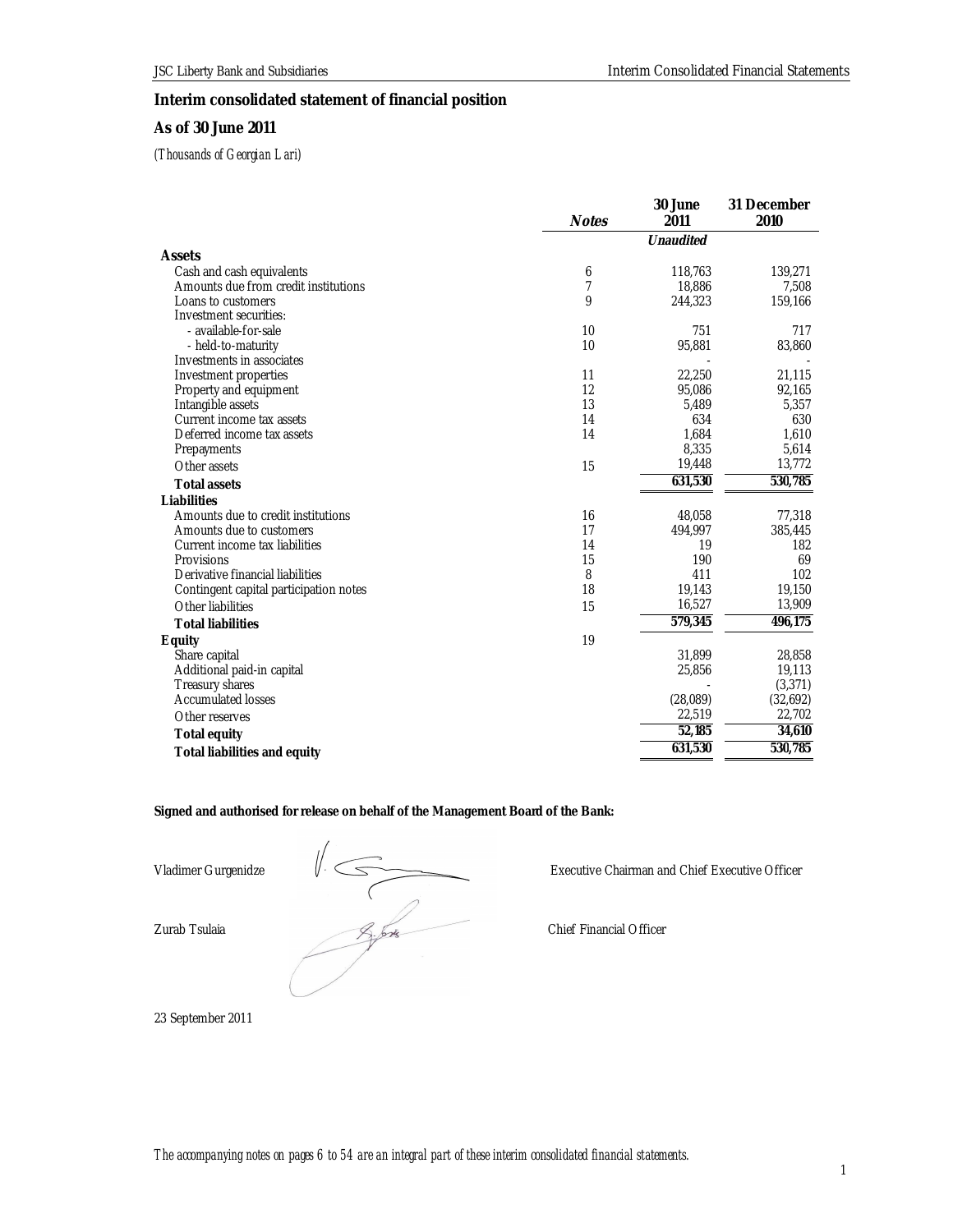# **Interim consolidated statement of financial position**

# **As of 30 June 2011**

# *(Thousands of Georgian Lari)*

|                                        |              | 30 June   | 31 December |
|----------------------------------------|--------------|-----------|-------------|
|                                        | <b>Notes</b> | 2011      | 2010        |
|                                        |              | Unaudited |             |
| Assets                                 |              |           |             |
| Cash and cash equivalents              | 6            | 118,763   | 139,271     |
| Amounts due from credit institutions   | 7            | 18,886    | 7,508       |
| Loans to customers                     | 9            | 244,323   | 159,166     |
| Investment securities:                 |              |           |             |
| - available-for-sale                   | 10           | 751       | 717         |
| - held-to-maturity                     | 10           | 95,881    | 83,860      |
| Investments in associates              |              |           |             |
| Investment properties                  | 11           | 22,250    | 21,115      |
| Property and equipment                 | 12           | 95,086    | 92,165      |
| Intangible assets                      | 13           | 5,489     | 5,357       |
| Current income tax assets              | 14           | 634       | 630         |
| Deferred income tax assets             | 14           | 1,684     | 1,610       |
| Prepayments                            |              | 8,335     | 5,614       |
| Other assets                           | 15           | 19,448    | 13,772      |
| <b>Total assets</b>                    |              | 631,530   | 530,785     |
| Liabilities                            |              |           |             |
| Amounts due to credit institutions     | 16           | 48.058    | 77,318      |
| Amounts due to customers               | 17           | 494,997   | 385,445     |
| Current income tax liabilities         | 14           | 19        | 182         |
| Provisions                             | 15           | 190       | 69          |
| Derivative financial liabilities       | 8            | 411       | 102         |
| Contingent capital participation notes | 18           | 19,143    | 19,150      |
| Other liabilities                      | 15           | 16,527    | 13,909      |
| <b>Total liabilities</b>               |              | 579,345   | 496,175     |
| Equity                                 | 19           |           |             |
| Share capital                          |              | 31,899    | 28,858      |
| Additional paid-in capital             |              | 25,856    | 19,113      |
| Treasury shares                        |              |           | (3,371)     |
| <b>Accumulated losses</b>              |              | (28,089)  | (32,692)    |
| Other reserves                         |              | 22,519    | 22,702      |
| Total equity                           |              | 52,185    | 34,610      |
|                                        |              | 631,530   | 530,785     |
| Total liabilities and equity           |              |           |             |

**Signed and authorised for release on behalf of the Management Board of the Bank:** 

Vladimer Gurgenidze  $\sqrt{\frac{1}{2\sqrt{2}}}$  Executive Chairman are<br>Zurab Tsulaia Chief Financial Officer

Vladimer Gurgenidze Executive Chairman and Chief Executive Officer

23 September 2011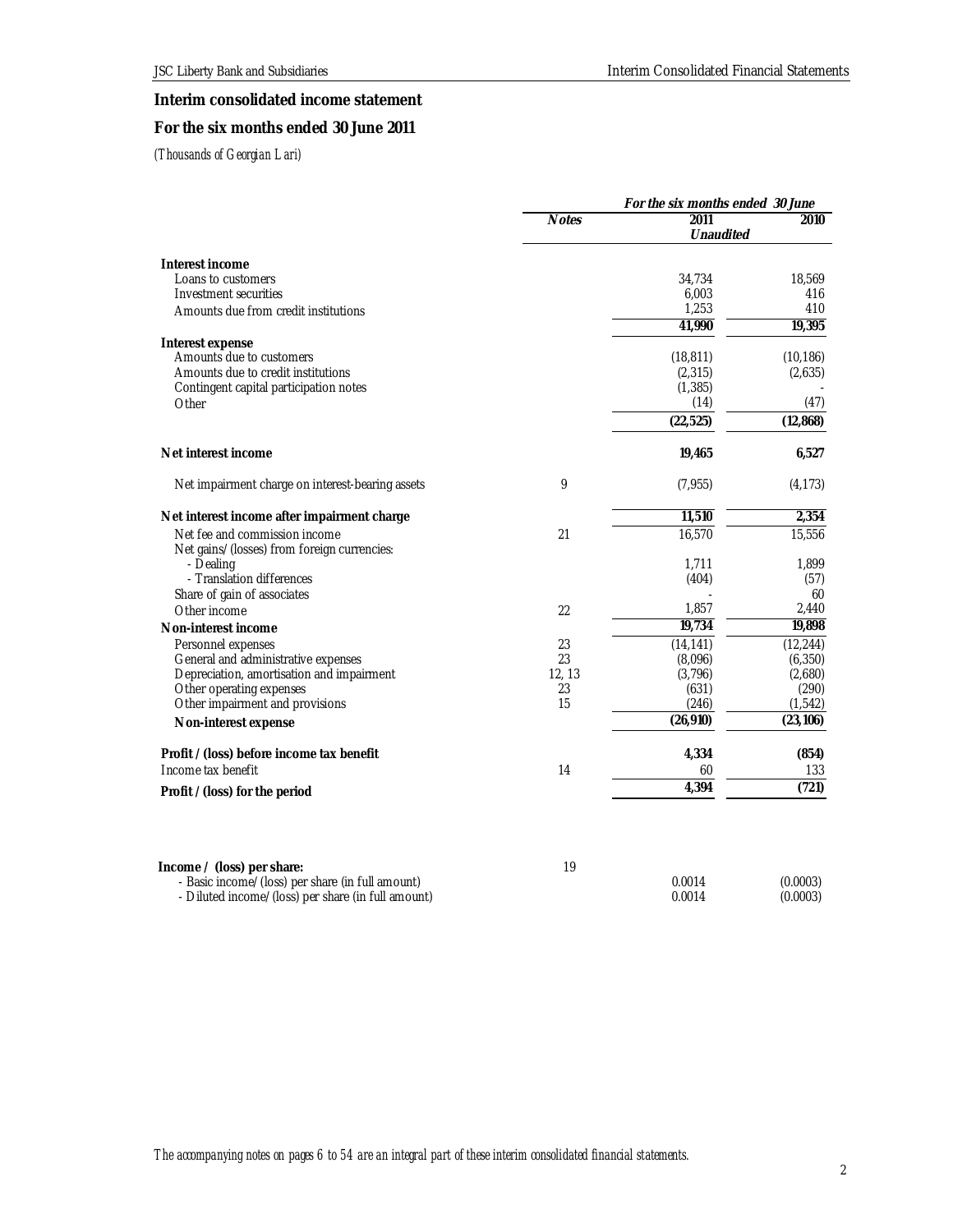# **Interim consolidated income statement**

# **For the six months ended 30 June 2011**

|                                                             | For the six months ended 30 June |                          |           |
|-------------------------------------------------------------|----------------------------------|--------------------------|-----------|
|                                                             | <b>Notes</b>                     | 2011<br><b>Unaudited</b> | 2010      |
| Interest income                                             |                                  |                          |           |
| Loans to customers                                          |                                  | 34,734                   | 18,569    |
| Investment securities                                       |                                  | 6,003                    | 416       |
| Amounts due from credit institutions                        |                                  | 1,253                    | 410       |
|                                                             |                                  | 41,990                   | 19,395    |
| Interest expense                                            |                                  |                          |           |
| Amounts due to customers                                    |                                  | (18, 811)                | (10, 186) |
| Amounts due to credit institutions                          |                                  | (2, 315)                 | (2,635)   |
| Contingent capital participation notes                      |                                  | (1, 385)                 |           |
| Other                                                       |                                  | (14)                     | (47)      |
|                                                             |                                  | (22, 525)                | (12, 868) |
| Net interest income                                         |                                  | 19,465                   | 6,527     |
| Net impairment charge on interest-bearing assets            | 9                                | (7, 955)                 | (4, 173)  |
| Net interest income after impairment charge                 |                                  | 11,510                   | 2,354     |
| Net fee and commission income                               | 21                               | 16,570                   | 15,556    |
| Net gains/(losses) from foreign currencies:                 |                                  |                          |           |
| - Dealing                                                   |                                  | 1,711                    | 1,899     |
| - Translation differences                                   |                                  | (404)                    | (57)      |
| Share of gain of associates                                 |                                  |                          | 60        |
| Other income                                                | 22                               | 1,857                    | 2,440     |
| Non-interest income                                         |                                  | 19,734                   | 19,898    |
| Personnel expenses                                          | 23                               | (14, 141)                | (12, 244) |
| General and administrative expenses                         | 23                               | (8,096)                  | (6, 350)  |
| Depreciation, amortisation and impairment                   | 12, 13                           | (3,796)                  | (2,680)   |
| Other operating expenses<br>Other impairment and provisions | 23<br>15                         | (631)                    | (290)     |
|                                                             |                                  | (246)                    | (1, 542)  |
| Non-interest expense                                        |                                  | (26, 910)                | (23, 106) |
| Profit /(loss) before income tax benefit                    |                                  | 4,334                    | (854)     |
| Income tax benefit                                          | 14                               | 60                       | 133       |
| Profit /(loss) for the period                               |                                  | 4,394                    | (721)     |
|                                                             |                                  |                          |           |

| Income $\ell$ (loss) per share:                    |        |          |
|----------------------------------------------------|--------|----------|
| - Basic income/(loss) per share (in full amount)   | 0.0014 | (0.0003) |
| - Diluted income/(loss) per share (in full amount) | 0.0014 | (0.0003) |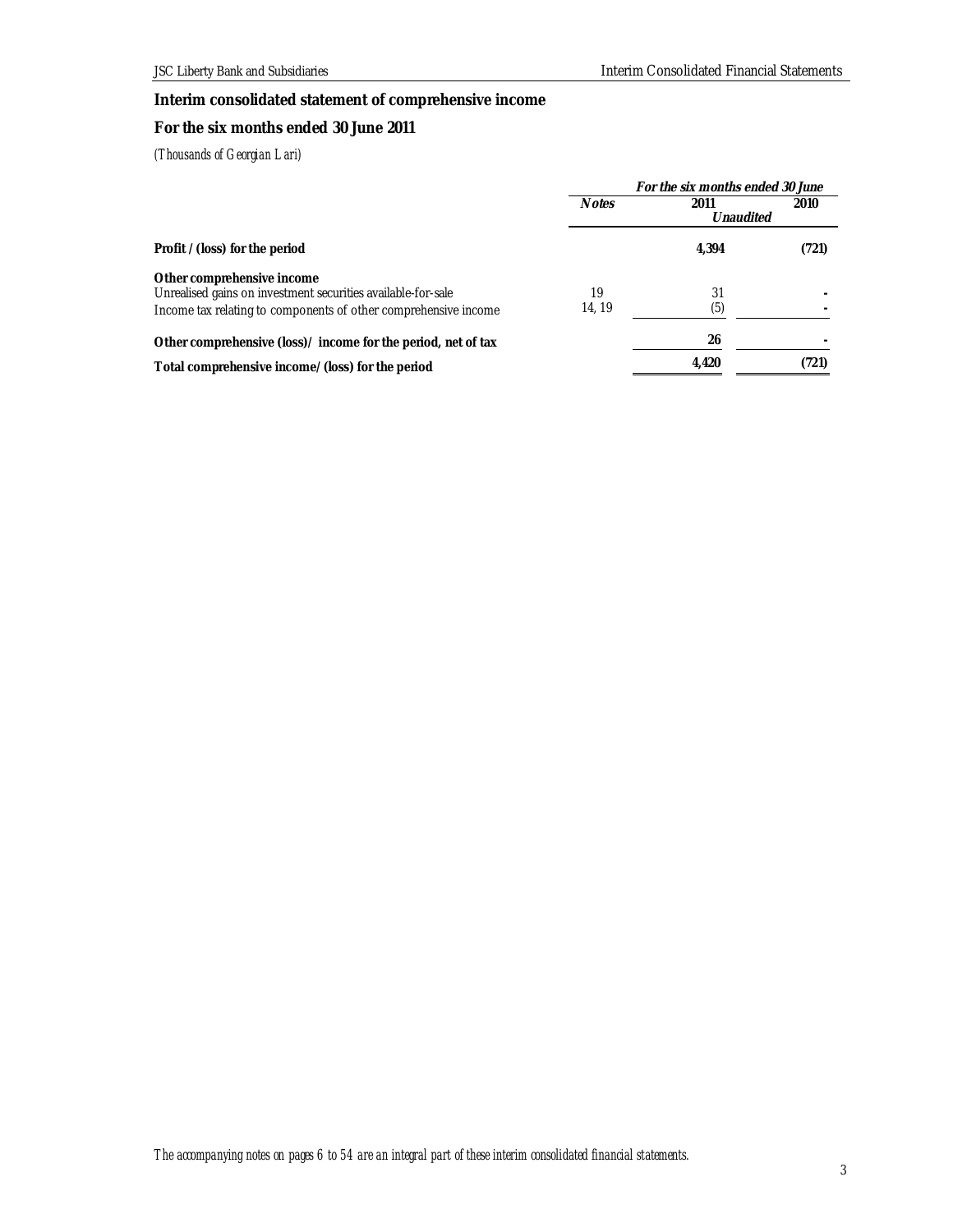# **Interim consolidated statement of comprehensive income**

# **For the six months ended 30 June 2011**

|                                                                                                                                                               | For the six months ended 30 June |           |       |
|---------------------------------------------------------------------------------------------------------------------------------------------------------------|----------------------------------|-----------|-------|
|                                                                                                                                                               | <b>Notes</b>                     | 2011      | 2010  |
|                                                                                                                                                               |                                  | Unaudited |       |
| Profit /(loss) for the period                                                                                                                                 |                                  | 4.394     | (721) |
| Other comprehensive income<br>Unrealised gains on investment securities available-for-sale<br>Income tax relating to components of other comprehensive income | 19<br>14, 19                     | 31<br>(5) |       |
| Other comprehensive (loss)/ income for the period, net of tax                                                                                                 |                                  | 26        |       |
| Total comprehensive income/(loss) for the period                                                                                                              |                                  | 4.420     | (721) |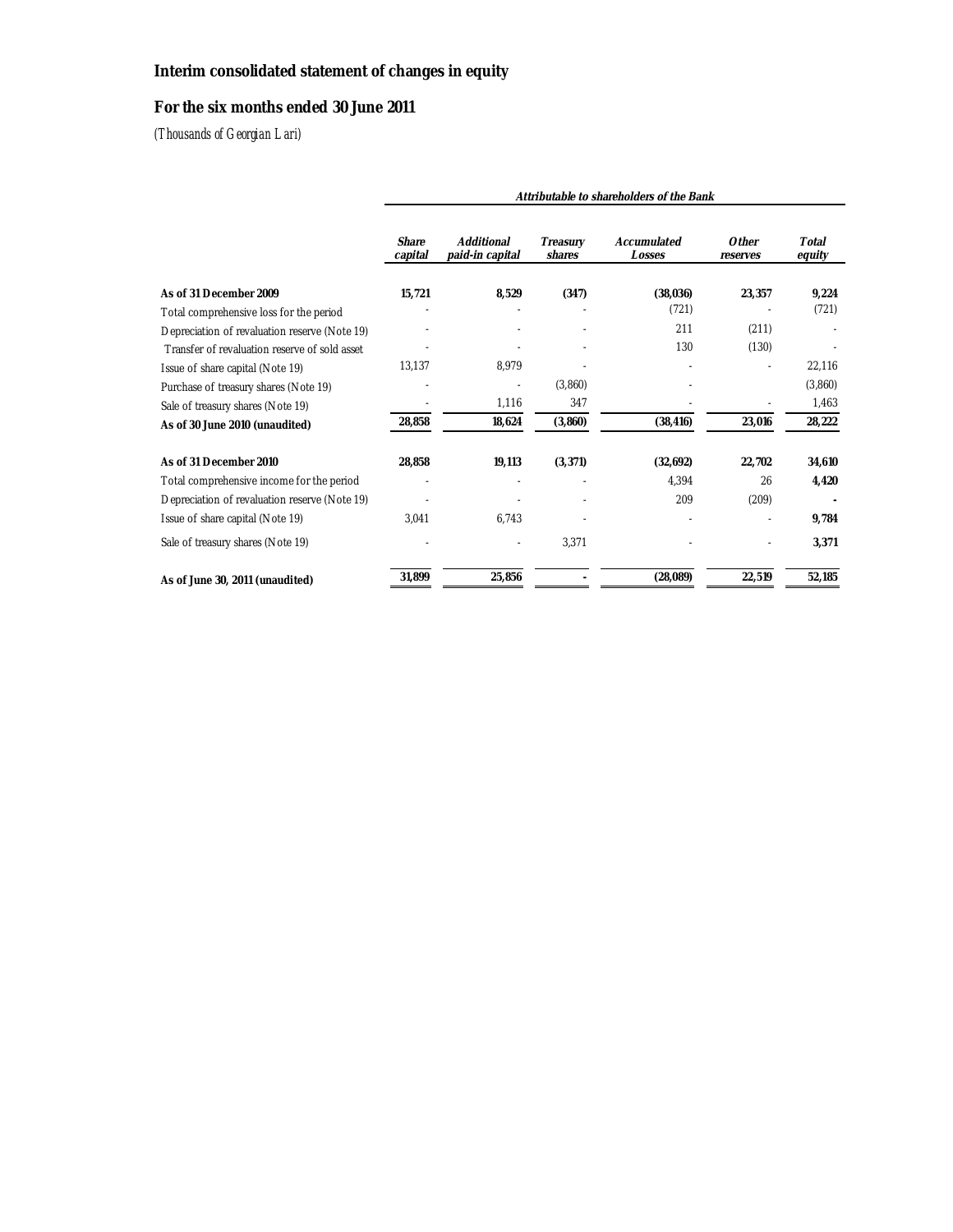# **Interim consolidated statement of changes in equity**

# **For the six months ended 30 June 2011**

|                                               | Attributable to shareholders of the Bank |                               |                    |                       |                   |                 |
|-----------------------------------------------|------------------------------------------|-------------------------------|--------------------|-----------------------|-------------------|-----------------|
|                                               | Share<br>capital                         | Additional<br>paid-in capital | Treasury<br>shares | Accumulated<br>Losses | Other<br>reserves | Total<br>equity |
|                                               |                                          |                               |                    |                       |                   |                 |
| As of 31 December 2009                        | 15,721                                   | 8,529                         | (347)              | (38,036)              | 23,357            | 9,224           |
| Total comprehensive loss for the period       |                                          |                               |                    | (721)                 |                   | (721)           |
| Depreciation of revaluation reserve (Note 19) |                                          |                               |                    | 211                   | (211)             |                 |
| Transfer of revaluation reserve of sold asset |                                          |                               |                    | 130                   | (130)             |                 |
| Issue of share capital (Note 19)              | 13,137                                   | 8,979                         |                    |                       |                   | 22,116          |
| Purchase of treasury shares (Note 19)         |                                          |                               | (3,860)            |                       |                   | (3,860)         |
| Sale of treasury shares (Note 19)             |                                          | 1,116                         | 347                |                       |                   | 1,463           |
| As of 30 June 2010 (unaudited)                | 28,858                                   | 18,624                        | (3,860)            | (38, 416)             | 23,016            | 28,222          |
| As of 31 December 2010                        | 28,858                                   | 19,113                        | (3, 371)           | (32,692)              | 22,702            | 34,610          |
| Total comprehensive income for the period     |                                          |                               |                    | 4,394                 | 26                | 4,420           |
| Depreciation of revaluation reserve (Note 19) |                                          |                               |                    | 209                   | (209)             |                 |
| Issue of share capital (Note 19)              | 3,041                                    | 6,743                         |                    |                       |                   | 9,784           |
| Sale of treasury shares (Note 19)             |                                          | ٠                             | 3,371              |                       | ä,                | 3,371           |
| As of June 30, 2011 (unaudited)               | 31,899                                   | 25,856                        |                    | (28,089)              | 22,519            | 52,185          |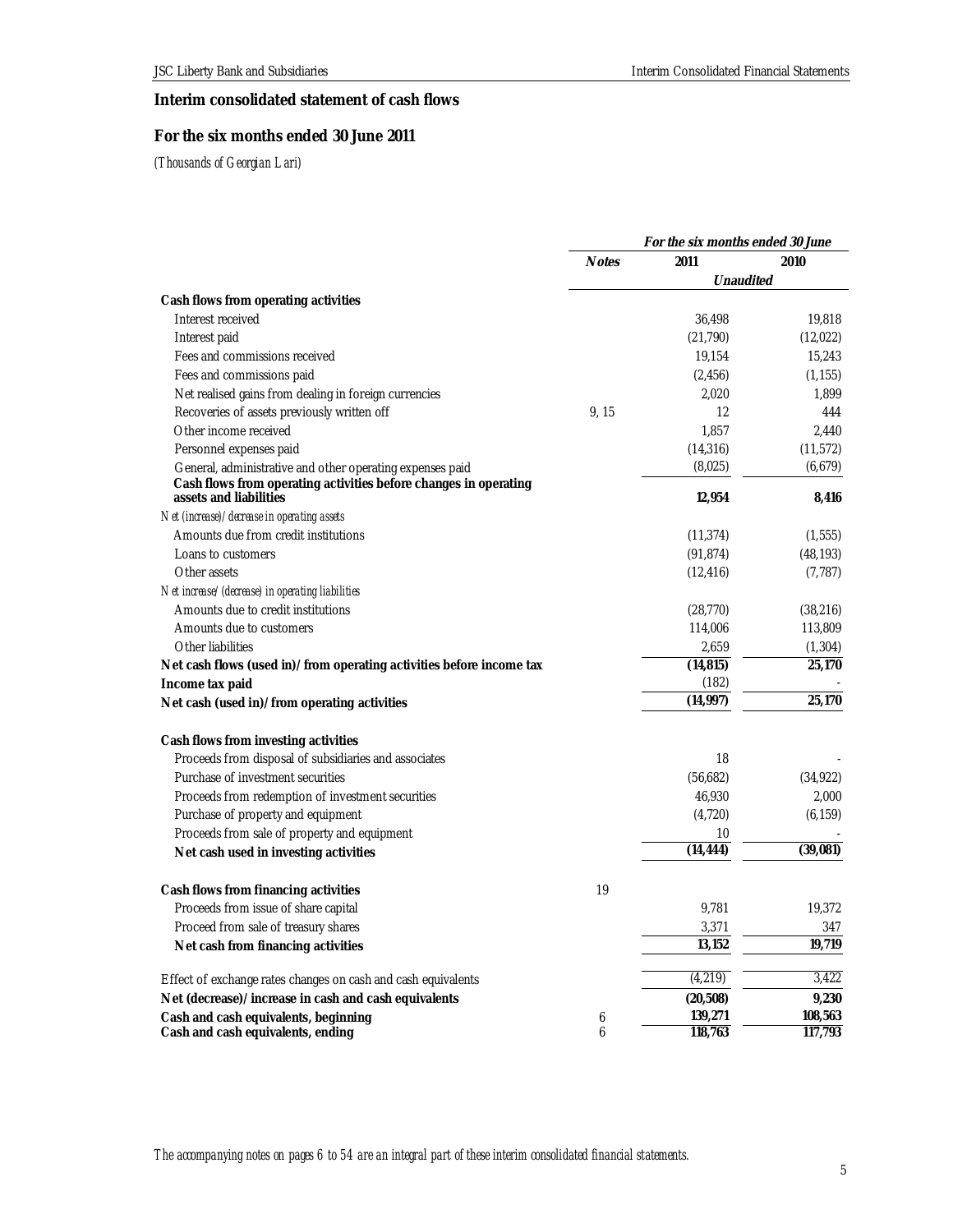# **Interim consolidated statement of cash flows**

# **For the six months ended 30 June 2011**

|                                                                                            | For the six months ended 30 June |           |           |
|--------------------------------------------------------------------------------------------|----------------------------------|-----------|-----------|
|                                                                                            | <b>Notes</b>                     | 2011      | 2010      |
|                                                                                            |                                  | Unaudited |           |
| Cash flows from operating activities                                                       |                                  |           |           |
| Interest received                                                                          |                                  | 36,498    | 19,818    |
| Interest paid                                                                              |                                  | (21,790)  | (12,022)  |
| Fees and commissions received                                                              |                                  | 19,154    | 15,243    |
| Fees and commissions paid                                                                  |                                  | (2,456)   | (1, 155)  |
| Net realised gains from dealing in foreign currencies                                      |                                  | 2,020     | 1,899     |
| Recoveries of assets previously written off                                                | 9, 15                            | 12        | 444       |
| Other income received                                                                      |                                  | 1,857     | 2,440     |
| Personnel expenses paid                                                                    |                                  | (14, 316) | (11, 572) |
| General, administrative and other operating expenses paid                                  |                                  | (8,025)   | (6, 679)  |
| Cash flows from operating activities before changes in operating<br>assets and liabilities |                                  | 12,954    | 8,416     |
| Net (increase)/decrease in operating assets                                                |                                  |           |           |
| Amounts due from credit institutions                                                       |                                  | (11, 374) | (1, 555)  |
| Loans to customers                                                                         |                                  | (91, 874) | (48, 193) |
| Other assets                                                                               |                                  | (12, 416) | (7, 787)  |
| Net increase/(decrease) in operating liabilities                                           |                                  |           |           |
| Amounts due to credit institutions                                                         |                                  | (28, 770) | (38, 216) |
| Amounts due to customers                                                                   |                                  | 114,006   | 113,809   |
| Other liabilities                                                                          |                                  | 2,659     | (1, 304)  |
| Net cash flows (used in)/from operating activities before income tax                       |                                  | (14, 815) | 25,170    |
| Income tax paid                                                                            |                                  | (182)     |           |
| Net cash (used in)/from operating activities                                               |                                  | (14, 997) | 25,170    |
|                                                                                            |                                  |           |           |
| Cash flows from investing activities                                                       |                                  |           |           |
| Proceeds from disposal of subsidiaries and associates                                      |                                  | 18        |           |
| Purchase of investment securities                                                          |                                  | (56,682)  | (34, 922) |
| Proceeds from redemption of investment securities                                          |                                  | 46,930    | 2,000     |
| Purchase of property and equipment                                                         |                                  | (4, 720)  | (6, 159)  |
| Proceeds from sale of property and equipment                                               |                                  | 10        |           |
| Net cash used in investing activities                                                      |                                  | (14, 444) | (39,081)  |
|                                                                                            |                                  |           |           |
| Cash flows from financing activities                                                       | 19                               |           |           |
| Proceeds from issue of share capital                                                       |                                  | 9,781     | 19,372    |
| Proceed from sale of treasury shares                                                       |                                  | 3,371     | 347       |
| Net cash from financing activities                                                         |                                  | 13,152    | 19,719    |
| Effect of exchange rates changes on cash and cash equivalents                              |                                  | (4, 219)  | 3,422     |
| Net (decrease)/increase in cash and cash equivalents                                       |                                  | (20, 508) | 9,230     |
| Cash and cash equivalents, beginning                                                       | 6                                | 139,271   | 108,563   |
| Cash and cash equivalents, ending                                                          | 6                                | 118,763   | 117,793   |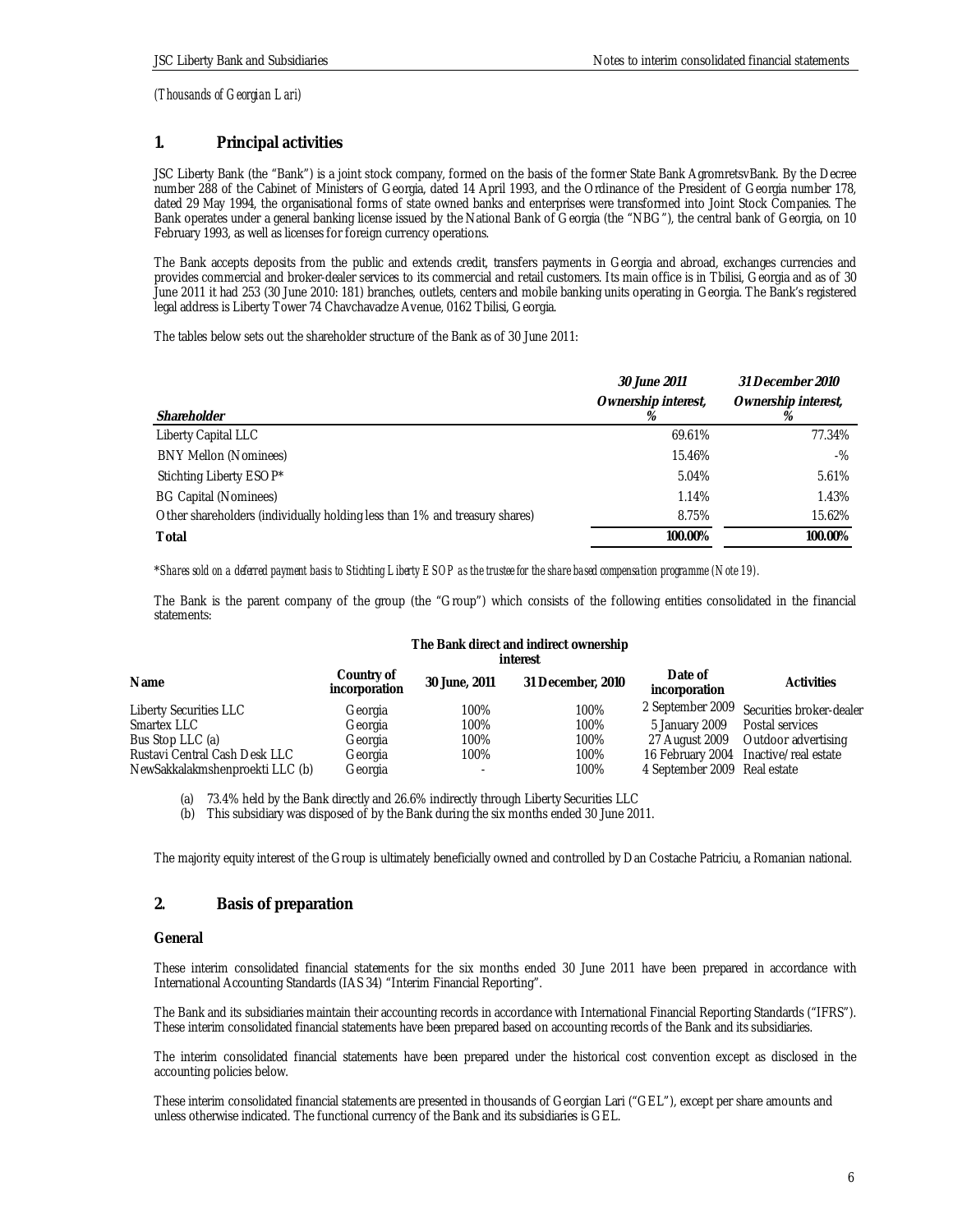# **1. Principal activities**

JSC Liberty Bank (the "Bank") is a joint stock company, formed on the basis of the former State Bank AgromretsvBank. By the Decree number 288 of the Cabinet of Ministers of Georgia, dated 14 April 1993, and the Ordinance of the President of Georgia number 178, dated 29 May 1994, the organisational forms of state owned banks and enterprises were transformed into Joint Stock Companies. The Bank operates under a general banking license issued by the National Bank of Georgia (the "NBG"), the central bank of Georgia, on 10 February 1993, as well as licenses for foreign currency operations.

The Bank accepts deposits from the public and extends credit, transfers payments in Georgia and abroad, exchanges currencies and provides commercial and broker-dealer services to its commercial and retail customers. Its main office is in Tbilisi, Georgia and as of 30 June 2011 it had 253 (30 June 2010: 181) branches, outlets, centers and mobile banking units operating in Georgia. The Bank's registered legal address is Liberty Tower 74 Chavchavadze Avenue, 0162 Tbilisi, Georgia.

The tables below sets out the shareholder structure of the Bank as of 30 June 2011:

|                                                                            | 30 June 2011        | <i>31 December 2010</i> |
|----------------------------------------------------------------------------|---------------------|-------------------------|
|                                                                            | Ownership interest, | Ownership interest,     |
| Shareholder                                                                |                     |                         |
| Liberty Capital LLC                                                        | 69.61%              | 77.34%                  |
| <b>BNY Mellon (Nominees)</b>                                               | 15.46%              | $-$ %                   |
| Stichting Liberty ESOP*                                                    | 5.04%               | 5.61%                   |
| <b>BG Capital (Nominees)</b>                                               | 1.14%               | 1.43%                   |
| Other shareholders (individually holding less than 1% and treasury shares) | 8.75%               | 15.62%                  |
| Total                                                                      | 100.00%             | 100.00%                 |

\**Shares sold on a deferred payment basis to Stichting Liberty ESOP as the trustee for the share based compensation programme (Note 19).* 

The Bank is the parent company of the group (the "Group") which consists of the following entities consolidated in the financial statements:

|                                 |                             |               | The Bank direct and indirect ownership<br>interest |                              |                                       |
|---------------------------------|-----------------------------|---------------|----------------------------------------------------|------------------------------|---------------------------------------|
| Name                            | Country of<br>incorporation | 30 June, 2011 | 31 December, 2010                                  | Date of<br>incorporation     | Activities                            |
| Liberty Securities LLC          | Georgia                     | 100%          | 100%                                               | 2 September 2009             | Securities broker-dealer              |
| Smartex LLC                     | Georgia                     | 100%          | 100%                                               | 5 January 2009               | Postal services                       |
| Bus Stop LLC (a)                | Georgia                     | 100%          | 100%                                               | 27 August 2009               | Outdoor advertising                   |
| Rustavi Central Cash Desk LLC   | Georgia                     | 100%          | 100%                                               |                              | 16 February 2004 Inactive/real estate |
| NewSakkalakmshenproekti LLC (b) | Georgia                     |               | 100%                                               | 4 September 2009 Real estate |                                       |

(a) 73.4% held by the Bank directly and 26.6% indirectly through Liberty Securities LLC

This subsidiary was disposed of by the Bank during the six months ended 30 June 2011.

The majority equity interest of the Group is ultimately beneficially owned and controlled by Dan Costache Patriciu, a Romanian national.

### **2. Basis of preparation**

#### **General**

These interim consolidated financial statements for the six months ended 30 June 2011 have been prepared in accordance with International Accounting Standards (IAS 34) "Interim Financial Reporting".

The Bank and its subsidiaries maintain their accounting records in accordance with International Financial Reporting Standards ("IFRS"). These interim consolidated financial statements have been prepared based on accounting records of the Bank and its subsidiaries.

The interim consolidated financial statements have been prepared under the historical cost convention except as disclosed in the accounting policies below.

These interim consolidated financial statements are presented in thousands of Georgian Lari ("GEL"), except per share amounts and unless otherwise indicated. The functional currency of the Bank and its subsidiaries is GEL.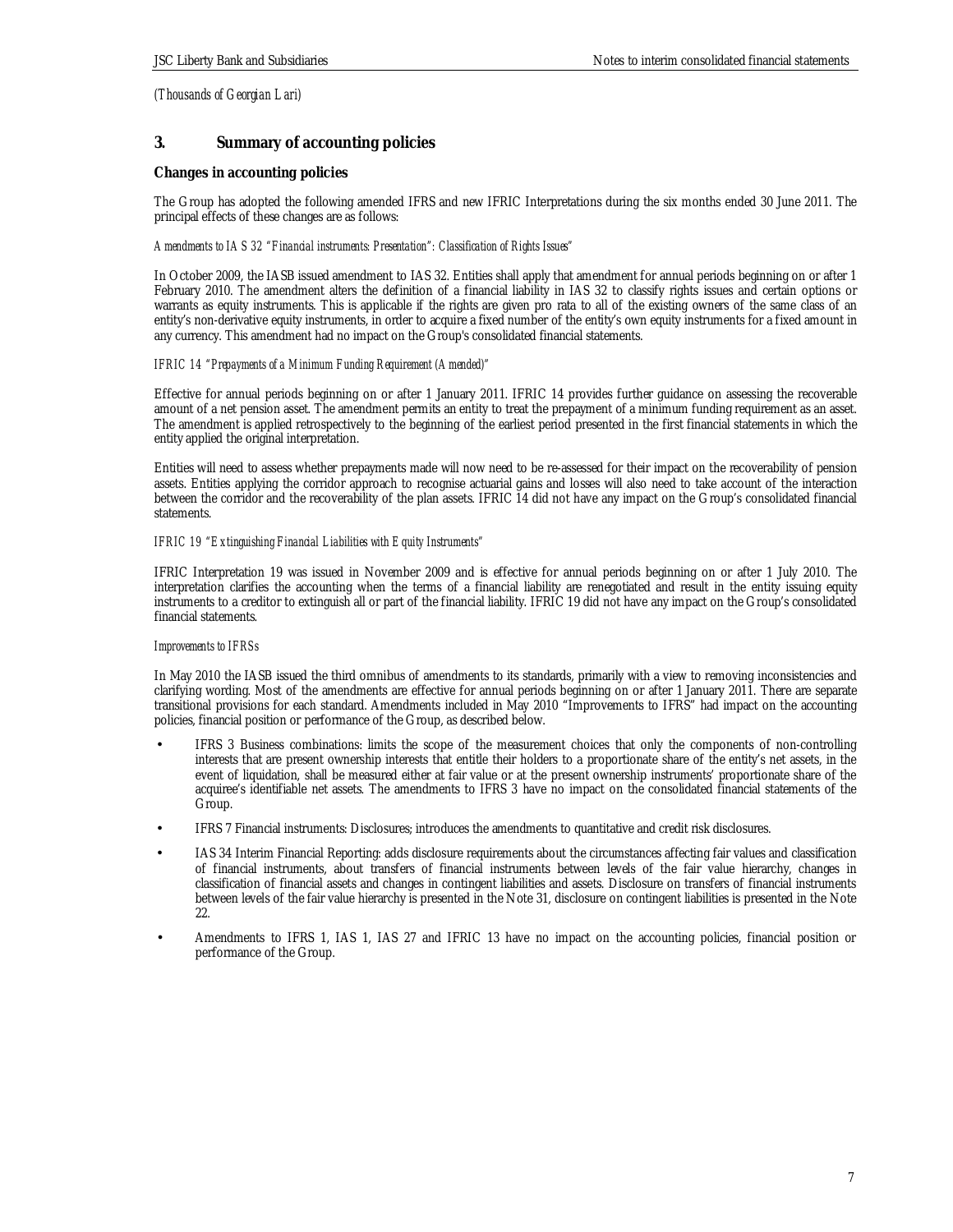# **3. Summary of accounting policies**

#### **Changes in accounting policies**

The Group has adopted the following amended IFRS and new IFRIC Interpretations during the six months ended 30 June 2011. The principal effects of these changes are as follows:

#### *Amendments to IAS 32 "Financial instruments: Presentation": Classification of Rights Issues"*

In October 2009, the IASB issued amendment to IAS 32. Entities shall apply that amendment for annual periods beginning on or after 1 February 2010. The amendment alters the definition of a financial liability in IAS 32 to classify rights issues and certain options or warrants as equity instruments. This is applicable if the rights are given pro rata to all of the existing owners of the same class of an entity's non-derivative equity instruments, in order to acquire a fixed number of the entity's own equity instruments for a fixed amount in any currency. This amendment had no impact on the Group's consolidated financial statements.

#### *IFRIC 14 "Prepayments of a Minimum Funding Requirement (Amended)"*

Effective for annual periods beginning on or after 1 January 2011. IFRIC 14 provides further guidance on assessing the recoverable amount of a net pension asset. The amendment permits an entity to treat the prepayment of a minimum funding requirement as an asset. The amendment is applied retrospectively to the beginning of the earliest period presented in the first financial statements in which the entity applied the original interpretation.

Entities will need to assess whether prepayments made will now need to be re-assessed for their impact on the recoverability of pension assets. Entities applying the corridor approach to recognise actuarial gains and losses will also need to take account of the interaction between the corridor and the recoverability of the plan assets. IFRIC 14 did not have any impact on the Group's consolidated financial statements.

#### *IFRIC 19 "Extinguishing Financial Liabilities with Equity Instruments"*

IFRIC Interpretation 19 was issued in November 2009 and is effective for annual periods beginning on or after 1 July 2010. The interpretation clarifies the accounting when the terms of a financial liability are renegotiated and result in the entity issuing equity instruments to a creditor to extinguish all or part of the financial liability. IFRIC 19 did not have any impact on the Group's consolidated financial statements.

#### *Improvements to IFRSs*

In May 2010 the IASB issued the third omnibus of amendments to its standards, primarily with a view to removing inconsistencies and clarifying wording. Most of the amendments are effective for annual periods beginning on or after 1 January 2011. There are separate transitional provisions for each standard. Amendments included in May 2010 "Improvements to IFRS" had impact on the accounting policies, financial position or performance of the Group, as described below.

- IFRS 3 Business combinations: limits the scope of the measurement choices that only the components of non-controlling interests that are present ownership interests that entitle their holders to a proportionate share of the entity's net assets, in the event of liquidation, shall be measured either at fair value or at the present ownership instruments' proportionate share of the acquiree's identifiable net assets. The amendments to IFRS 3 have no impact on the consolidated financial statements of the Group.
- IFRS 7 Financial instruments: Disclosures; introduces the amendments to quantitative and credit risk disclosures.
- IAS 34 Interim Financial Reporting: adds disclosure requirements about the circumstances affecting fair values and classification of financial instruments, about transfers of financial instruments between levels of the fair value hierarchy, changes in classification of financial assets and changes in contingent liabilities and assets. Disclosure on transfers of financial instruments between levels of the fair value hierarchy is presented in the Note 31, disclosure on contingent liabilities is presented in the Note 22.
- Amendments to IFRS 1, IAS 1, IAS 27 and IFRIC 13 have no impact on the accounting policies, financial position or performance of the Group.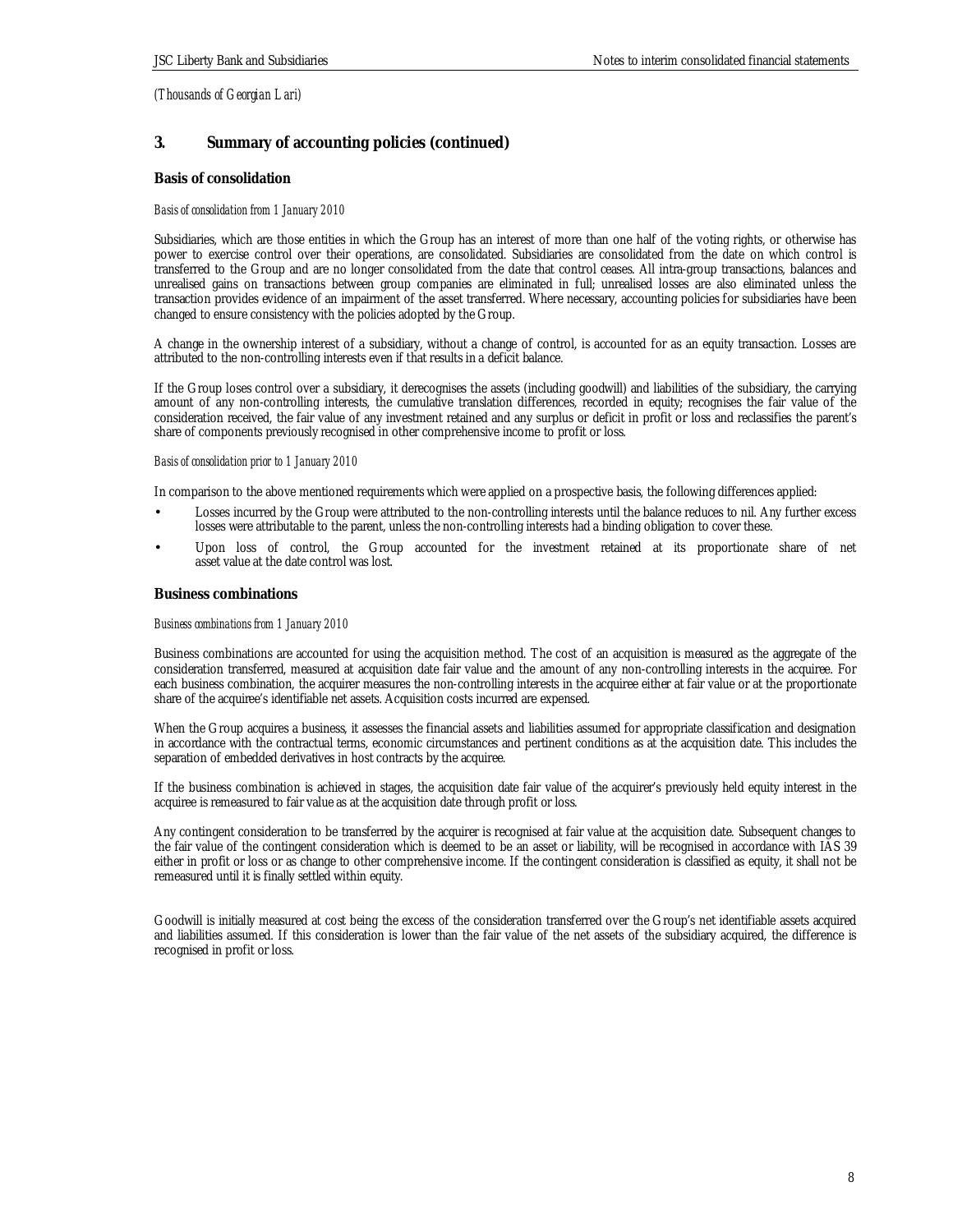# **3. Summary of accounting policies (continued)**

#### **Basis of consolidation**

#### *Basis of consolidation from 1 January 2010*

Subsidiaries, which are those entities in which the Group has an interest of more than one half of the voting rights, or otherwise has power to exercise control over their operations, are consolidated. Subsidiaries are consolidated from the date on which control is transferred to the Group and are no longer consolidated from the date that control ceases. All intra-group transactions, balances and unrealised gains on transactions between group companies are eliminated in full; unrealised losses are also eliminated unless the transaction provides evidence of an impairment of the asset transferred. Where necessary, accounting policies for subsidiaries have been changed to ensure consistency with the policies adopted by the Group.

A change in the ownership interest of a subsidiary, without a change of control, is accounted for as an equity transaction. Losses are attributed to the non-controlling interests even if that results in a deficit balance.

If the Group loses control over a subsidiary, it derecognises the assets (including goodwill) and liabilities of the subsidiary, the carrying amount of any non-controlling interests, the cumulative translation differences, recorded in equity; recognises the fair value of the consideration received, the fair value of any investment retained and any surplus or deficit in profit or loss and reclassifies the parent's share of components previously recognised in other comprehensive income to profit or loss.

#### *Basis of consolidation prior to 1 January 2010*

In comparison to the above mentioned requirements which were applied on a prospective basis, the following differences applied:

- Losses incurred by the Group were attributed to the non-controlling interests until the balance reduces to nil. Any further excess losses were attributable to the parent, unless the non-controlling interests had a binding obligation to cover these.
- Upon loss of control, the Group accounted for the investment retained at its proportionate share of net asset value at the date control was lost.

#### **Business combinations**

#### *Business combinations from 1 January 2010*

Business combinations are accounted for using the acquisition method. The cost of an acquisition is measured as the aggregate of the consideration transferred, measured at acquisition date fair value and the amount of any non-controlling interests in the acquiree. For each business combination, the acquirer measures the non-controlling interests in the acquiree either at fair value or at the proportionate share of the acquiree's identifiable net assets. Acquisition costs incurred are expensed.

When the Group acquires a business, it assesses the financial assets and liabilities assumed for appropriate classification and designation in accordance with the contractual terms, economic circumstances and pertinent conditions as at the acquisition date. This includes the separation of embedded derivatives in host contracts by the acquiree.

If the business combination is achieved in stages, the acquisition date fair value of the acquirer's previously held equity interest in the acquiree is remeasured to fair value as at the acquisition date through profit or loss.

Any contingent consideration to be transferred by the acquirer is recognised at fair value at the acquisition date. Subsequent changes to the fair value of the contingent consideration which is deemed to be an asset or liability, will be recognised in accordance with IAS 39 either in profit or loss or as change to other comprehensive income. If the contingent consideration is classified as equity, it shall not be remeasured until it is finally settled within equity.

Goodwill is initially measured at cost being the excess of the consideration transferred over the Group's net identifiable assets acquired and liabilities assumed. If this consideration is lower than the fair value of the net assets of the subsidiary acquired, the difference is recognised in profit or loss.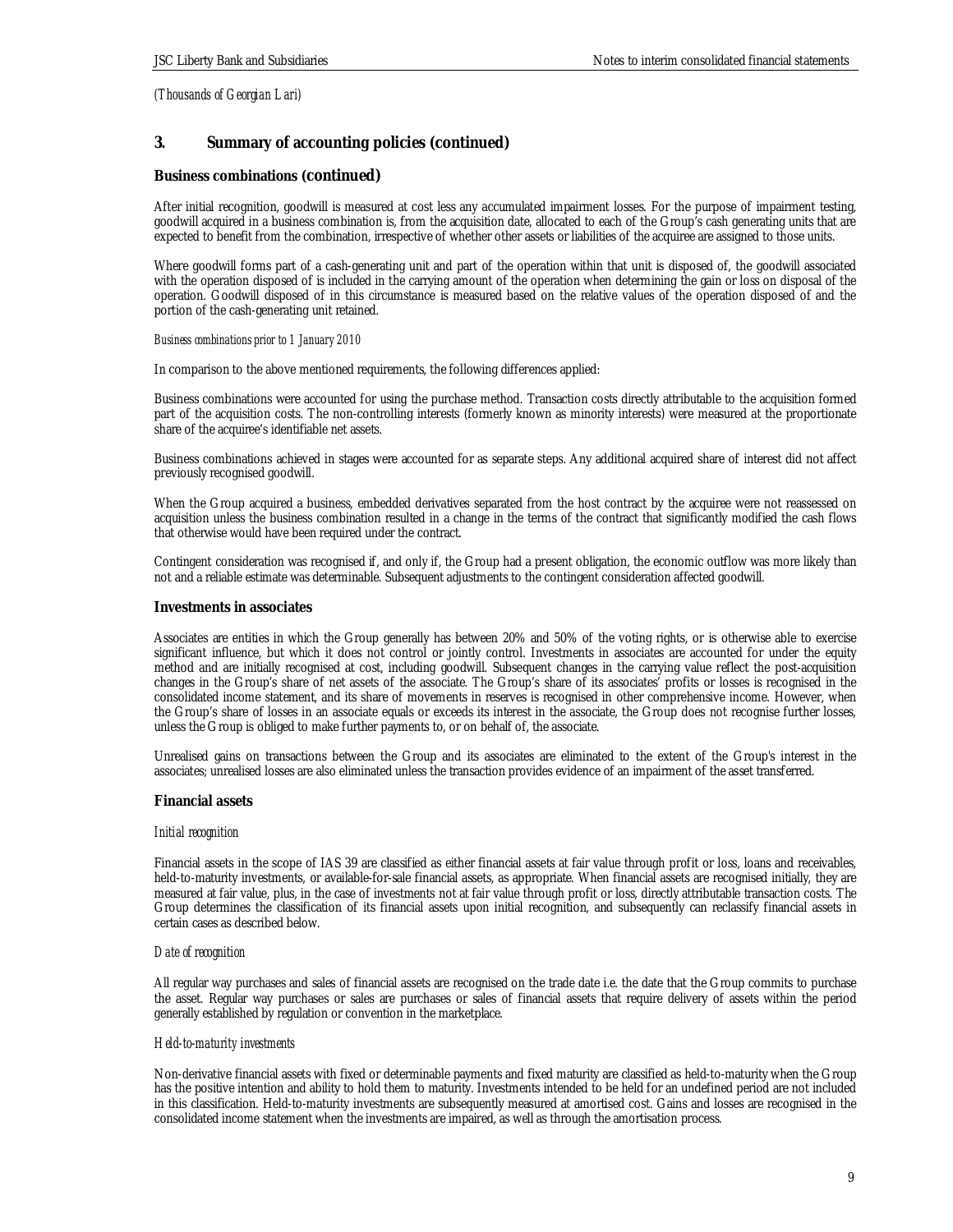# **3. Summary of accounting policies (continued)**

### **Business combinations (continued)**

After initial recognition, goodwill is measured at cost less any accumulated impairment losses. For the purpose of impairment testing, goodwill acquired in a business combination is, from the acquisition date, allocated to each of the Group's cash generating units that are expected to benefit from the combination, irrespective of whether other assets or liabilities of the acquiree are assigned to those units.

Where goodwill forms part of a cash-generating unit and part of the operation within that unit is disposed of, the goodwill associated with the operation disposed of is included in the carrying amount of the operation when determining the gain or loss on disposal of the operation. Goodwill disposed of in this circumstance is measured based on the relative values of the operation disposed of and the portion of the cash-generating unit retained.

#### *Business combinations prior to 1 January 2010*

In comparison to the above mentioned requirements, the following differences applied:

Business combinations were accounted for using the purchase method. Transaction costs directly attributable to the acquisition formed part of the acquisition costs. The non-controlling interests (formerly known as minority interests) were measured at the proportionate share of the acquiree's identifiable net assets.

Business combinations achieved in stages were accounted for as separate steps. Any additional acquired share of interest did not affect previously recognised goodwill.

When the Group acquired a business, embedded derivatives separated from the host contract by the acquiree were not reassessed on acquisition unless the business combination resulted in a change in the terms of the contract that significantly modified the cash flows that otherwise would have been required under the contract.

Contingent consideration was recognised if, and only if, the Group had a present obligation, the economic outflow was more likely than not and a reliable estimate was determinable. Subsequent adjustments to the contingent consideration affected goodwill.

#### **Investments in associates**

Associates are entities in which the Group generally has between 20% and 50% of the voting rights, or is otherwise able to exercise significant influence, but which it does not control or jointly control. Investments in associates are accounted for under the equity method and are initially recognised at cost, including goodwill. Subsequent changes in the carrying value reflect the post-acquisition changes in the Group's share of net assets of the associate. The Group's share of its associates' profits or losses is recognised in the consolidated income statement, and its share of movements in reserves is recognised in other comprehensive income. However, when the Group's share of losses in an associate equals or exceeds its interest in the associate, the Group does not recognise further losses, unless the Group is obliged to make further payments to, or on behalf of, the associate.

Unrealised gains on transactions between the Group and its associates are eliminated to the extent of the Group's interest in the associates; unrealised losses are also eliminated unless the transaction provides evidence of an impairment of the asset transferred.

#### **Financial assets**

#### *Initial recognition*

Financial assets in the scope of IAS 39 are classified as either financial assets at fair value through profit or loss, loans and receivables, held-to-maturity investments, or available-for-sale financial assets, as appropriate. When financial assets are recognised initially, they are measured at fair value, plus, in the case of investments not at fair value through profit or loss, directly attributable transaction costs. The Group determines the classification of its financial assets upon initial recognition, and subsequently can reclassify financial assets in certain cases as described below.

#### *Date of recognition*

All regular way purchases and sales of financial assets are recognised on the trade date i.e. the date that the Group commits to purchase the asset. Regular way purchases or sales are purchases or sales of financial assets that require delivery of assets within the period generally established by regulation or convention in the marketplace.

#### *Held-to-maturity investments*

Non-derivative financial assets with fixed or determinable payments and fixed maturity are classified as held-to-maturity when the Group has the positive intention and ability to hold them to maturity. Investments intended to be held for an undefined period are not included in this classification. Held-to-maturity investments are subsequently measured at amortised cost. Gains and losses are recognised in the consolidated income statement when the investments are impaired, as well as through the amortisation process.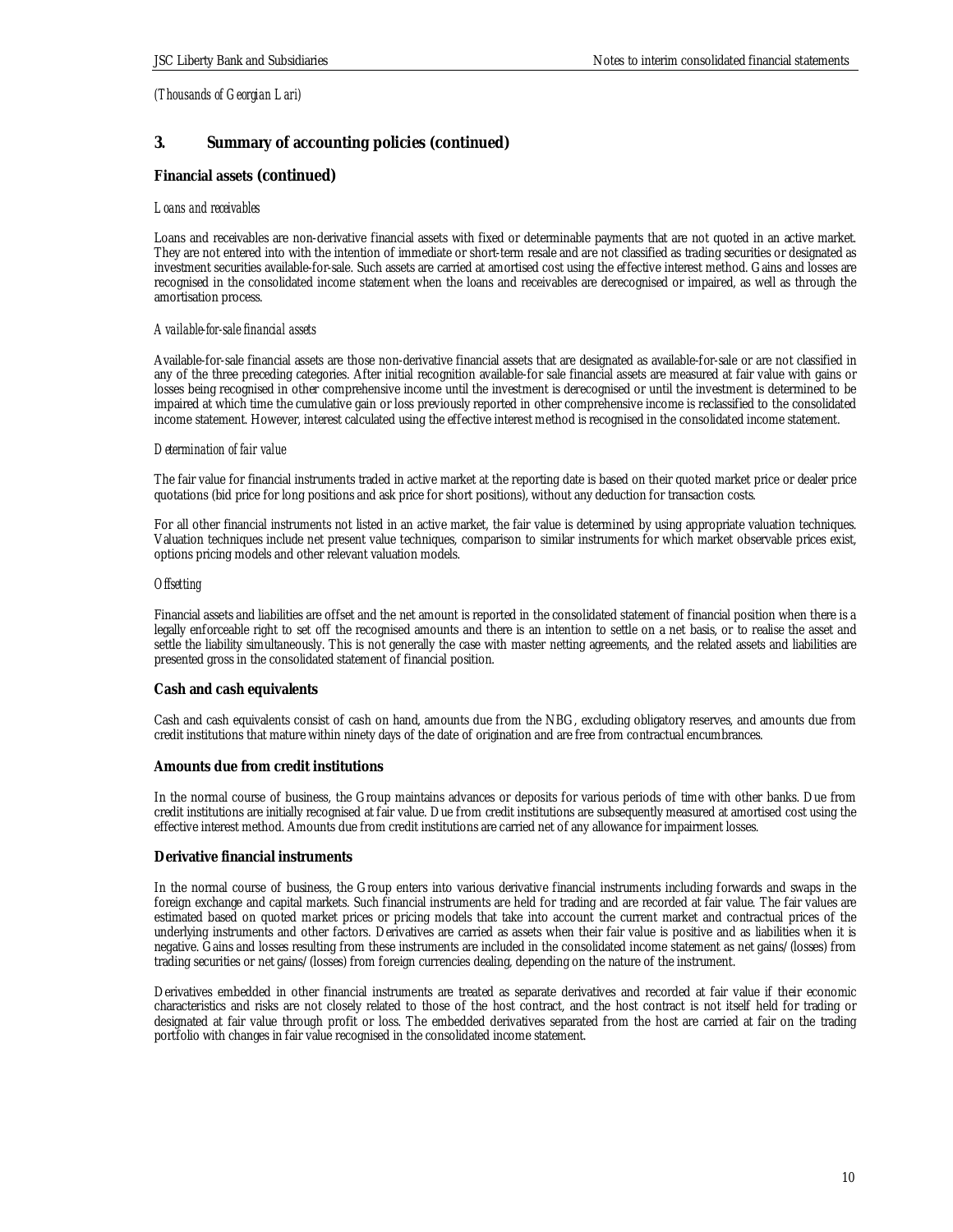# **3. Summary of accounting policies (continued)**

### **Financial assets (continued)**

#### *Loans and receivables*

Loans and receivables are non-derivative financial assets with fixed or determinable payments that are not quoted in an active market. They are not entered into with the intention of immediate or short-term resale and are not classified as trading securities or designated as investment securities available-for-sale. Such assets are carried at amortised cost using the effective interest method. Gains and losses are recognised in the consolidated income statement when the loans and receivables are derecognised or impaired, as well as through the amortisation process.

#### *Available-for-sale financial assets*

Available-for-sale financial assets are those non-derivative financial assets that are designated as available-for-sale or are not classified in any of the three preceding categories. After initial recognition available-for sale financial assets are measured at fair value with gains or losses being recognised in other comprehensive income until the investment is derecognised or until the investment is determined to be impaired at which time the cumulative gain or loss previously reported in other comprehensive income is reclassified to the consolidated income statement. However, interest calculated using the effective interest method is recognised in the consolidated income statement.

#### *Determination of fair value*

The fair value for financial instruments traded in active market at the reporting date is based on their quoted market price or dealer price quotations (bid price for long positions and ask price for short positions), without any deduction for transaction costs.

For all other financial instruments not listed in an active market, the fair value is determined by using appropriate valuation techniques. Valuation techniques include net present value techniques, comparison to similar instruments for which market observable prices exist, options pricing models and other relevant valuation models.

#### *Offsetting*

Financial assets and liabilities are offset and the net amount is reported in the consolidated statement of financial position when there is a legally enforceable right to set off the recognised amounts and there is an intention to settle on a net basis, or to realise the asset and settle the liability simultaneously. This is not generally the case with master netting agreements, and the related assets and liabilities are presented gross in the consolidated statement of financial position.

#### **Cash and cash equivalents**

Cash and cash equivalents consist of cash on hand, amounts due from the NBG, excluding obligatory reserves, and amounts due from credit institutions that mature within ninety days of the date of origination and are free from contractual encumbrances.

#### **Amounts due from credit institutions**

In the normal course of business, the Group maintains advances or deposits for various periods of time with other banks. Due from credit institutions are initially recognised at fair value. Due from credit institutions are subsequently measured at amortised cost using the effective interest method. Amounts due from credit institutions are carried net of any allowance for impairment losses.

#### **Derivative financial instruments**

In the normal course of business, the Group enters into various derivative financial instruments including forwards and swaps in the foreign exchange and capital markets. Such financial instruments are held for trading and are recorded at fair value. The fair values are estimated based on quoted market prices or pricing models that take into account the current market and contractual prices of the underlying instruments and other factors. Derivatives are carried as assets when their fair value is positive and as liabilities when it is negative. Gains and losses resulting from these instruments are included in the consolidated income statement as net gains/(losses) from trading securities or net gains/(losses) from foreign currencies dealing, depending on the nature of the instrument.

Derivatives embedded in other financial instruments are treated as separate derivatives and recorded at fair value if their economic characteristics and risks are not closely related to those of the host contract, and the host contract is not itself held for trading or designated at fair value through profit or loss. The embedded derivatives separated from the host are carried at fair on the trading portfolio with changes in fair value recognised in the consolidated income statement.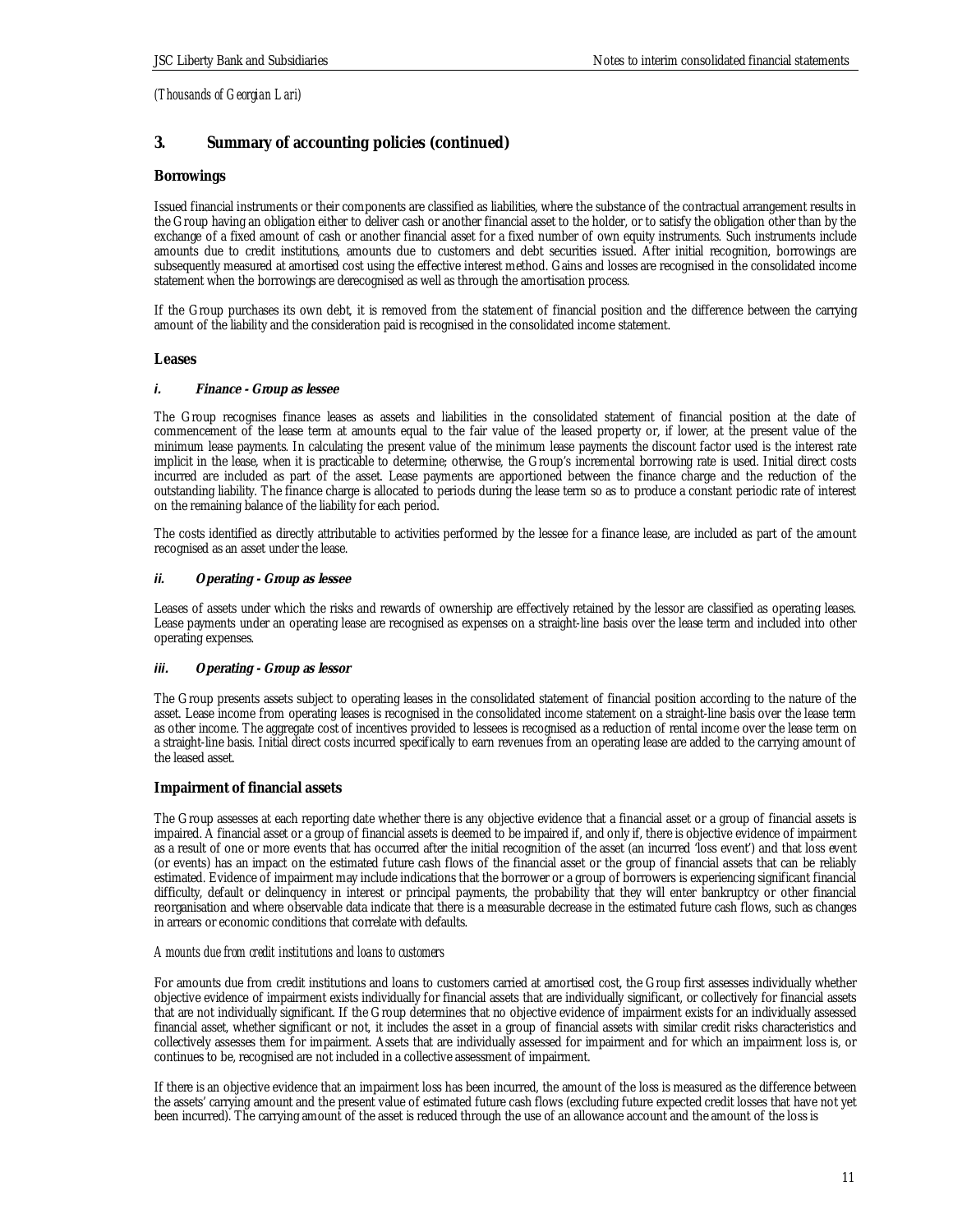# **3. Summary of accounting policies (continued)**

### **Borrowings**

Issued financial instruments or their components are classified as liabilities, where the substance of the contractual arrangement results in the Group having an obligation either to deliver cash or another financial asset to the holder, or to satisfy the obligation other than by the exchange of a fixed amount of cash or another financial asset for a fixed number of own equity instruments. Such instruments include amounts due to credit institutions, amounts due to customers and debt securities issued. After initial recognition, borrowings are subsequently measured at amortised cost using the effective interest method. Gains and losses are recognised in the consolidated income statement when the borrowings are derecognised as well as through the amortisation process.

If the Group purchases its own debt, it is removed from the statement of financial position and the difference between the carrying amount of the liability and the consideration paid is recognised in the consolidated income statement.

#### **Leases**

#### *i.* **Finance - Group as lessee**

The Group recognises finance leases as assets and liabilities in the consolidated statement of financial position at the date of commencement of the lease term at amounts equal to the fair value of the leased property or, if lower, at the present value of the minimum lease payments. In calculating the present value of the minimum lease payments the discount factor used is the interest rate implicit in the lease, when it is practicable to determine; otherwise, the Group's incremental borrowing rate is used. Initial direct costs incurred are included as part of the asset. Lease payments are apportioned between the finance charge and the reduction of the outstanding liability. The finance charge is allocated to periods during the lease term so as to produce a constant periodic rate of interest on the remaining balance of the liability for each period.

The costs identified as directly attributable to activities performed by the lessee for a finance lease, are included as part of the amount recognised as an asset under the lease.

#### *ii.* **Operating - Group as lessee**

Leases of assets under which the risks and rewards of ownership are effectively retained by the lessor are classified as operating leases. Lease payments under an operating lease are recognised as expenses on a straight-line basis over the lease term and included into other operating expenses.

#### *iii.* **Operating - Group as lessor**

The Group presents assets subject to operating leases in the consolidated statement of financial position according to the nature of the asset. Lease income from operating leases is recognised in the consolidated income statement on a straight-line basis over the lease term as other income. The aggregate cost of incentives provided to lessees is recognised as a reduction of rental income over the lease term on a straight-line basis. Initial direct costs incurred specifically to earn revenues from an operating lease are added to the carrying amount of the leased asset.

#### **Impairment of financial assets**

The Group assesses at each reporting date whether there is any objective evidence that a financial asset or a group of financial assets is impaired. A financial asset or a group of financial assets is deemed to be impaired if, and only if, there is objective evidence of impairment as a result of one or more events that has occurred after the initial recognition of the asset (an incurred 'loss event') and that loss event (or events) has an impact on the estimated future cash flows of the financial asset or the group of financial assets that can be reliably estimated. Evidence of impairment may include indications that the borrower or a group of borrowers is experiencing significant financial difficulty, default or delinquency in interest or principal payments, the probability that they will enter bankruptcy or other financial reorganisation and where observable data indicate that there is a measurable decrease in the estimated future cash flows, such as changes in arrears or economic conditions that correlate with defaults.

#### *Amounts due from credit institutions and loans to customers*

For amounts due from credit institutions and loans to customers carried at amortised cost, the Group first assesses individually whether objective evidence of impairment exists individually for financial assets that are individually significant, or collectively for financial assets that are not individually significant. If the Group determines that no objective evidence of impairment exists for an individually assessed financial asset, whether significant or not, it includes the asset in a group of financial assets with similar credit risks characteristics and collectively assesses them for impairment. Assets that are individually assessed for impairment and for which an impairment loss is, or continues to be, recognised are not included in a collective assessment of impairment.

If there is an objective evidence that an impairment loss has been incurred, the amount of the loss is measured as the difference between the assets' carrying amount and the present value of estimated future cash flows (excluding future expected credit losses that have not yet been incurred). The carrying amount of the asset is reduced through the use of an allowance account and the amount of the loss is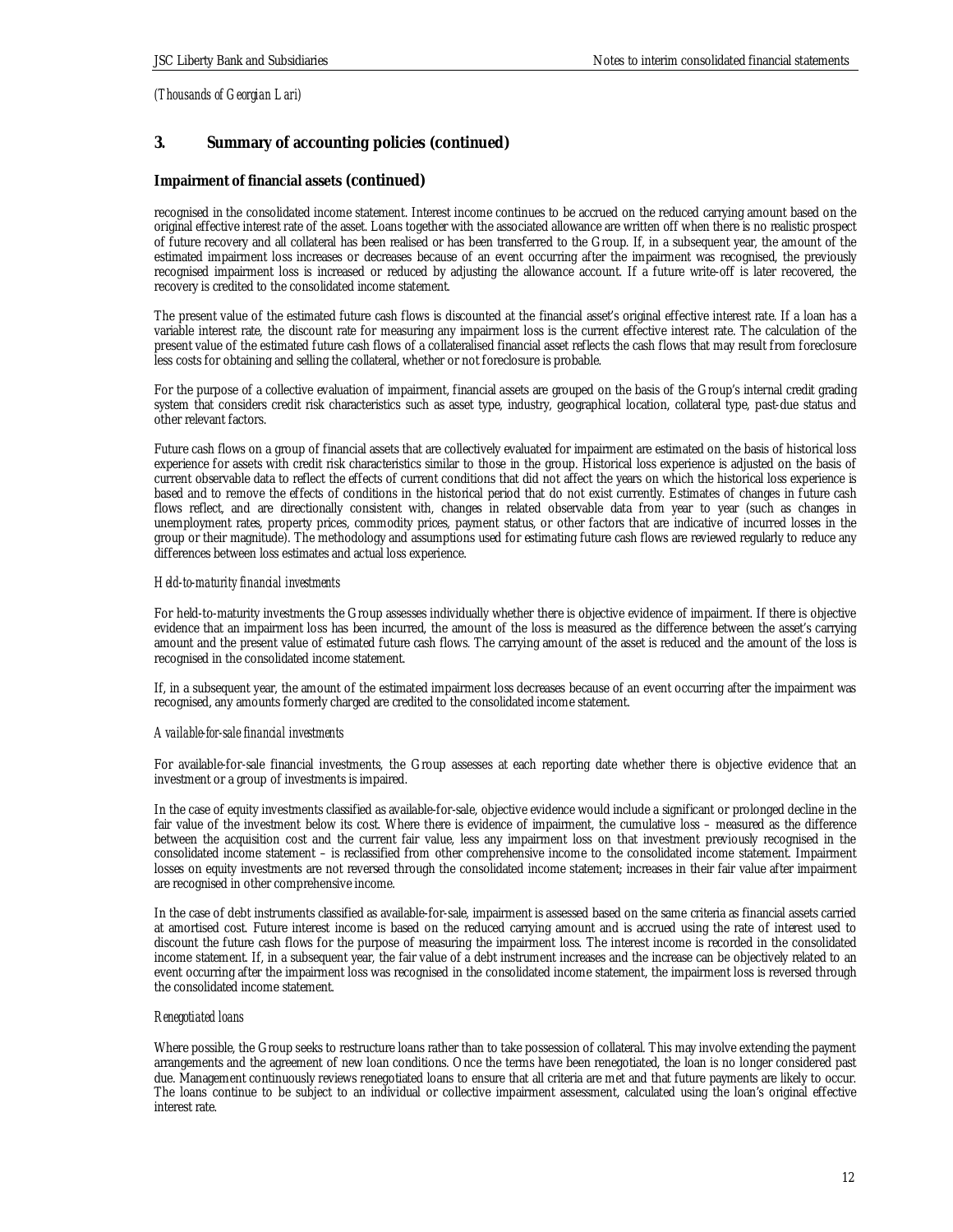# **3. Summary of accounting policies (continued)**

### **Impairment of financial assets (continued)**

recognised in the consolidated income statement. Interest income continues to be accrued on the reduced carrying amount based on the original effective interest rate of the asset. Loans together with the associated allowance are written off when there is no realistic prospect of future recovery and all collateral has been realised or has been transferred to the Group. If, in a subsequent year, the amount of the estimated impairment loss increases or decreases because of an event occurring after the impairment was recognised, the previously recognised impairment loss is increased or reduced by adjusting the allowance account. If a future write-off is later recovered, the recovery is credited to the consolidated income statement.

The present value of the estimated future cash flows is discounted at the financial asset's original effective interest rate. If a loan has a variable interest rate, the discount rate for measuring any impairment loss is the current effective interest rate. The calculation of the present value of the estimated future cash flows of a collateralised financial asset reflects the cash flows that may result from foreclosure less costs for obtaining and selling the collateral, whether or not foreclosure is probable.

For the purpose of a collective evaluation of impairment, financial assets are grouped on the basis of the Group's internal credit grading system that considers credit risk characteristics such as asset type, industry, geographical location, collateral type, past-due status and other relevant factors.

Future cash flows on a group of financial assets that are collectively evaluated for impairment are estimated on the basis of historical loss experience for assets with credit risk characteristics similar to those in the group. Historical loss experience is adjusted on the basis of current observable data to reflect the effects of current conditions that did not affect the years on which the historical loss experience is based and to remove the effects of conditions in the historical period that do not exist currently. Estimates of changes in future cash flows reflect, and are directionally consistent with, changes in related observable data from year to year (such as changes in unemployment rates, property prices, commodity prices, payment status, or other factors that are indicative of incurred losses in the group or their magnitude). The methodology and assumptions used for estimating future cash flows are reviewed regularly to reduce any differences between loss estimates and actual loss experience.

#### *Held-to-maturity financial investments*

For held-to-maturity investments the Group assesses individually whether there is objective evidence of impairment. If there is objective evidence that an impairment loss has been incurred, the amount of the loss is measured as the difference between the asset's carrying amount and the present value of estimated future cash flows. The carrying amount of the asset is reduced and the amount of the loss is recognised in the consolidated income statement.

If, in a subsequent year, the amount of the estimated impairment loss decreases because of an event occurring after the impairment was recognised, any amounts formerly charged are credited to the consolidated income statement.

#### *Available-for-sale financial investments*

For available-for-sale financial investments, the Group assesses at each reporting date whether there is objective evidence that an investment or a group of investments is impaired.

In the case of equity investments classified as available-for-sale, objective evidence would include a significant or prolonged decline in the fair value of the investment below its cost. Where there is evidence of impairment, the cumulative loss – measured as the difference between the acquisition cost and the current fair value, less any impairment loss on that investment previously recognised in the consolidated income statement – is reclassified from other comprehensive income to the consolidated income statement. Impairment losses on equity investments are not reversed through the consolidated income statement; increases in their fair value after impairment are recognised in other comprehensive income.

In the case of debt instruments classified as available-for-sale, impairment is assessed based on the same criteria as financial assets carried at amortised cost. Future interest income is based on the reduced carrying amount and is accrued using the rate of interest used to discount the future cash flows for the purpose of measuring the impairment loss. The interest income is recorded in the consolidated income statement. If, in a subsequent year, the fair value of a debt instrument increases and the increase can be objectively related to an event occurring after the impairment loss was recognised in the consolidated income statement, the impairment loss is reversed through the consolidated income statement.

#### *Renegotiated loans*

Where possible, the Group seeks to restructure loans rather than to take possession of collateral. This may involve extending the payment arrangements and the agreement of new loan conditions. Once the terms have been renegotiated, the loan is no longer considered past due. Management continuously reviews renegotiated loans to ensure that all criteria are met and that future payments are likely to occur. The loans continue to be subject to an individual or collective impairment assessment, calculated using the loan's original effective interest rate.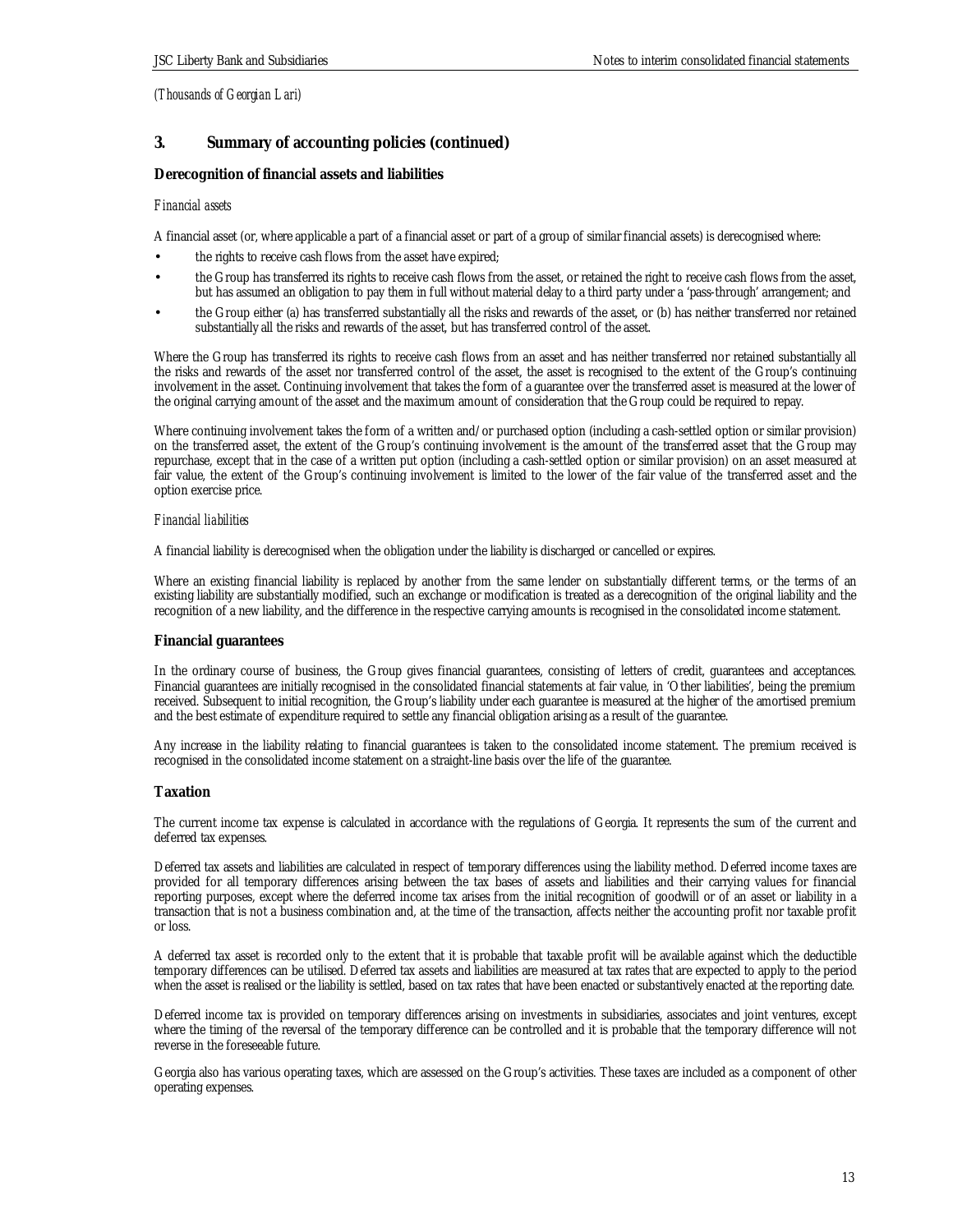# **3. Summary of accounting policies (continued)**

**Derecognition of financial assets and liabilities** 

#### *Financial assets*

A financial asset (or, where applicable a part of a financial asset or part of a group of similar financial assets) is derecognised where:

- the rights to receive cash flows from the asset have expired;
- the Group has transferred its rights to receive cash flows from the asset, or retained the right to receive cash flows from the asset, but has assumed an obligation to pay them in full without material delay to a third party under a 'pass-through' arrangement; and
- the Group either (a) has transferred substantially all the risks and rewards of the asset, or (b) has neither transferred nor retained substantially all the risks and rewards of the asset, but has transferred control of the asset.

Where the Group has transferred its rights to receive cash flows from an asset and has neither transferred nor retained substantially all the risks and rewards of the asset nor transferred control of the asset, the asset is recognised to the extent of the Group's continuing involvement in the asset. Continuing involvement that takes the form of a guarantee over the transferred asset is measured at the lower of the original carrying amount of the asset and the maximum amount of consideration that the Group could be required to repay.

Where continuing involvement takes the form of a written and/or purchased option (including a cash-settled option or similar provision) on the transferred asset, the extent of the Group's continuing involvement is the amount of the transferred asset that the Group may repurchase, except that in the case of a written put option (including a cash-settled option or similar provision) on an asset measured at fair value, the extent of the Group's continuing involvement is limited to the lower of the fair value of the transferred asset and the option exercise price.

#### *Financial liabilities*

A financial liability is derecognised when the obligation under the liability is discharged or cancelled or expires.

Where an existing financial liability is replaced by another from the same lender on substantially different terms, or the terms of an existing liability are substantially modified, such an exchange or modification is treated as a derecognition of the original liability and the recognition of a new liability, and the difference in the respective carrying amounts is recognised in the consolidated income statement.

#### **Financial guarantees**

In the ordinary course of business, the Group gives financial guarantees, consisting of letters of credit, guarantees and acceptances. Financial guarantees are initially recognised in the consolidated financial statements at fair value, in 'Other liabilities', being the premium received. Subsequent to initial recognition, the Group's liability under each guarantee is measured at the higher of the amortised premium and the best estimate of expenditure required to settle any financial obligation arising as a result of the guarantee.

Any increase in the liability relating to financial guarantees is taken to the consolidated income statement. The premium received is recognised in the consolidated income statement on a straight-line basis over the life of the guarantee.

#### **Taxation**

The current income tax expense is calculated in accordance with the regulations of Georgia. It represents the sum of the current and deferred tax expenses.

Deferred tax assets and liabilities are calculated in respect of temporary differences using the liability method. Deferred income taxes are provided for all temporary differences arising between the tax bases of assets and liabilities and their carrying values for financial reporting purposes, except where the deferred income tax arises from the initial recognition of goodwill or of an asset or liability in a transaction that is not a business combination and, at the time of the transaction, affects neither the accounting profit nor taxable profit or loss.

A deferred tax asset is recorded only to the extent that it is probable that taxable profit will be available against which the deductible temporary differences can be utilised. Deferred tax assets and liabilities are measured at tax rates that are expected to apply to the period when the asset is realised or the liability is settled, based on tax rates that have been enacted or substantively enacted at the reporting date.

Deferred income tax is provided on temporary differences arising on investments in subsidiaries, associates and joint ventures, except where the timing of the reversal of the temporary difference can be controlled and it is probable that the temporary difference will not reverse in the foreseeable future.

Georgia also has various operating taxes, which are assessed on the Group's activities. These taxes are included as a component of other operating expenses.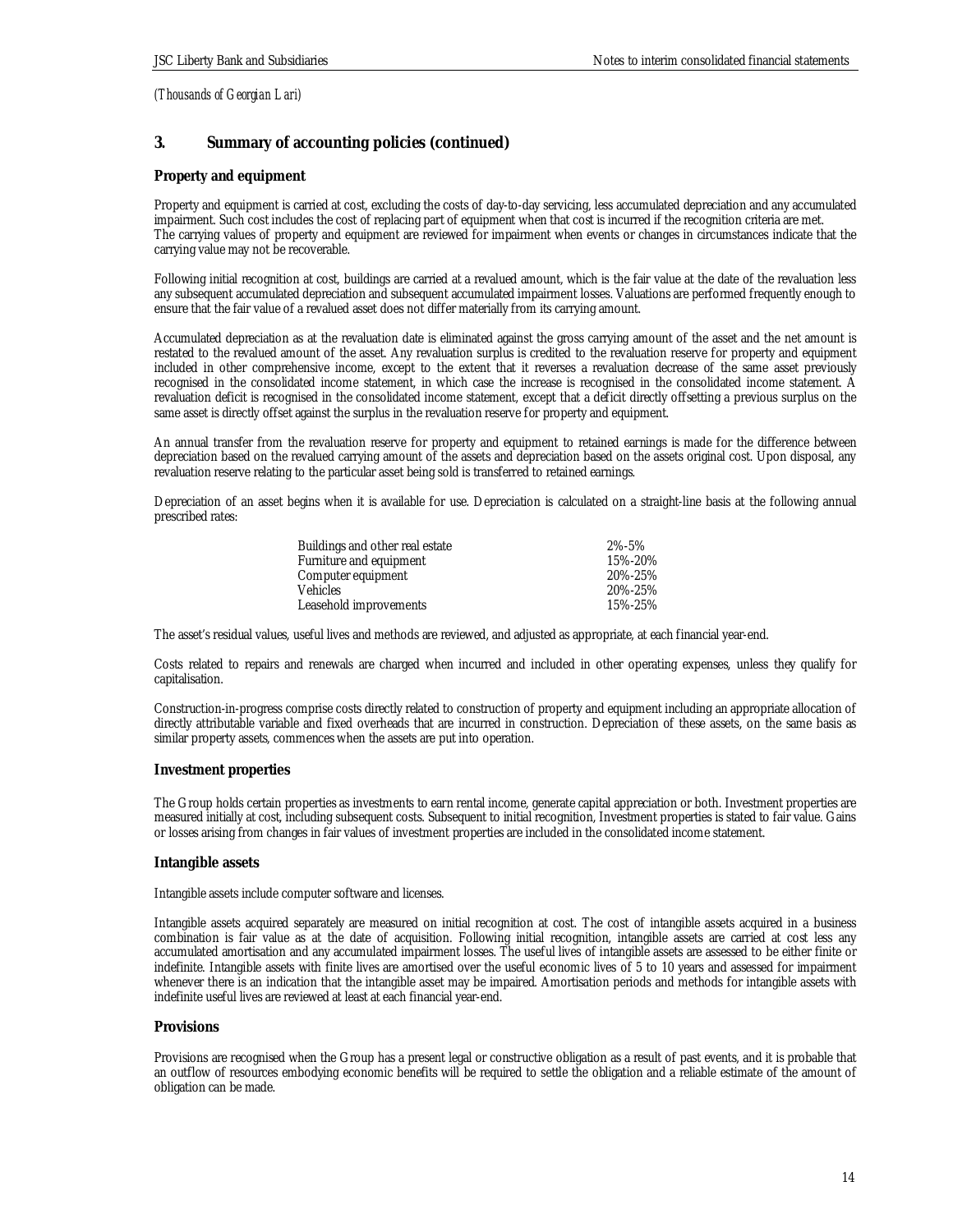# **3. Summary of accounting policies (continued)**

#### **Property and equipment**

Property and equipment is carried at cost, excluding the costs of day-to-day servicing, less accumulated depreciation and any accumulated impairment. Such cost includes the cost of replacing part of equipment when that cost is incurred if the recognition criteria are met. The carrying values of property and equipment are reviewed for impairment when events or changes in circumstances indicate that the carrying value may not be recoverable.

Following initial recognition at cost, buildings are carried at a revalued amount, which is the fair value at the date of the revaluation less any subsequent accumulated depreciation and subsequent accumulated impairment losses. Valuations are performed frequently enough to ensure that the fair value of a revalued asset does not differ materially from its carrying amount.

Accumulated depreciation as at the revaluation date is eliminated against the gross carrying amount of the asset and the net amount is restated to the revalued amount of the asset. Any revaluation surplus is credited to the revaluation reserve for property and equipment included in other comprehensive income, except to the extent that it reverses a revaluation decrease of the same asset previously recognised in the consolidated income statement, in which case the increase is recognised in the consolidated income statement. A revaluation deficit is recognised in the consolidated income statement, except that a deficit directly offsetting a previous surplus on the same asset is directly offset against the surplus in the revaluation reserve for property and equipment.

An annual transfer from the revaluation reserve for property and equipment to retained earnings is made for the difference between depreciation based on the revalued carrying amount of the assets and depreciation based on the assets original cost. Upon disposal, any revaluation reserve relating to the particular asset being sold is transferred to retained earnings.

Depreciation of an asset begins when it is available for use. Depreciation is calculated on a straight-line basis at the following annual prescribed rates:

| Buildings and other real estate | 2%-5%   |
|---------------------------------|---------|
| Furniture and equipment         | 15%-20% |
| Computer equipment              | 20%-25% |
| <b>Vehicles</b>                 | 20%-25% |
| Leasehold improvements          | 15%-25% |
|                                 |         |

The asset's residual values, useful lives and methods are reviewed, and adjusted as appropriate, at each financial year-end.

Costs related to repairs and renewals are charged when incurred and included in other operating expenses, unless they qualify for capitalisation.

Construction-in-progress comprise costs directly related to construction of property and equipment including an appropriate allocation of directly attributable variable and fixed overheads that are incurred in construction. Depreciation of these assets, on the same basis as similar property assets, commences when the assets are put into operation.

#### **Investment properties**

The Group holds certain properties as investments to earn rental income, generate capital appreciation or both. Investment properties are measured initially at cost, including subsequent costs. Subsequent to initial recognition, Investment properties is stated to fair value. Gains or losses arising from changes in fair values of investment properties are included in the consolidated income statement.

#### **Intangible assets**

#### Intangible assets include computer software and licenses.

Intangible assets acquired separately are measured on initial recognition at cost. The cost of intangible assets acquired in a business combination is fair value as at the date of acquisition. Following initial recognition, intangible assets are carried at cost less any accumulated amortisation and any accumulated impairment losses. The useful lives of intangible assets are assessed to be either finite or indefinite. Intangible assets with finite lives are amortised over the useful economic lives of 5 to 10 years and assessed for impairment whenever there is an indication that the intangible asset may be impaired. Amortisation periods and methods for intangible assets with indefinite useful lives are reviewed at least at each financial year-end.

#### **Provisions**

Provisions are recognised when the Group has a present legal or constructive obligation as a result of past events, and it is probable that an outflow of resources embodying economic benefits will be required to settle the obligation and a reliable estimate of the amount of obligation can be made.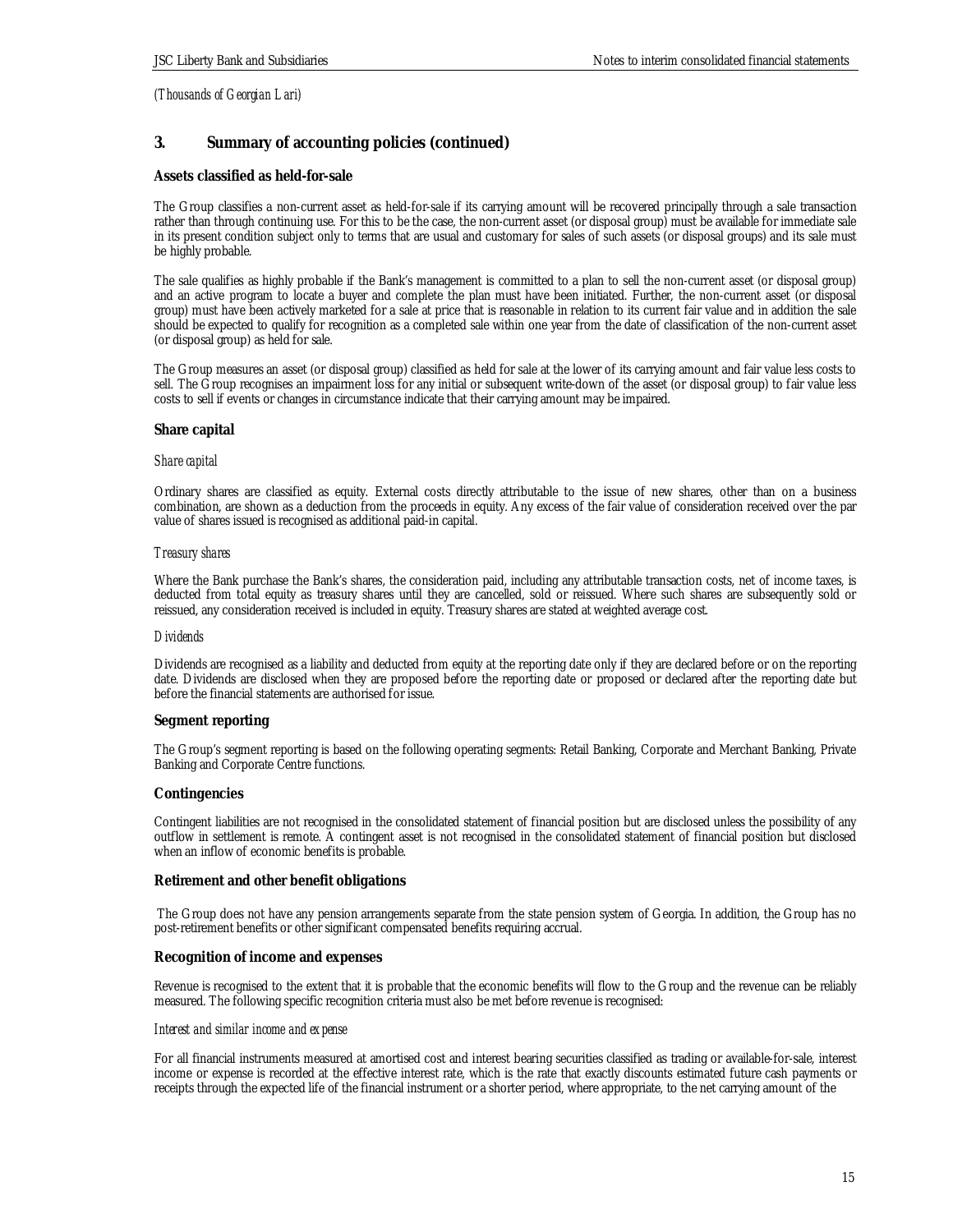# **3. Summary of accounting policies (continued)**

#### **Assets classified as held-for-sale**

The Group classifies a non-current asset as held-for-sale if its carrying amount will be recovered principally through a sale transaction rather than through continuing use. For this to be the case, the non-current asset (or disposal group) must be available for immediate sale in its present condition subject only to terms that are usual and customary for sales of such assets (or disposal groups) and its sale must be highly probable.

The sale qualifies as highly probable if the Bank's management is committed to a plan to sell the non-current asset (or disposal group) and an active program to locate a buyer and complete the plan must have been initiated. Further, the non-current asset (or disposal group) must have been actively marketed for a sale at price that is reasonable in relation to its current fair value and in addition the sale should be expected to qualify for recognition as a completed sale within one year from the date of classification of the non-current asset (or disposal group) as held for sale.

The Group measures an asset (or disposal group) classified as held for sale at the lower of its carrying amount and fair value less costs to sell. The Group recognises an impairment loss for any initial or subsequent write-down of the asset (or disposal group) to fair value less costs to sell if events or changes in circumstance indicate that their carrying amount may be impaired.

#### **Share capital**

#### *Share capital*

Ordinary shares are classified as equity. External costs directly attributable to the issue of new shares, other than on a business combination, are shown as a deduction from the proceeds in equity. Any excess of the fair value of consideration received over the par value of shares issued is recognised as additional paid-in capital.

#### *Treasury shares*

Where the Bank purchase the Bank's shares, the consideration paid, including any attributable transaction costs, net of income taxes, is deducted from total equity as treasury shares until they are cancelled, sold or reissued. Where such shares are subsequently sold or reissued, any consideration received is included in equity. Treasury shares are stated at weighted average cost.

#### *Dividends*

Dividends are recognised as a liability and deducted from equity at the reporting date only if they are declared before or on the reporting date. Dividends are disclosed when they are proposed before the reporting date or proposed or declared after the reporting date but before the financial statements are authorised for issue.

#### **Segment reporting**

The Group's segment reporting is based on the following operating segments: Retail Banking, Corporate and Merchant Banking, Private Banking and Corporate Centre functions.

#### **Contingencies**

Contingent liabilities are not recognised in the consolidated statement of financial position but are disclosed unless the possibility of any outflow in settlement is remote. A contingent asset is not recognised in the consolidated statement of financial position but disclosed when an inflow of economic benefits is probable.

#### **Retirement and other benefit obligations**

 The Group does not have any pension arrangements separate from the state pension system of Georgia. In addition, the Group has no post-retirement benefits or other significant compensated benefits requiring accrual.

#### **Recognition of income and expenses**

Revenue is recognised to the extent that it is probable that the economic benefits will flow to the Group and the revenue can be reliably measured. The following specific recognition criteria must also be met before revenue is recognised:

#### *Interest and similar income and expense*

For all financial instruments measured at amortised cost and interest bearing securities classified as trading or available-for-sale, interest income or expense is recorded at the effective interest rate, which is the rate that exactly discounts estimated future cash payments or receipts through the expected life of the financial instrument or a shorter period, where appropriate, to the net carrying amount of the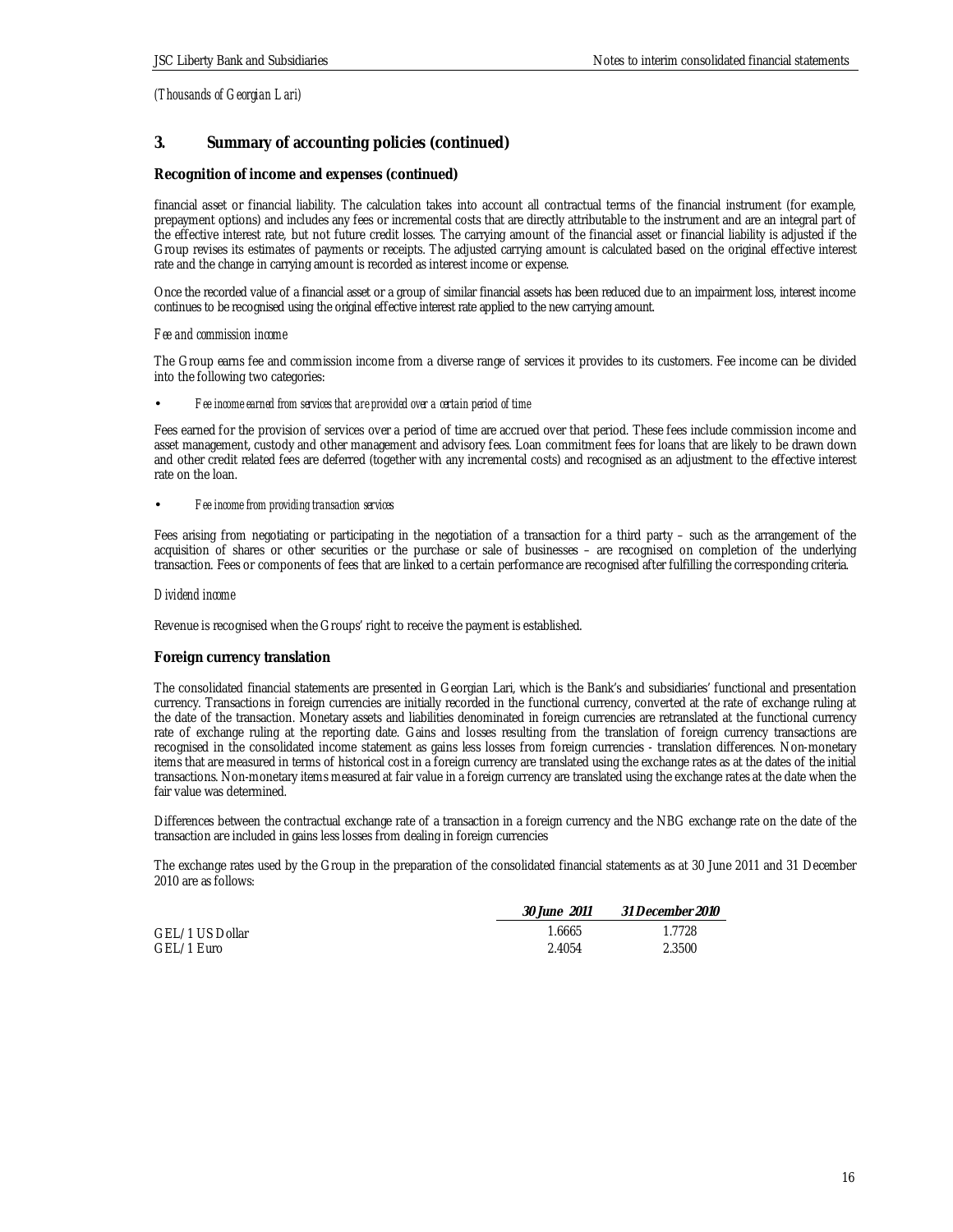# **3. Summary of accounting policies (continued)**

### **Recognition of income and expenses (continued)**

financial asset or financial liability. The calculation takes into account all contractual terms of the financial instrument (for example, prepayment options) and includes any fees or incremental costs that are directly attributable to the instrument and are an integral part of the effective interest rate, but not future credit losses. The carrying amount of the financial asset or financial liability is adjusted if the Group revises its estimates of payments or receipts. The adjusted carrying amount is calculated based on the original effective interest rate and the change in carrying amount is recorded as interest income or expense.

Once the recorded value of a financial asset or a group of similar financial assets has been reduced due to an impairment loss, interest income continues to be recognised using the original effective interest rate applied to the new carrying amount.

#### *Fee and commission income*

The Group earns fee and commission income from a diverse range of services it provides to its customers. Fee income can be divided into the following two categories:

#### • *Fee income earned from services that are provided over a certain period of time*

Fees earned for the provision of services over a period of time are accrued over that period. These fees include commission income and asset management, custody and other management and advisory fees. Loan commitment fees for loans that are likely to be drawn down and other credit related fees are deferred (together with any incremental costs) and recognised as an adjustment to the effective interest rate on the loan.

#### • *Fee income from providing transaction services*

Fees arising from negotiating or participating in the negotiation of a transaction for a third party – such as the arrangement of the acquisition of shares or other securities or the purchase or sale of businesses – are recognised on completion of the underlying transaction. Fees or components of fees that are linked to a certain performance are recognised after fulfilling the corresponding criteria.

#### *Dividend income*

Revenue is recognised when the Groups' right to receive the payment is established.

#### **Foreign currency translation**

The consolidated financial statements are presented in Georgian Lari, which is the Bank's and subsidiaries' functional and presentation currency. Transactions in foreign currencies are initially recorded in the functional currency, converted at the rate of exchange ruling at the date of the transaction. Monetary assets and liabilities denominated in foreign currencies are retranslated at the functional currency rate of exchange ruling at the reporting date. Gains and losses resulting from the translation of foreign currency transactions are recognised in the consolidated income statement as gains less losses from foreign currencies - translation differences. Non-monetary items that are measured in terms of historical cost in a foreign currency are translated using the exchange rates as at the dates of the initial transactions. Non-monetary items measured at fair value in a foreign currency are translated using the exchange rates at the date when the fair value was determined.

Differences between the contractual exchange rate of a transaction in a foreign currency and the NBG exchange rate on the date of the transaction are included in gains less losses from dealing in foreign currencies

The exchange rates used by the Group in the preparation of the consolidated financial statements as at 30 June 2011 and 31 December 2010 are as follows:

|                 | <i>30 June 2011</i> | <i>31 December 2010</i> |
|-----------------|---------------------|-------------------------|
| GEL/1 US Dollar | 1.6665              | 1.7728                  |
| GEL/1 Euro      | 2.4054              | 2.3500                  |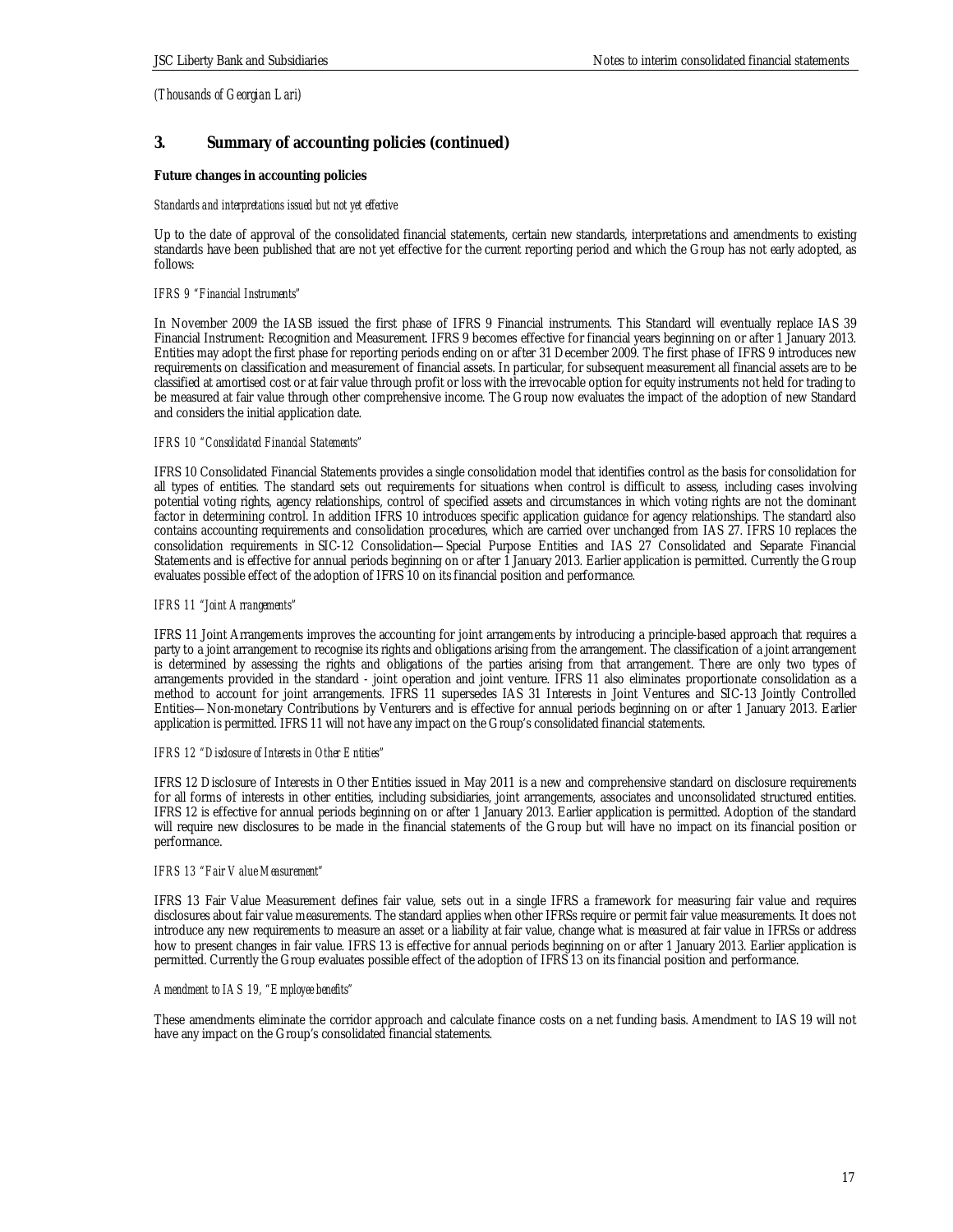# **3. Summary of accounting policies (continued)**

**Future changes in accounting policies** 

#### *Standards and interpretations issued but not yet effective*

Up to the date of approval of the consolidated financial statements, certain new standards, interpretations and amendments to existing standards have been published that are not yet effective for the current reporting period and which the Group has not early adopted, as follows:

#### *IFRS 9 "Financial Instruments"*

In November 2009 the IASB issued the first phase of IFRS 9 Financial instruments. This Standard will eventually replace IAS 39 Financial Instrument: Recognition and Measurement. IFRS 9 becomes effective for financial years beginning on or after 1 January 2013. Entities may adopt the first phase for reporting periods ending on or after 31 December 2009. The first phase of IFRS 9 introduces new requirements on classification and measurement of financial assets. In particular, for subsequent measurement all financial assets are to be classified at amortised cost or at fair value through profit or loss with the irrevocable option for equity instruments not held for trading to be measured at fair value through other comprehensive income. The Group now evaluates the impact of the adoption of new Standard and considers the initial application date.

#### *IFRS 10 "Consolidated Financial Statements"*

IFRS 10 Consolidated Financial Statements provides a single consolidation model that identifies control as the basis for consolidation for all types of entities. The standard sets out requirements for situations when control is difficult to assess, including cases involving potential voting rights, agency relationships, control of specified assets and circumstances in which voting rights are not the dominant factor in determining control. In addition IFRS 10 introduces specific application guidance for agency relationships. The standard also contains accounting requirements and consolidation procedures, which are carried over unchanged from IAS 27. IFRS 10 replaces the consolidation requirements in SIC-12 Consolidation—Special Purpose Entities and IAS 27 Consolidated and Separate Financial Statements and is effective for annual periods beginning on or after 1 January 2013. Earlier application is permitted. Currently the Group evaluates possible effect of the adoption of IFRS 10 on its financial position and performance.

#### *IFRS 11 "Joint Arrangements"*

IFRS 11 Joint Arrangements improves the accounting for joint arrangements by introducing a principle-based approach that requires a party to a joint arrangement to recognise its rights and obligations arising from the arrangement. The classification of a joint arrangement is determined by assessing the rights and obligations of the parties arising from that arrangement. There are only two types of arrangements provided in the standard - joint operation and joint venture. IFRS 11 also eliminates proportionate consolidation as a method to account for joint arrangements. IFRS 11 supersedes IAS 31 Interests in Joint Ventures and SIC-13 Jointly Controlled Entities—Non-monetary Contributions by Venturers and is effective for annual periods beginning on or after 1 January 2013. Earlier application is permitted. IFRS 11 will not have any impact on the Group's consolidated financial statements.

#### *IFRS 12 "Disclosure of Interests in Other Entities"*

IFRS 12 Disclosure of Interests in Other Entities issued in May 2011 is a new and comprehensive standard on disclosure requirements for all forms of interests in other entities, including subsidiaries, joint arrangements, associates and unconsolidated structured entities. IFRS 12 is effective for annual periods beginning on or after 1 January 2013. Earlier application is permitted. Adoption of the standard will require new disclosures to be made in the financial statements of the Group but will have no impact on its financial position or performance.

#### *IFRS 13 "Fair Value Measurement"*

IFRS 13 Fair Value Measurement defines fair value, sets out in a single IFRS a framework for measuring fair value and requires disclosures about fair value measurements. The standard applies when other IFRSs require or permit fair value measurements. It does not introduce any new requirements to measure an asset or a liability at fair value, change what is measured at fair value in IFRSs or address how to present changes in fair value. IFRS 13 is effective for annual periods beginning on or after 1 January 2013. Earlier application is permitted. Currently the Group evaluates possible effect of the adoption of IFRS 13 on its financial position and performance.

#### *Amendment to IAS 19, "Employee benefits"*

These amendments eliminate the corridor approach and calculate finance costs on a net funding basis. Amendment to IAS 19 will not have any impact on the Group's consolidated financial statements.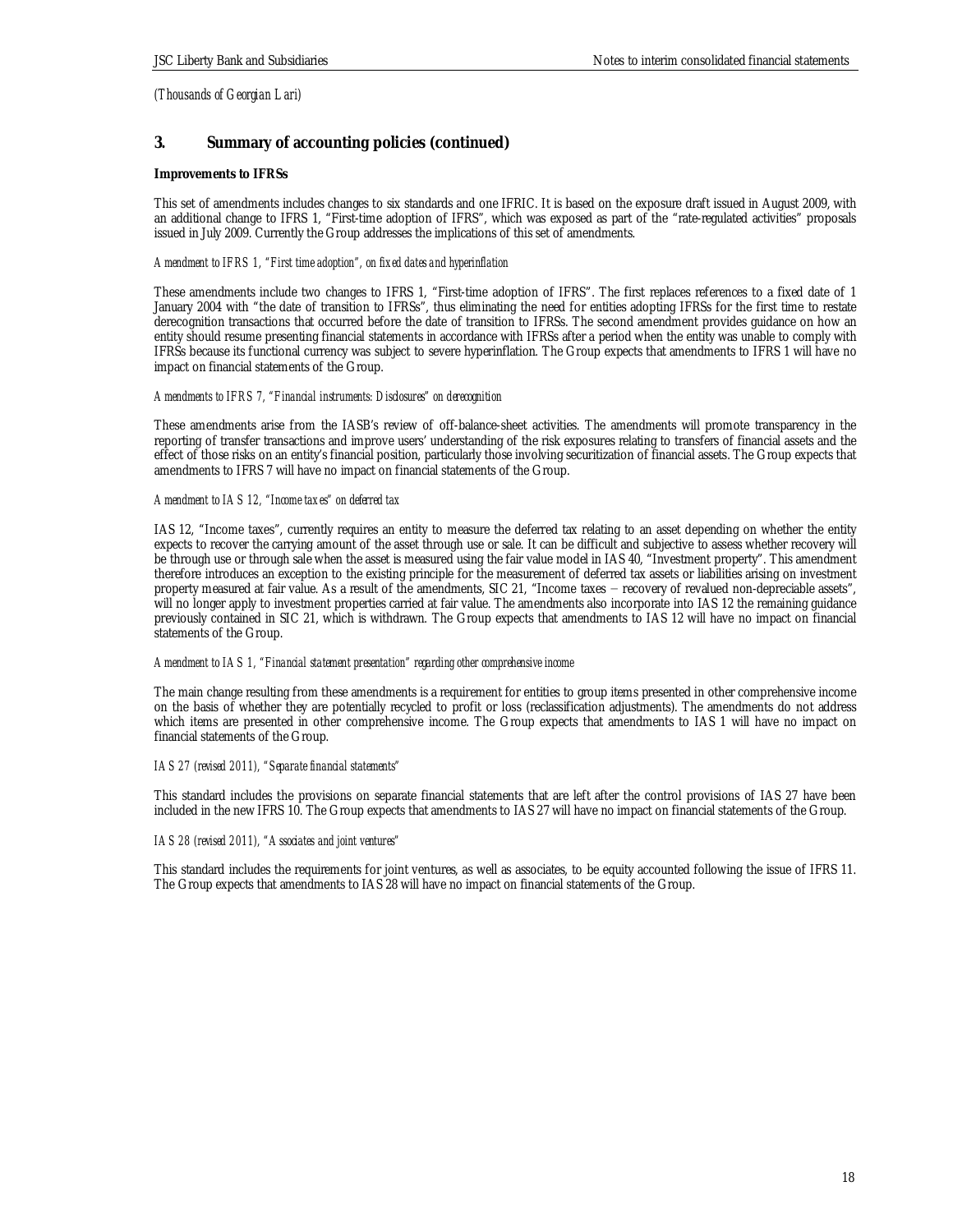# **3. Summary of accounting policies (continued)**

#### **Improvements to IFRSs**

This set of amendments includes changes to six standards and one IFRIC. It is based on the exposure draft issued in August 2009, with an additional change to IFRS 1, "First-time adoption of IFRS", which was exposed as part of the "rate-regulated activities" proposals issued in July 2009. Currently the Group addresses the implications of this set of amendments.

#### *Amendment to IFRS 1, "First time adoption", on fixed dates and hyperinflation*

These amendments include two changes to IFRS 1, "First-time adoption of IFRS". The first replaces references to a fixed date of 1 January 2004 with "the date of transition to IFRSs", thus eliminating the need for entities adopting IFRSs for the first time to restate derecognition transactions that occurred before the date of transition to IFRSs. The second amendment provides guidance on how an entity should resume presenting financial statements in accordance with IFRSs after a period when the entity was unable to comply with IFRSs because its functional currency was subject to severe hyperinflation. The Group expects that amendments to IFRS 1 will have no impact on financial statements of the Group.

#### *Amendments to IFRS 7, "Financial instruments: Disclosures" on derecognition*

These amendments arise from the IASB's review of off-balance-sheet activities. The amendments will promote transparency in the reporting of transfer transactions and improve users' understanding of the risk exposures relating to transfers of financial assets and the effect of those risks on an entity's financial position, particularly those involving securitization of financial assets. The Group expects that amendments to IFRS 7 will have no impact on financial statements of the Group.

### *Amendment to IAS 12, "Income taxes" on deferred tax*

IAS 12, "Income taxes", currently requires an entity to measure the deferred tax relating to an asset depending on whether the entity expects to recover the carrying amount of the asset through use or sale. It can be difficult and subjective to assess whether recovery will be through use or through sale when the asset is measured using the fair value model in IAS 40, "Investment property". This amendment therefore introduces an exception to the existing principle for the measurement of deferred tax assets or liabilities arising on investment property measured at fair value. As a result of the amendments, SIC 21, "Income taxes - recovery of revalued non-depreciable assets", will no longer apply to investment properties carried at fair value. The amendments also incorporate into IAS 12 the remaining guidance previously contained in SIC 21, which is withdrawn. The Group expects that amendments to IAS 12 will have no impact on financial statements of the Group.

#### *Amendment to IAS 1, "Financial statement presentation" regarding other comprehensive income*

The main change resulting from these amendments is a requirement for entities to group items presented in other comprehensive income on the basis of whether they are potentially recycled to profit or loss (reclassification adjustments). The amendments do not address which items are presented in other comprehensive income. The Group expects that amendments to IAS 1 will have no impact on financial statements of the Group.

#### *IAS 27 (revised 2011), "Separate financial statements"*

This standard includes the provisions on separate financial statements that are left after the control provisions of IAS 27 have been included in the new IFRS 10. The Group expects that amendments to IAS 27 will have no impact on financial statements of the Group.

#### *IAS 28 (revised 2011), "Associates and joint ventures"*

This standard includes the requirements for joint ventures, as well as associates, to be equity accounted following the issue of IFRS 11. The Group expects that amendments to IAS 28 will have no impact on financial statements of the Group.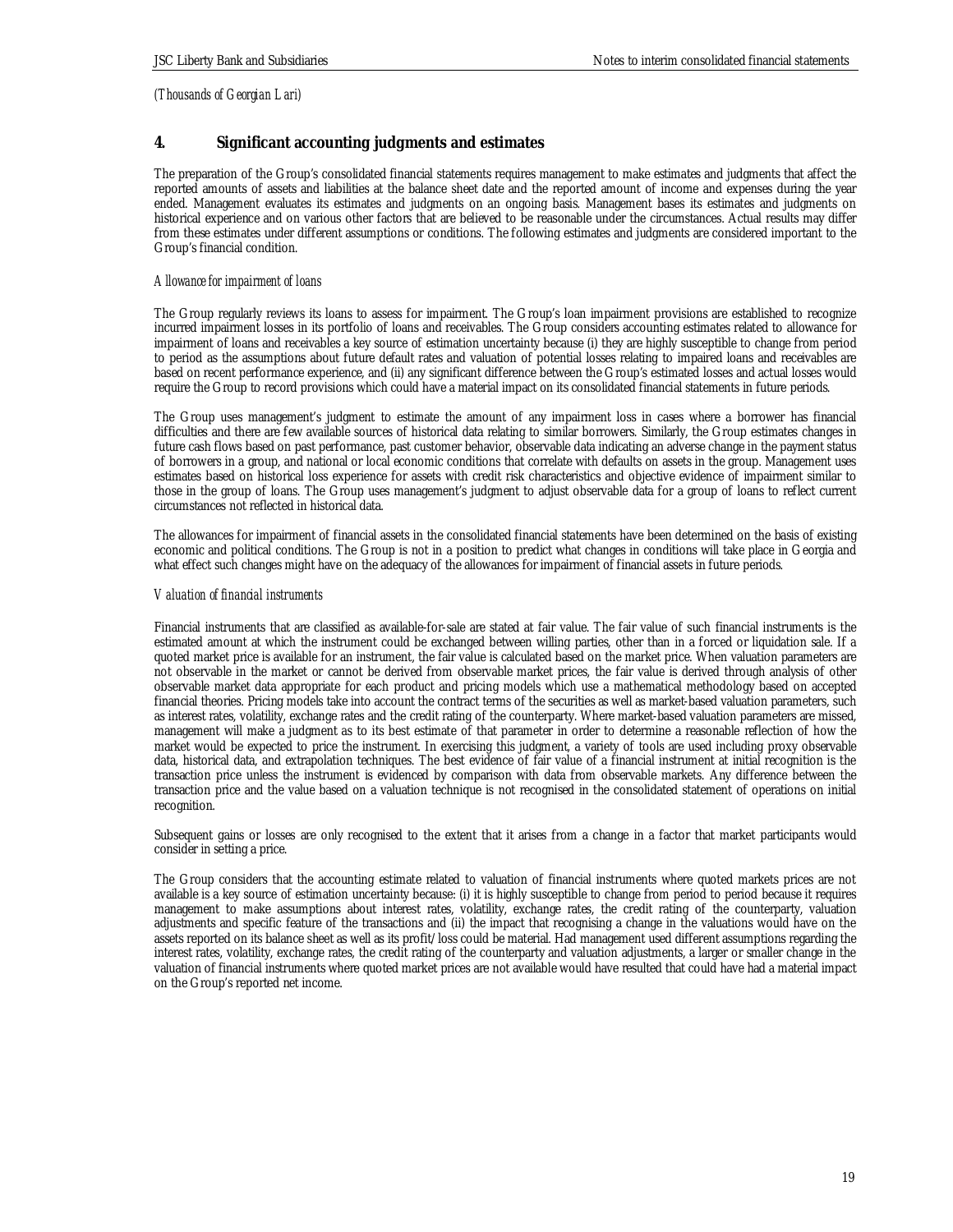# **4. Significant accounting judgments and estimates**

The preparation of the Group's consolidated financial statements requires management to make estimates and judgments that affect the reported amounts of assets and liabilities at the balance sheet date and the reported amount of income and expenses during the year ended. Management evaluates its estimates and judgments on an ongoing basis. Management bases its estimates and judgments on historical experience and on various other factors that are believed to be reasonable under the circumstances. Actual results may differ from these estimates under different assumptions or conditions. The following estimates and judgments are considered important to the Group's financial condition.

### *Allowance for impairment of loans*

The Group regularly reviews its loans to assess for impairment. The Group's loan impairment provisions are established to recognize incurred impairment losses in its portfolio of loans and receivables. The Group considers accounting estimates related to allowance for impairment of loans and receivables a key source of estimation uncertainty because (i) they are highly susceptible to change from period to period as the assumptions about future default rates and valuation of potential losses relating to impaired loans and receivables are based on recent performance experience, and (ii) any significant difference between the Group's estimated losses and actual losses would require the Group to record provisions which could have a material impact on its consolidated financial statements in future periods.

The Group uses management's judgment to estimate the amount of any impairment loss in cases where a borrower has financial difficulties and there are few available sources of historical data relating to similar borrowers. Similarly, the Group estimates changes in future cash flows based on past performance, past customer behavior, observable data indicating an adverse change in the payment status of borrowers in a group, and national or local economic conditions that correlate with defaults on assets in the group. Management uses estimates based on historical loss experience for assets with credit risk characteristics and objective evidence of impairment similar to those in the group of loans. The Group uses management's judgment to adjust observable data for a group of loans to reflect current circumstances not reflected in historical data.

The allowances for impairment of financial assets in the consolidated financial statements have been determined on the basis of existing economic and political conditions. The Group is not in a position to predict what changes in conditions will take place in Georgia and what effect such changes might have on the adequacy of the allowances for impairment of financial assets in future periods.

### *Valuation of financial instruments*

Financial instruments that are classified as available-for-sale are stated at fair value. The fair value of such financial instruments is the estimated amount at which the instrument could be exchanged between willing parties, other than in a forced or liquidation sale. If a quoted market price is available for an instrument, the fair value is calculated based on the market price. When valuation parameters are not observable in the market or cannot be derived from observable market prices, the fair value is derived through analysis of other observable market data appropriate for each product and pricing models which use a mathematical methodology based on accepted financial theories. Pricing models take into account the contract terms of the securities as well as market-based valuation parameters, such as interest rates, volatility, exchange rates and the credit rating of the counterparty. Where market-based valuation parameters are missed, management will make a judgment as to its best estimate of that parameter in order to determine a reasonable reflection of how the market would be expected to price the instrument. In exercising this judgment, a variety of tools are used including proxy observable data, historical data, and extrapolation techniques. The best evidence of fair value of a financial instrument at initial recognition is the transaction price unless the instrument is evidenced by comparison with data from observable markets. Any difference between the transaction price and the value based on a valuation technique is not recognised in the consolidated statement of operations on initial recognition.

Subsequent gains or losses are only recognised to the extent that it arises from a change in a factor that market participants would consider in setting a price.

The Group considers that the accounting estimate related to valuation of financial instruments where quoted markets prices are not available is a key source of estimation uncertainty because: (i) it is highly susceptible to change from period to period because it requires management to make assumptions about interest rates, volatility, exchange rates, the credit rating of the counterparty, valuation adjustments and specific feature of the transactions and (ii) the impact that recognising a change in the valuations would have on the assets reported on its balance sheet as well as its profit/loss could be material. Had management used different assumptions regarding the interest rates, volatility, exchange rates, the credit rating of the counterparty and valuation adjustments, a larger or smaller change in the valuation of financial instruments where quoted market prices are not available would have resulted that could have had a material impact on the Group's reported net income.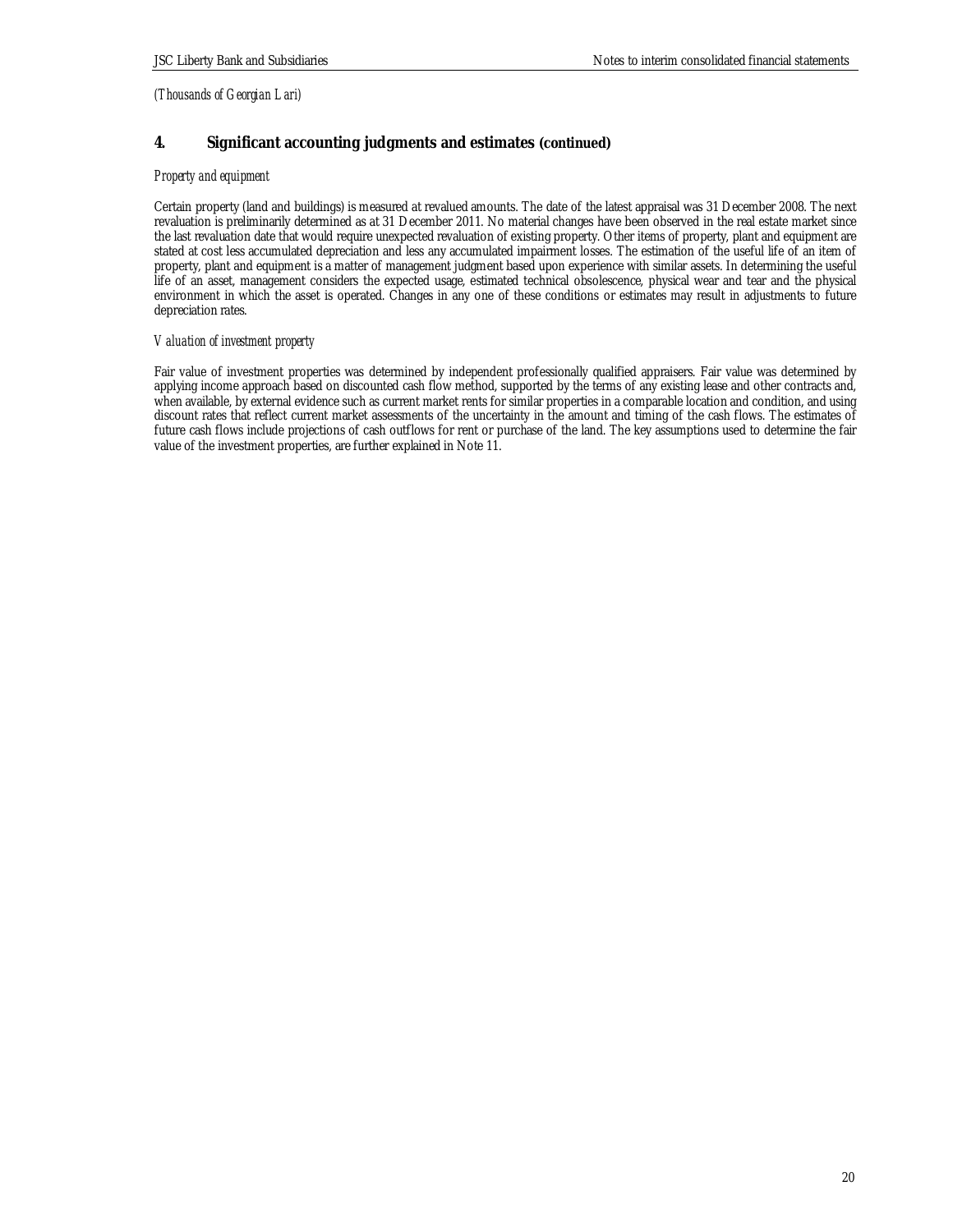# **4. Significant accounting judgments and estimates (continued)**

#### *Property and equipment*

Certain property (land and buildings) is measured at revalued amounts. The date of the latest appraisal was 31 December 2008. The next revaluation is preliminarily determined as at 31 December 2011. No material changes have been observed in the real estate market since the last revaluation date that would require unexpected revaluation of existing property. Other items of property, plant and equipment are stated at cost less accumulated depreciation and less any accumulated impairment losses. The estimation of the useful life of an item of property, plant and equipment is a matter of management judgment based upon experience with similar assets. In determining the useful life of an asset, management considers the expected usage, estimated technical obsolescence, physical wear and tear and the physical environment in which the asset is operated. Changes in any one of these conditions or estimates may result in adjustments to future depreciation rates.

#### *Valuation of investment property*

Fair value of investment properties was determined by independent professionally qualified appraisers. Fair value was determined by applying income approach based on discounted cash flow method, supported by the terms of any existing lease and other contracts and, when available, by external evidence such as current market rents for similar properties in a comparable location and condition, and using discount rates that reflect current market assessments of the uncertainty in the amount and timing of the cash flows. The estimates of future cash flows include projections of cash outflows for rent or purchase of the land. The key assumptions used to determine the fair value of the investment properties, are further explained in Note 11.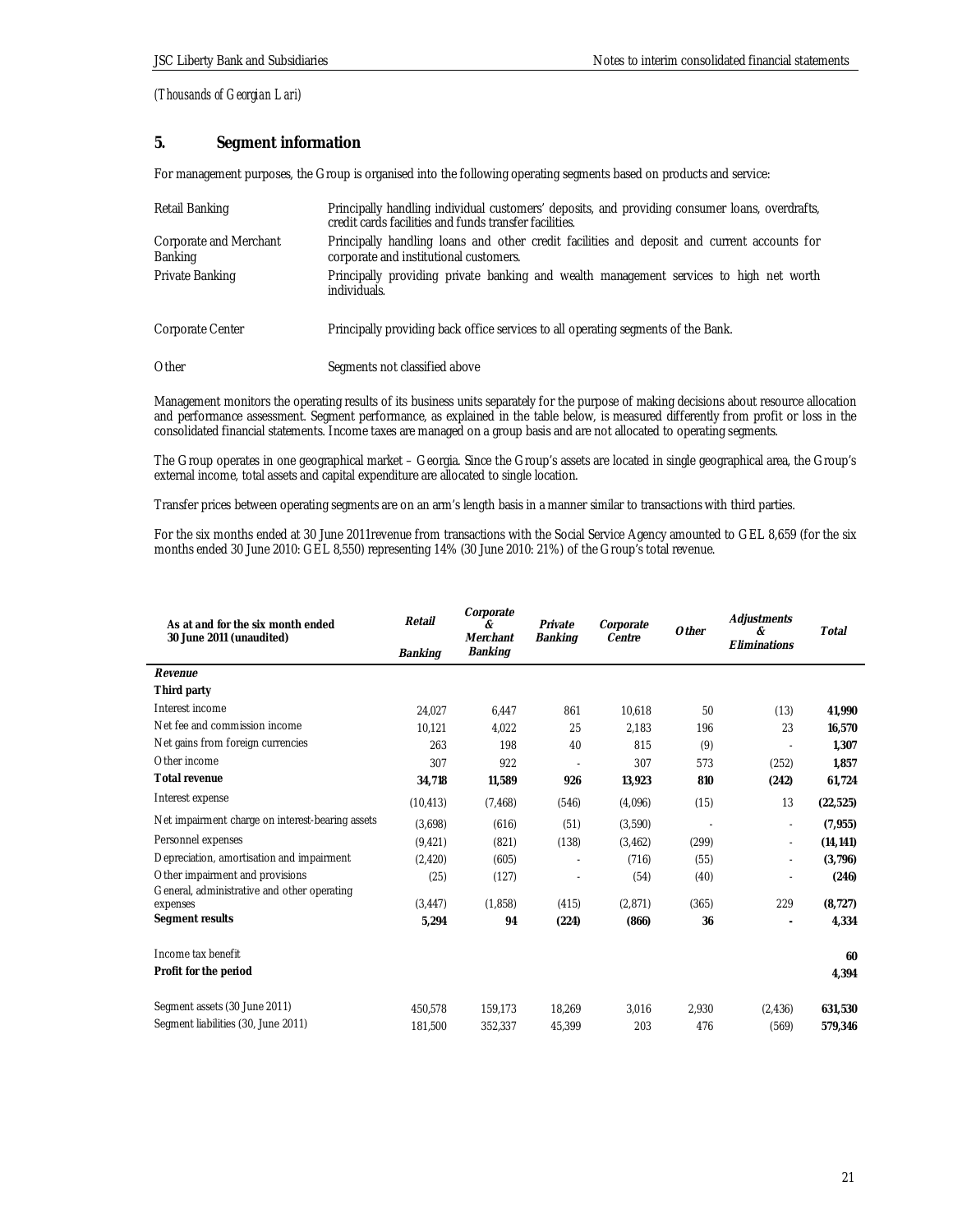# **5. Segment information**

For management purposes, the Group is organised into the following operating segments based on products and service:

| Retail Banking                    | Principally handling individual customers' deposits, and providing consumer loans, overdrafts,<br>credit cards facilities and funds transfer facilities. |
|-----------------------------------|----------------------------------------------------------------------------------------------------------------------------------------------------------|
| Corporate and Merchant<br>Banking | Principally handling loans and other credit facilities and deposit and current accounts for<br>corporate and institutional customers.                    |
| Private Banking                   | Principally providing private banking and wealth management services to high net worth<br>individuals.                                                   |
| Corporate Center                  | Principally providing back office services to all operating segments of the Bank.                                                                        |
| Other                             | Segments not classified above                                                                                                                            |

Management monitors the operating results of its business units separately for the purpose of making decisions about resource allocation and performance assessment. Segment performance, as explained in the table below, is measured differently from profit or loss in the consolidated financial statements. Income taxes are managed on a group basis and are not allocated to operating segments.

The Group operates in one geographical market – Georgia. Since the Group's assets are located in single geographical area, the Group's external income, total assets and capital expenditure are allocated to single location.

Transfer prices between operating segments are on an arm's length basis in a manner similar to transactions with third parties.

For the six months ended at 30 June 2011revenue from transactions with the Social Service Agency amounted to GEL 8,659 (for the six months ended 30 June 2010: GEL 8,550) representing 14% (30 June 2010: 21%) of the Group's total revenue.

| As at and for the six month ended<br>30 June 2011 (unaudited)                  | Retail<br>Banking | Corporate<br>&<br>Merchant<br>Banking | Private<br>Banking | Corporate<br>Centre | Other | Adjustments<br>&<br>Eliminations | Total     |
|--------------------------------------------------------------------------------|-------------------|---------------------------------------|--------------------|---------------------|-------|----------------------------------|-----------|
| Revenue                                                                        |                   |                                       |                    |                     |       |                                  |           |
| Third party                                                                    |                   |                                       |                    |                     |       |                                  |           |
| Interest income                                                                | 24.027            | 6,447                                 | 861                | 10.618              | 50    | (13)                             | 41,990    |
| Net fee and commission income                                                  | 10,121            | 4,022                                 | 25                 | 2,183               | 196   | 23                               | 16,570    |
| Net gains from foreign currencies                                              | 263               | 198                                   | 40                 | 815                 | (9)   |                                  | 1,307     |
| Other income                                                                   | 307               | 922                                   |                    | 307                 | 573   | (252)                            | 1,857     |
| Total revenue                                                                  | 34,718            | 11,589                                | 926                | 13,923              | 810   | (242)                            | 61,724    |
| Interest expense                                                               | (10, 413)         | (7, 468)                              | (546)              | (4,096)             | (15)  | 13                               | (22, 525) |
| Net impairment charge on interest-bearing assets                               | (3,698)           | (616)                                 | (51)               | (3,590)             | ×,    | $\overline{\phantom{a}}$         | (7, 955)  |
| Personnel expenses                                                             | (9, 421)          | (821)                                 | (138)              | (3, 462)            | (299) | $\overline{\phantom{a}}$         | (14, 141) |
| Depreciation, amortisation and impairment                                      | (2, 420)          | (605)                                 |                    | (716)               | (55)  | ٠                                | (3,796)   |
| Other impairment and provisions<br>General, administrative and other operating | (25)              | (127)                                 |                    | (54)                | (40)  |                                  | (246)     |
| expenses                                                                       | (3, 447)          | (1,858)                               | (415)              | (2,871)             | (365) | 229                              | (8, 727)  |
| Segment results                                                                | 5,294             | 94                                    | (224)              | (866)               | 36    |                                  | 4,334     |
| Income tax benefit                                                             |                   |                                       |                    |                     |       |                                  | 60        |
| Profit for the period                                                          |                   |                                       |                    |                     |       |                                  | 4,394     |
| Segment assets (30 June 2011)                                                  | 450,578           | 159,173                               | 18,269             | 3,016               | 2,930 | (2, 436)                         | 631,530   |
| Segment liabilities (30, June 2011)                                            | 181,500           | 352,337                               | 45,399             | 203                 | 476   | (569)                            | 579,346   |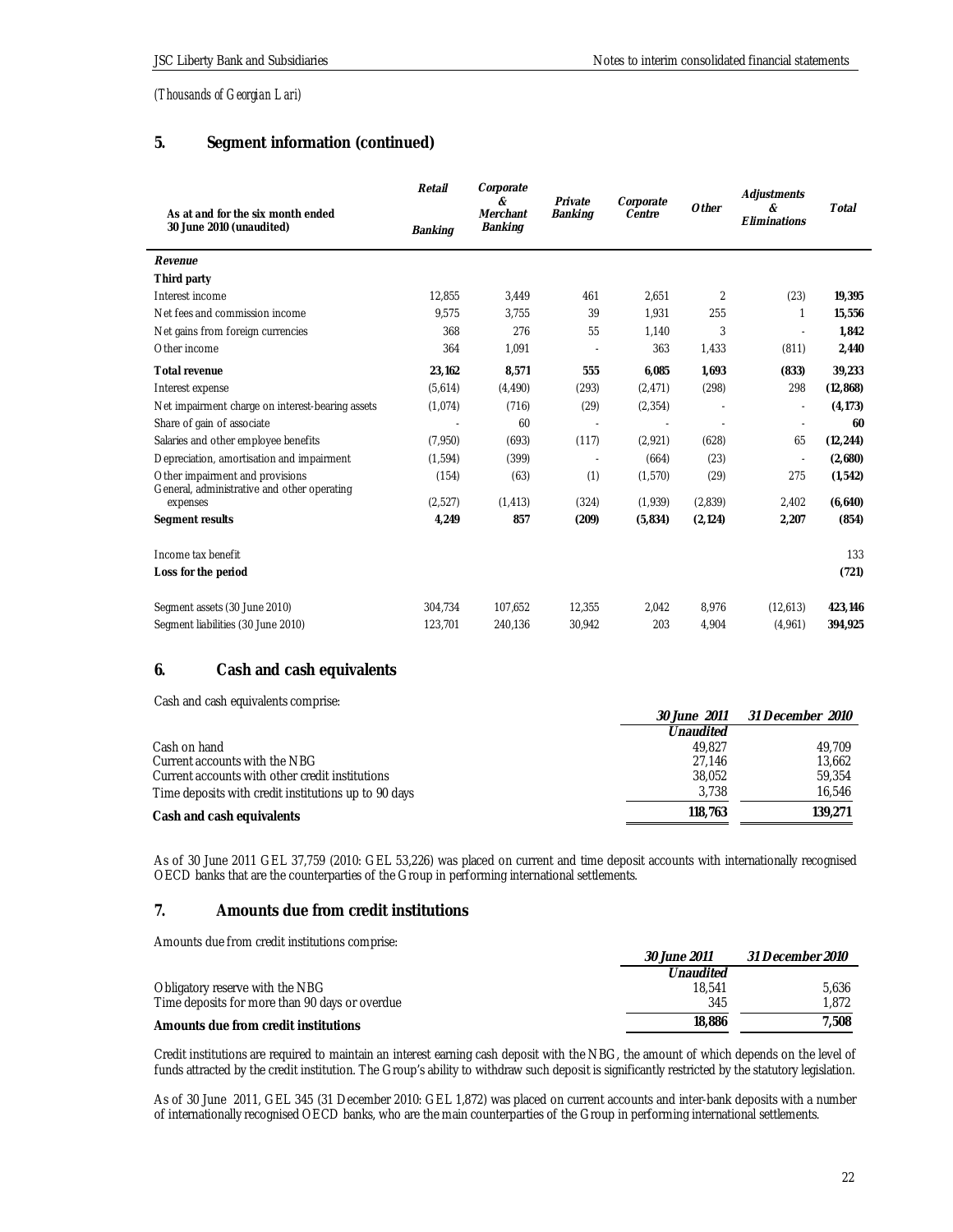# **5. Segment information (continued)**

| As at and for the six month ended<br>30 June 2010 (unaudited)                  | Retail<br><b>Banking</b> | Corporate<br>&<br>Merchant<br>Banking | Private<br>Banking | Corporate<br>Centre | Other    | Adjustments<br>&<br>Eliminations | Total     |
|--------------------------------------------------------------------------------|--------------------------|---------------------------------------|--------------------|---------------------|----------|----------------------------------|-----------|
| Revenue                                                                        |                          |                                       |                    |                     |          |                                  |           |
| Third party                                                                    |                          |                                       |                    |                     |          |                                  |           |
| Interest income                                                                | 12,855                   | 3,449                                 | 461                | 2,651               | 2        | (23)                             | 19,395    |
| Net fees and commission income                                                 | 9,575                    | 3,755                                 | 39                 | 1,931               | 255      | 1                                | 15,556    |
| Net gains from foreign currencies                                              | 368                      | 276                                   | 55                 | 1,140               | 3        |                                  | 1,842     |
| Other income                                                                   | 364                      | 1,091                                 |                    | 363                 | 1,433    | (811)                            | 2,440     |
| Total revenue                                                                  | 23,162                   | 8,571                                 | 555                | 6,085               | 1,693    | (833)                            | 39,233    |
| Interest expense                                                               | (5,614)                  | (4, 490)                              | (293)              | (2, 471)            | (298)    | 298                              | (12, 868) |
| Net impairment charge on interest-bearing assets                               | (1,074)                  | (716)                                 | (29)               | (2, 354)            |          |                                  | (4, 173)  |
| Share of gain of associate                                                     |                          | 60                                    |                    |                     | ٠        |                                  | 60        |
| Salaries and other employee benefits                                           | (7,950)                  | (693)                                 | (117)              | (2,921)             | (628)    | 65                               | (12, 244) |
| Depreciation, amortisation and impairment                                      | (1, 594)                 | (399)                                 |                    | (664)               | (23)     | $\overline{a}$                   | (2,680)   |
| Other impairment and provisions<br>General, administrative and other operating | (154)                    | (63)                                  | (1)                | (1,570)             | (29)     | 275                              | (1, 542)  |
| expenses                                                                       | (2,527)                  | (1, 413)                              | (324)              | (1,939)             | (2,839)  | 2,402                            | (6,640)   |
| Segment results                                                                | 4,249                    | 857                                   | (209)              | (5,834)             | (2, 124) | 2,207                            | (854)     |
| Income tax benefit                                                             |                          |                                       |                    |                     |          |                                  | 133       |
| Loss for the period                                                            |                          |                                       |                    |                     |          |                                  | (721)     |
| Segment assets (30 June 2010)                                                  | 304,734                  | 107,652                               | 12,355             | 2,042               | 8,976    | (12,613)                         | 423,146   |
| Segment liabilities (30 June 2010)                                             | 123,701                  | 240,136                               | 30,942             | 203                 | 4,904    | (4,961)                          | 394,925   |

### **6. Cash and cash equivalents**

Cash and cash equivalents comprise:

|                                                      | <i>30 June 2011</i> | <i>31 December 2010</i> |
|------------------------------------------------------|---------------------|-------------------------|
|                                                      | Unaudited           |                         |
| Cash on hand                                         | 49.827              | 49.709                  |
| Current accounts with the NBG                        | 27.146              | 13.662                  |
| Current accounts with other credit institutions      | 38.052              | 59,354                  |
| Time deposits with credit institutions up to 90 days | 3.738               | 16.546                  |
| Cash and cash equivalents                            | 118.763             | 139.271                 |

As of 30 June 2011 GEL 37,759 (2010: GEL 53,226) was placed on current and time deposit accounts with internationally recognised OECD banks that are the counterparties of the Group in performing international settlements.

# **7. Amounts due from credit institutions**

Amounts due from credit institutions comprise:

|                                                | <i>30 June 2011</i> | <i>31 December 2010</i> |
|------------------------------------------------|---------------------|-------------------------|
|                                                | Unaudited           |                         |
| Obligatory reserve with the NBG                | 18,541              | 5.636                   |
| Time deposits for more than 90 days or overdue | 345                 | 1.872                   |
| Amounts due from credit institutions           | 18.886              | 7.508                   |

Credit institutions are required to maintain an interest earning cash deposit with the NBG, the amount of which depends on the level of funds attracted by the credit institution. The Group's ability to withdraw such deposit is significantly restricted by the statutory legislation.

As of 30 June 2011, GEL 345 (31 December 2010: GEL 1,872) was placed on current accounts and inter-bank deposits with a number of internationally recognised OECD banks, who are the main counterparties of the Group in performing international settlements.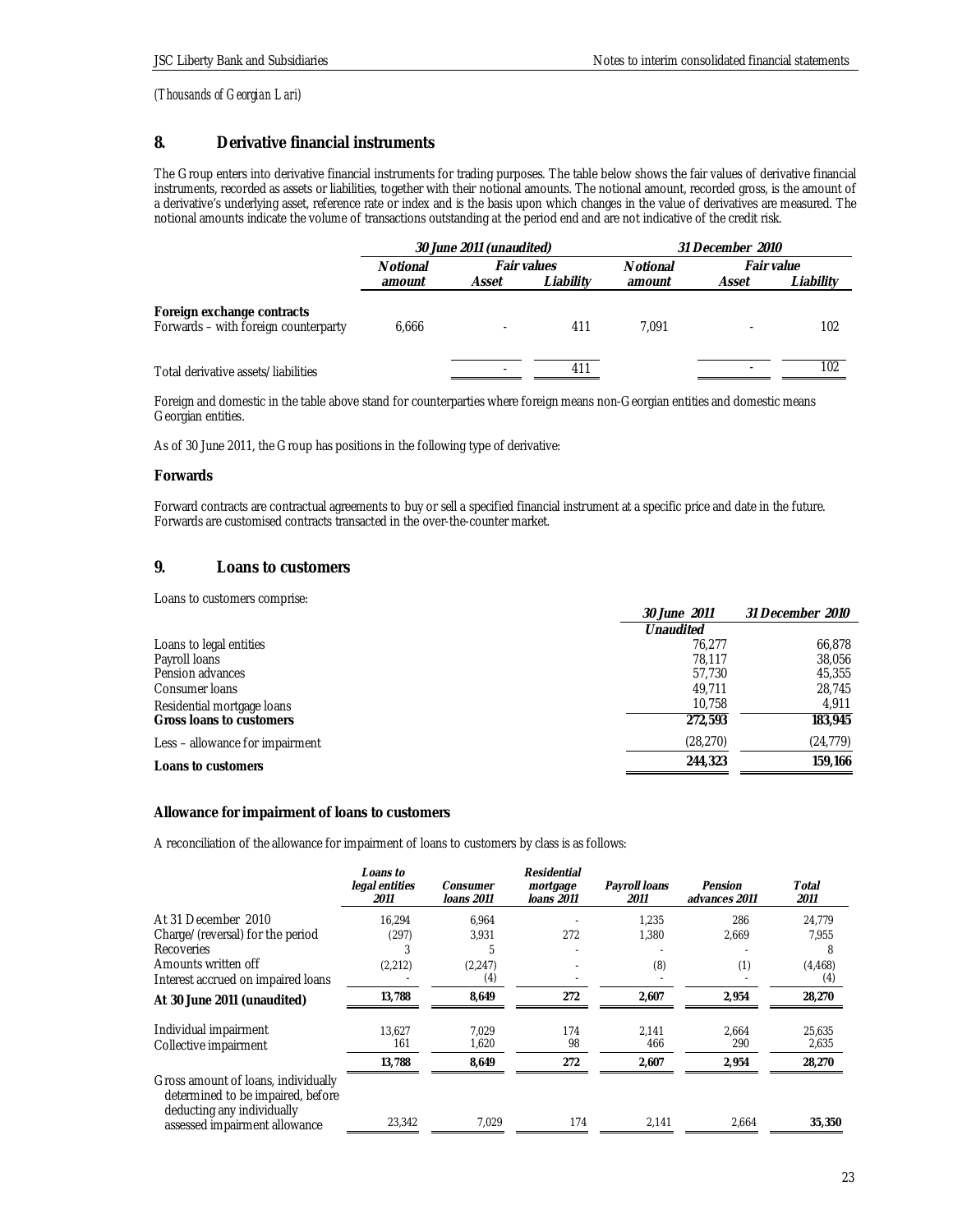# **8. Derivative financial instruments**

The Group enters into derivative financial instruments for trading purposes. The table below shows the fair values of derivative financial instruments, recorded as assets or liabilities, together with their notional amounts. The notional amount, recorded gross, is the amount of a derivative's underlying asset, reference rate or index and is the basis upon which changes in the value of derivatives are measured. The notional amounts indicate the volume of transactions outstanding at the period end and are not indicative of the credit risk.

|                                                                    | 30 June 2011 (unaudited) |                    |           | 31 December 2010 |       |            |
|--------------------------------------------------------------------|--------------------------|--------------------|-----------|------------------|-------|------------|
|                                                                    | Notional                 | <b>Fair values</b> |           | <b>Notional</b>  |       | Fair value |
|                                                                    | amount                   | Asset              | Liability | amount           | Asset | Liability  |
| Foreign exchange contracts<br>Forwards – with foreign counterparty | 6.666                    |                    | 411       | 7.091            |       | 102        |
| Total derivative assets/liabilities                                |                          |                    | 411       |                  |       | 102        |

Foreign and domestic in the table above stand for counterparties where foreign means non-Georgian entities and domestic means Georgian entities.

As of 30 June 2011, the Group has positions in the following type of derivative:

#### **Forwards**

Forward contracts are contractual agreements to buy or sell a specified financial instrument at a specific price and date in the future. Forwards are customised contracts transacted in the over-the-counter market.

# **9. Loans to customers**

Loans to customers comprise:

|                                 | 30 June 2011 | 31 December 2010 |
|---------------------------------|--------------|------------------|
|                                 | Unaudited    |                  |
| Loans to legal entities         | 76.277       | 66,878           |
| Payroll loans                   | 78.117       | 38,056           |
| Pension advances                | 57.730       | 45,355           |
| Consumer Ioans                  | 49.711       | 28.745           |
| Residential mortgage loans      | 10.758       | 4,911            |
| Gross loans to customers        | 272.593      | 183,945          |
| Less – allowance for impairment | (28, 270)    | (24, 779)        |
| Loans to customers              | 244,323      | 159,166          |

#### **Allowance for impairment of loans to customers**

A reconciliation of the allowance for impairment of loans to customers by class is as follows:

|                                                                                                                                         | Loans to<br>legal entities<br>2011 | Consumer<br>Ioans 2011 | Residential<br>mortgage<br><i>loans 2011</i> | Payroll Ioans<br>2011 | Pension<br>advances 2011 | Total<br>2011 |
|-----------------------------------------------------------------------------------------------------------------------------------------|------------------------------------|------------------------|----------------------------------------------|-----------------------|--------------------------|---------------|
| At 31 December 2010                                                                                                                     | 16.294                             | 6.964                  |                                              | 1.235                 | 286                      | 24,779        |
| Charge/(reversal) for the period                                                                                                        | (297)                              | 3,931                  | 272                                          | 1.380                 | 2,669                    | 7.955         |
| Recoveries                                                                                                                              | 3                                  | 5                      |                                              |                       |                          | 8             |
| Amounts written off                                                                                                                     | (2,212)                            | (2,247)                |                                              | (8)                   | (1)                      | (4, 468)      |
| Interest accrued on impaired loans                                                                                                      |                                    | (4)                    |                                              |                       |                          | (4)           |
| At 30 June 2011 (unaudited)                                                                                                             | 13.788                             | 8.649                  | 272                                          | 2.607                 | 2.954                    | 28,270        |
| Individual impairment                                                                                                                   | 13.627                             | 7.029                  | 174                                          | 2.141                 | 2.664                    | 25,635        |
| Collective impairment                                                                                                                   | 161                                | 1,620                  | 98                                           | 466                   | 290                      | 2,635         |
|                                                                                                                                         | 13,788                             | 8.649                  | 272                                          | 2,607                 | 2,954                    | 28,270        |
| Gross amount of loans, individually<br>determined to be impaired, before<br>deducting any individually<br>assessed impairment allowance | 23,342                             | 7,029                  | 174                                          | 2,141                 | 2,664                    | 35,350        |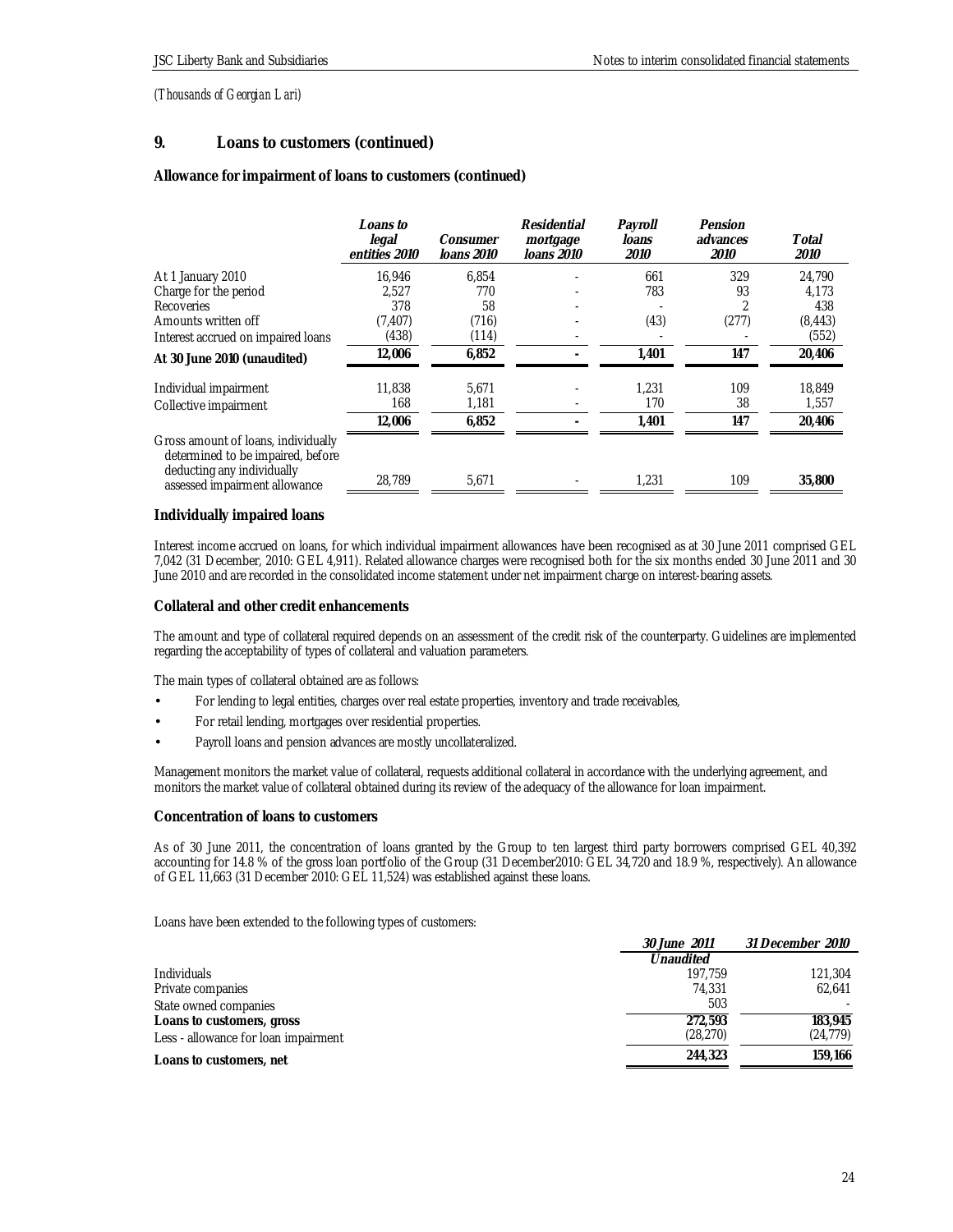# **9. Loans to customers (continued)**

### **Allowance for impairment of loans to customers (continued)**

|                                                                                                                                                      | Loans to<br>legal<br>entities 2010                    | Consumer<br>loans 2010                        | Residential<br>mortgage<br><i>loans</i> 2010 | Payroll<br>loans<br>2010    | Pension<br>advances<br>2010 | Total<br>2010                                         |
|------------------------------------------------------------------------------------------------------------------------------------------------------|-------------------------------------------------------|-----------------------------------------------|----------------------------------------------|-----------------------------|-----------------------------|-------------------------------------------------------|
| At 1 January 2010<br>Charge for the period<br>Recoveries<br>Amounts written off<br>Interest accrued on impaired loans<br>At 30 June 2010 (unaudited) | 16,946<br>2.527<br>378<br>(7, 407)<br>(438)<br>12,006 | 6,854<br>770<br>58<br>(716)<br>(114)<br>6,852 |                                              | 661<br>783<br>(43)<br>1,401 | 329<br>93<br>(277)<br>147   | 24,790<br>4.173<br>438<br>(8, 443)<br>(552)<br>20,406 |
| Individual impairment<br>Collective impairment                                                                                                       | 11,838<br>168<br>12,006                               | 5,671<br>1,181<br>6,852                       |                                              | 1.231<br>170<br>1.401       | 109<br>38<br>147            | 18,849<br>1,557<br>20,406                             |
| Gross amount of loans, individually<br>determined to be impaired, before<br>deducting any individually<br>assessed impairment allowance              | 28.789                                                | 5,671                                         |                                              | 1,231                       | 109                         | 35,800                                                |

#### **Individually impaired loans**

Interest income accrued on loans, for which individual impairment allowances have been recognised as at 30 June 2011 comprised GEL 7,042 (31 December, 2010: GEL 4,911). Related allowance charges were recognised both for the six months ended 30 June 2011 and 30 June 2010 and are recorded in the consolidated income statement under net impairment charge on interest-bearing assets.

#### **Collateral and other credit enhancements**

The amount and type of collateral required depends on an assessment of the credit risk of the counterparty. Guidelines are implemented regarding the acceptability of types of collateral and valuation parameters.

The main types of collateral obtained are as follows:

- For lending to legal entities, charges over real estate properties, inventory and trade receivables,
- For retail lending, mortgages over residential properties.
- Payroll loans and pension advances are mostly uncollateralized.

Management monitors the market value of collateral, requests additional collateral in accordance with the underlying agreement, and monitors the market value of collateral obtained during its review of the adequacy of the allowance for loan impairment.

#### **Concentration of loans to customers**

As of 30 June 2011, the concentration of loans granted by the Group to ten largest third party borrowers comprised GEL 40,392 accounting for 14.8 % of the gross loan portfolio of the Group (31 December2010: GEL 34,720 and 18.9 %, respectively). An allowance of GEL 11,663 (31 December 2010: GEL 11,524) was established against these loans.

Loans have been extended to the following types of customers:

|                                      | <i>30 June 2011</i> | <i>31 December 2010</i> |
|--------------------------------------|---------------------|-------------------------|
|                                      | Unaudited           |                         |
| <b>Individuals</b>                   | 197.759             | 121,304                 |
| Private companies                    | 74.331              | 62.641                  |
| State owned companies                | 503                 |                         |
| Loans to customers, gross            | 272.593             | 183,945                 |
| Less - allowance for loan impairment | (28, 270)           | (24, 779)               |
| Loans to customers, net              | 244,323             | 159,166                 |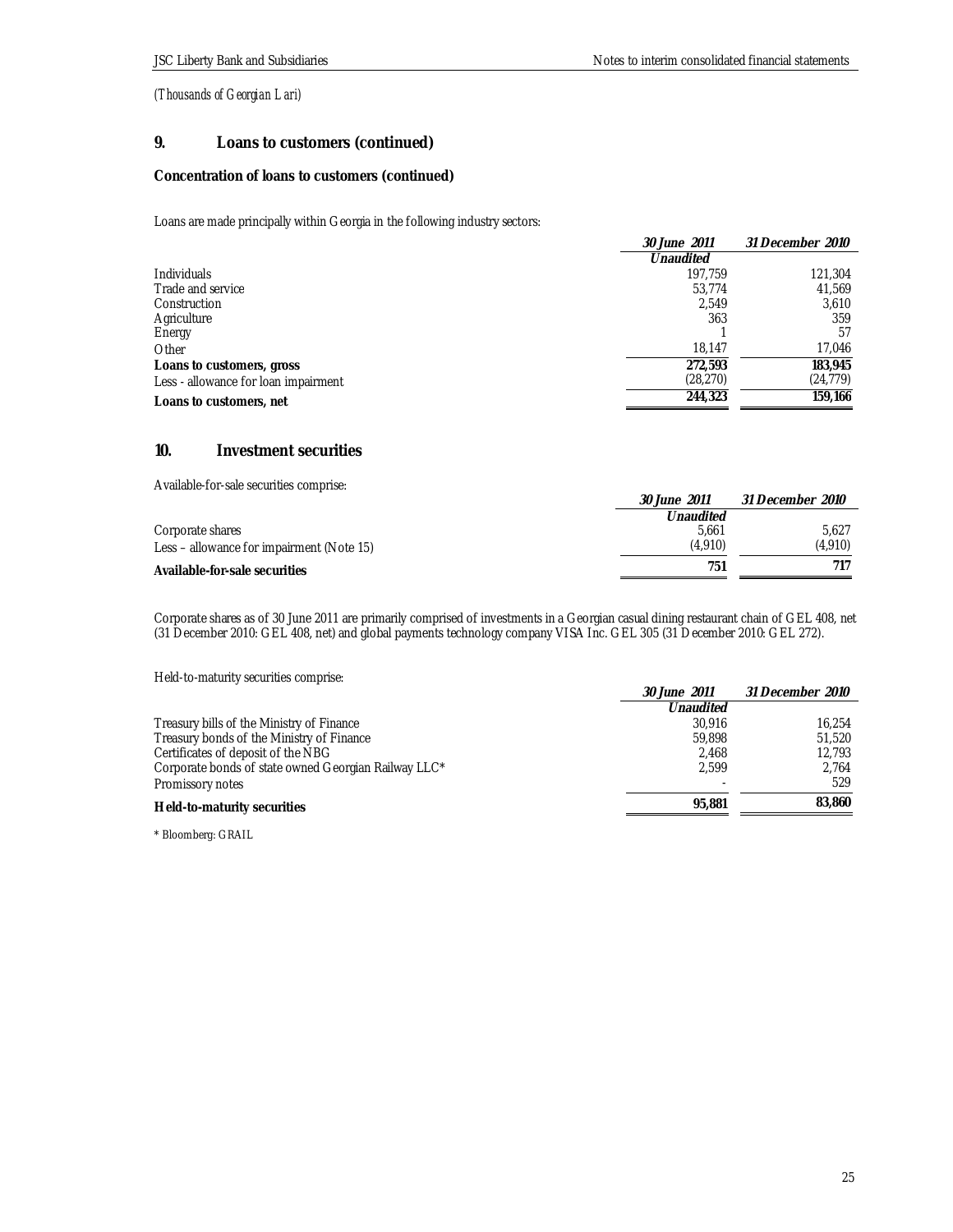# **9. Loans to customers (continued)**

**Concentration of loans to customers (continued)** 

Loans are made principally within Georgia in the following industry sectors:

|                                      | <i>30 June 2011</i> | <i>31 December 2010</i> |
|--------------------------------------|---------------------|-------------------------|
|                                      | Unaudited           |                         |
| <b>Individuals</b>                   | 197.759             | 121,304                 |
| Trade and service                    | 53.774              | 41,569                  |
| Construction                         | 2.549               | 3,610                   |
| Agriculture                          | 363                 | 359                     |
| Energy                               |                     | 57                      |
| Other                                | 18.147              | 17,046                  |
| Loans to customers, gross            | 272,593             | 183,945                 |
| Less - allowance for loan impairment | (28, 270)           | (24, 779)               |
| Loans to customers, net              | 244,323             | 159,166                 |

# **10. Investment securities**

| Available-for-sale securities comprise:   |                     |                         |
|-------------------------------------------|---------------------|-------------------------|
|                                           | <i>30 June 2011</i> | <i>31 December 2010</i> |
|                                           | Unaudited           |                         |
| Corporate shares                          | 5.661               | 5.627                   |
| Less – allowance for impairment (Note 15) | (4.910)             | (4,910)                 |
| Available-for-sale securities             | 751                 |                         |

Corporate shares as of 30 June 2011 are primarily comprised of investments in a Georgian casual dining restaurant chain of GEL 408, net (31 December 2010: GEL 408, net) and global payments technology company VISA Inc. GEL 305 (31 December 2010: GEL 272).

Held-to-maturity securities comprise:

|                                                      | 30 June 2011 | <i>31 December 2010</i> |
|------------------------------------------------------|--------------|-------------------------|
|                                                      | Unaudited    |                         |
| Treasury bills of the Ministry of Finance            | 30.916       | 16.254                  |
| Treasury bonds of the Ministry of Finance            | 59.898       | 51,520                  |
| Certificates of deposit of the NBG                   | 2.468        | 12.793                  |
| Corporate bonds of state owned Georgian Railway LLC* | 2.599        | 2.764                   |
| Promissory notes                                     |              | 529                     |
| Held-to-maturity securities                          | 95,881       | 83,860                  |

\* Bloomberg: GRAIL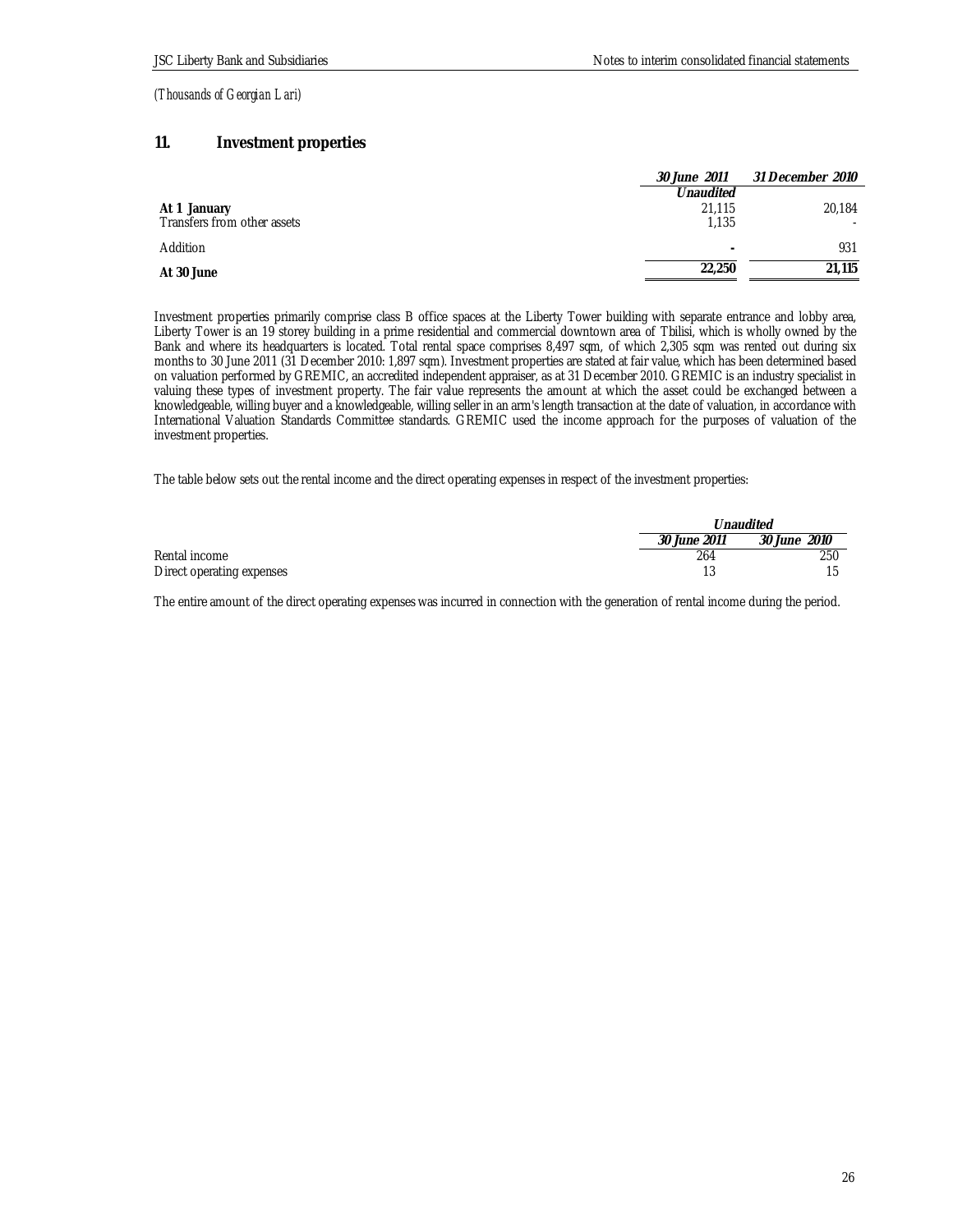# **11. Investment properties**

|                             | <i>30 June 2011</i> | 31 December 2010         |
|-----------------------------|---------------------|--------------------------|
|                             | Unaudited           |                          |
| At 1 January                | 21,115              | 20,184                   |
| Transfers from other assets | 1.135               | $\overline{\phantom{a}}$ |
| Addition                    |                     | 931                      |
| At 30 June                  | 22,250              | 21.115                   |

Investment properties primarily comprise class B office spaces at the Liberty Tower building with separate entrance and lobby area, Liberty Tower is an 19 storey building in a prime residential and commercial downtown area of Tbilisi, which is wholly owned by the Bank and where its headquarters is located. Total rental space comprises 8,497 sqm, of which 2,305 sqm was rented out during six months to 30 June 2011 (31 December 2010: 1,897 sqm). Investment properties are stated at fair value, which has been determined based on valuation performed by GREMIC, an accredited independent appraiser, as at 31 December 2010. GREMIC is an industry specialist in valuing these types of investment property. The fair value represents the amount at which the asset could be exchanged between a knowledgeable, willing buyer and a knowledgeable, willing seller in an arm's length transaction at the date of valuation, in accordance with International Valuation Standards Committee standards. GREMIC used the income approach for the purposes of valuation of the investment properties.

The table below sets out the rental income and the direct operating expenses in respect of the investment properties:

|                           |                     | Unaudited           |
|---------------------------|---------------------|---------------------|
|                           | <i>30 June 2011</i> | <i>30 June 2010</i> |
| Rental income             | 264                 | 250                 |
| Direct operating expenses |                     |                     |

The entire amount of the direct operating expenses was incurred in connection with the generation of rental income during the period.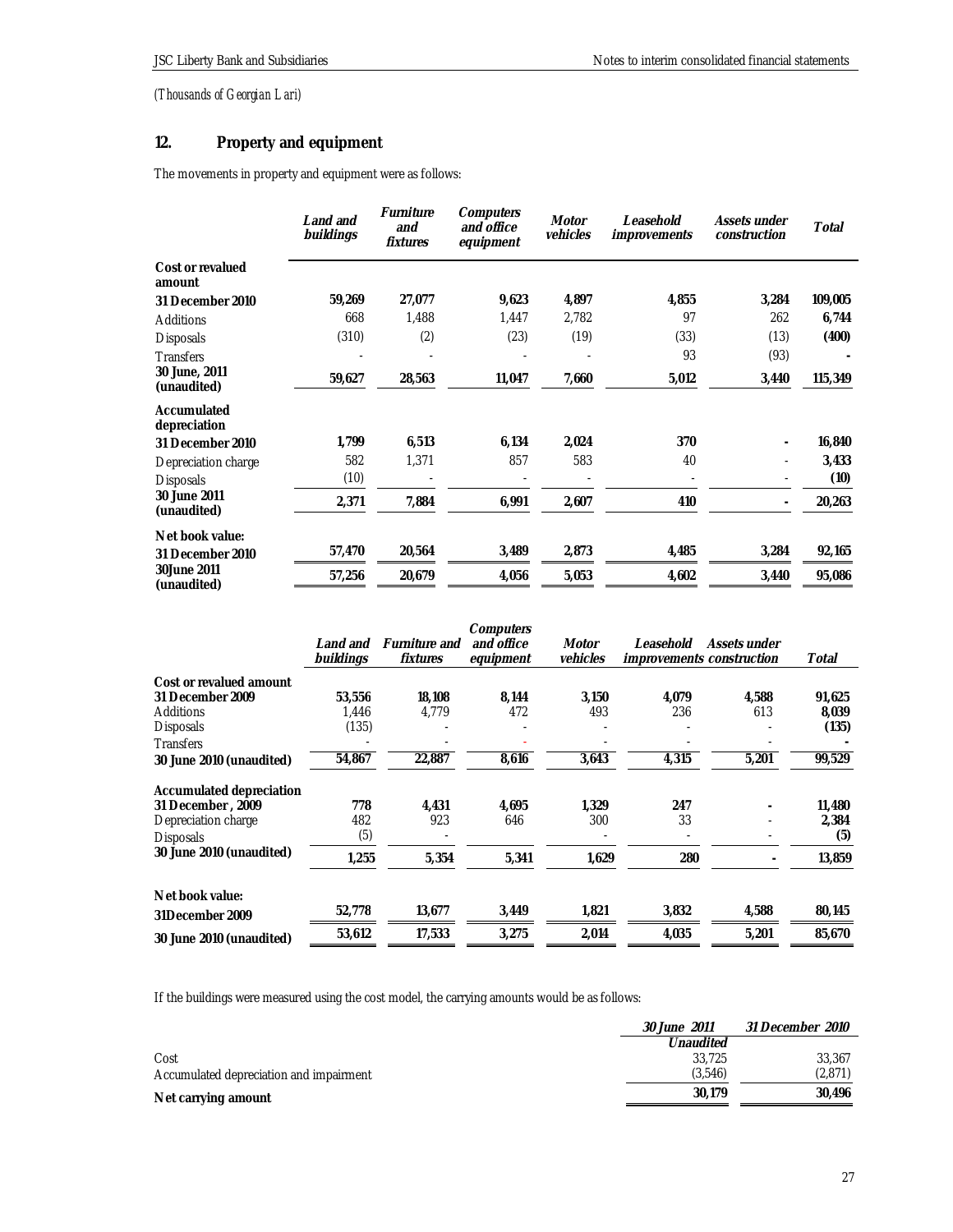# **12. Property and equipment**

The movements in property and equipment were as follows:

|                              | Land and<br>buildings | Furniture<br>and<br>fixtures | Computers<br>and office<br>equipment | Motor<br>vehicles | Leasehold<br><i>improvements</i> | Assets under<br>construction | Total   |
|------------------------------|-----------------------|------------------------------|--------------------------------------|-------------------|----------------------------------|------------------------------|---------|
| Cost or revalued<br>amount   |                       |                              |                                      |                   |                                  |                              |         |
| 31 December 2010             | 59,269                | 27,077                       | 9,623                                | 4,897             | 4,855                            | 3,284                        | 109,005 |
| <b>Additions</b>             | 668                   | 1,488                        | 1,447                                | 2,782             | 97                               | 262                          | 6,744   |
| <b>Disposals</b>             | (310)                 | (2)                          | (23)                                 | (19)              | (33)                             | (13)                         | (400)   |
| <b>Transfers</b>             |                       |                              |                                      |                   | 93                               | (93)                         |         |
| 30 June, 2011<br>(unaudited) | 59,627                | 28,563                       | 11,047                               | 7,660             | 5,012                            | 3,440                        | 115,349 |
| Accumulated<br>depreciation  |                       |                              |                                      |                   |                                  |                              |         |
| 31 December 2010             | 1,799                 | 6,513                        | 6,134                                | 2,024             | 370                              |                              | 16,840  |
| Depreciation charge          | 582                   | 1,371                        | 857                                  | 583               | 40                               | $\overline{\phantom{a}}$     | 3,433   |
| <b>Disposals</b>             | (10)                  |                              |                                      |                   |                                  |                              | (10)    |
| 30 June 2011<br>(unaudited)  | 2,371                 | 7,884                        | 6,991                                | 2,607             | 410                              |                              | 20,263  |
| Net book value:              |                       |                              |                                      |                   |                                  |                              |         |
| 31 December 2010             | 57,470                | 20,564                       | 3,489                                | 2,873             | 4,485                            | 3,284                        | 92,165  |
| 30June 2011<br>(unaudited)   | 57,256                | 20,679                       | 4,056                                | 5,053             | 4,602                            | 3,440                        | 95,086  |

|                                                                                                                      | Land and<br>buildings | Furniture and<br>fixtures | Computers<br>and office<br>equipment | Motor<br>vehicles | Leasehold<br><i>improvements construction</i> | Assets under | Total                  |
|----------------------------------------------------------------------------------------------------------------------|-----------------------|---------------------------|--------------------------------------|-------------------|-----------------------------------------------|--------------|------------------------|
| Cost or revalued amount                                                                                              |                       |                           |                                      |                   |                                               |              |                        |
| 31 December 2009                                                                                                     | 53,556                | 18,108                    | 8,144                                | 3,150             | 4,079                                         | 4,588        | 91,625                 |
| Additions                                                                                                            | 1.446                 | 4.779                     | 472                                  | 493               | 236                                           | 613          | 8,039                  |
| <b>Disposals</b>                                                                                                     | (135)                 |                           |                                      |                   |                                               |              | (135)                  |
| <b>Transfers</b>                                                                                                     |                       |                           |                                      |                   |                                               |              |                        |
| 30 June 2010 (unaudited)                                                                                             | 54,867                | 22,887                    | 8,616                                | 3,643             | 4,315                                         | 5,201        | 99,529                 |
| Accumulated depreciation<br>31 December, 2009<br>Depreciation charge<br><b>Disposals</b><br>30 June 2010 (unaudited) | 778<br>482<br>(5)     | 4.431<br>923              | 4.695<br>646                         | 1,329<br>300      | 247<br>33                                     |              | 11,480<br>2,384<br>(5) |
|                                                                                                                      | 1,255                 | 5,354                     | 5,341                                | 1,629             | 280                                           |              | 13,859                 |
| Net book value:<br>31 December 2009                                                                                  | 52,778                | 13,677                    | 3,449                                | 1,821             | 3,832                                         | 4,588        | 80,145                 |
| 30 June 2010 (unaudited)                                                                                             | 53,612                | 17,533                    | 3,275                                | 2,014             | 4,035                                         | 5,201        | 85,670                 |

If the buildings were measured using the cost model, the carrying amounts would be as follows:

|                                         | 30 June 2011 | <i>31 December 2010</i> |
|-----------------------------------------|--------------|-------------------------|
|                                         | Unaudited    |                         |
| Cost                                    | 33.725       | 33.367                  |
| Accumulated depreciation and impairment | (3,546)      | (2,871)                 |
| Net carrying amount                     | 30.179       | 30.496                  |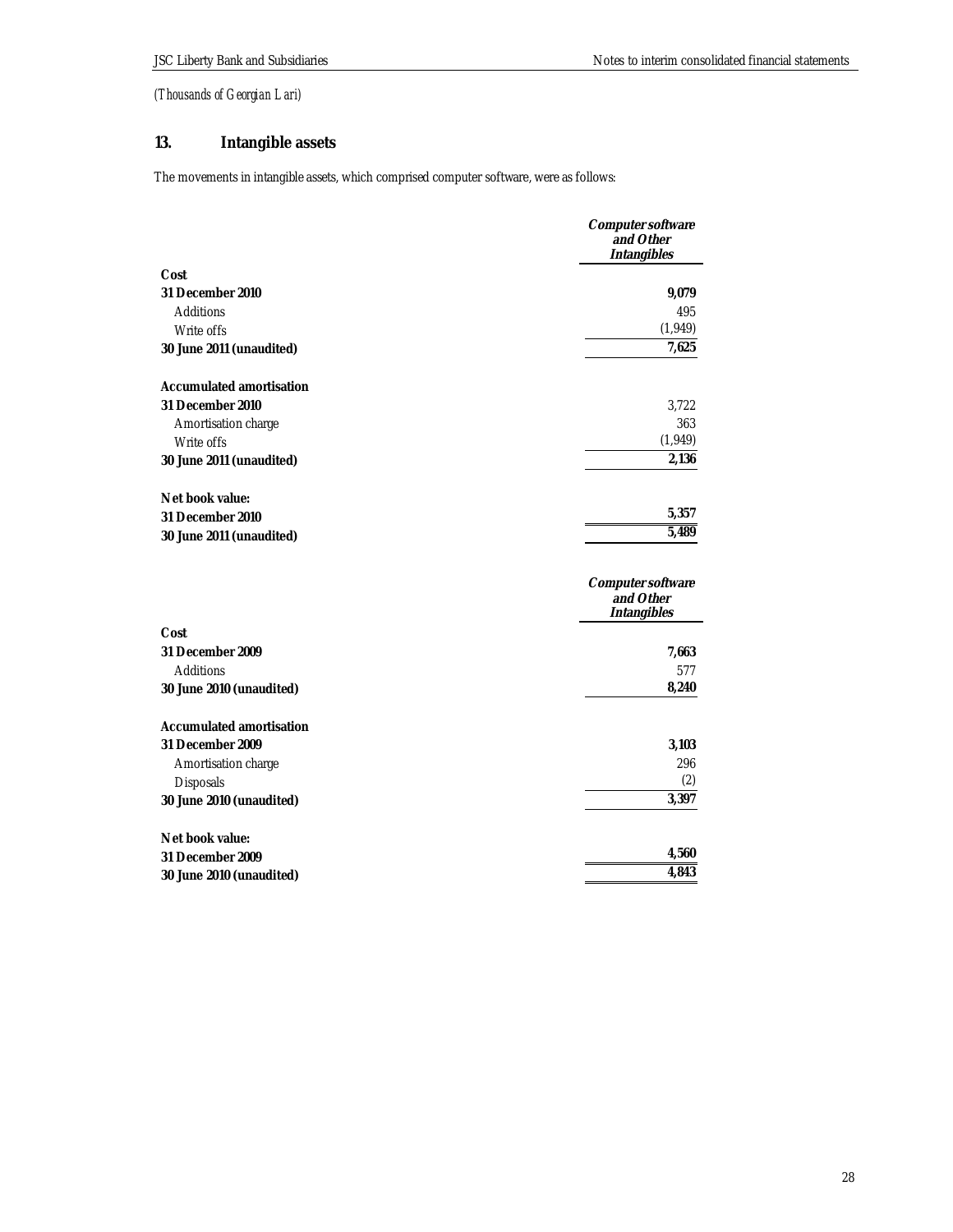# **13. Intangible assets**

# The movements in intangible assets, which comprised computer software, were as follows:

|                          | Computer software<br>and Other<br>Intangibles |
|--------------------------|-----------------------------------------------|
| Cost                     |                                               |
| 31 December 2010         | 9,079                                         |
| Additions                | 495                                           |
| Write offs               | (1, 949)                                      |
| 30 June 2011 (unaudited) | 7,625                                         |
| Accumulated amortisation |                                               |
| 31 December 2010         | 3,722                                         |
| Amortisation charge      | 363                                           |
| Write offs               | (1,949)                                       |
| 30 June 2011 (unaudited) | 2,136                                         |
| Net book value:          |                                               |
| 31 December 2010         | 5,357                                         |
| 30 June 2011 (unaudited) | 5,489                                         |
|                          | Computer software<br>and Other<br>Intangibles |
| Cost                     |                                               |
| 31 December 2009         | 7,663                                         |
| Additions                | 577                                           |
| 30 June 2010 (unaudited) | 8,240                                         |
| Accumulated amortisation |                                               |
| 31 December 2009         | 3,103                                         |
| Amortisation charge      | 296                                           |
| <b>Disposals</b>         | (2)                                           |
| 30 June 2010 (unaudited) | $\overline{3}, 397$                           |
| Net book value:          |                                               |
| 31 December 2009         | 4,560                                         |
| 30 June 2010 (unaudited) | 4,843                                         |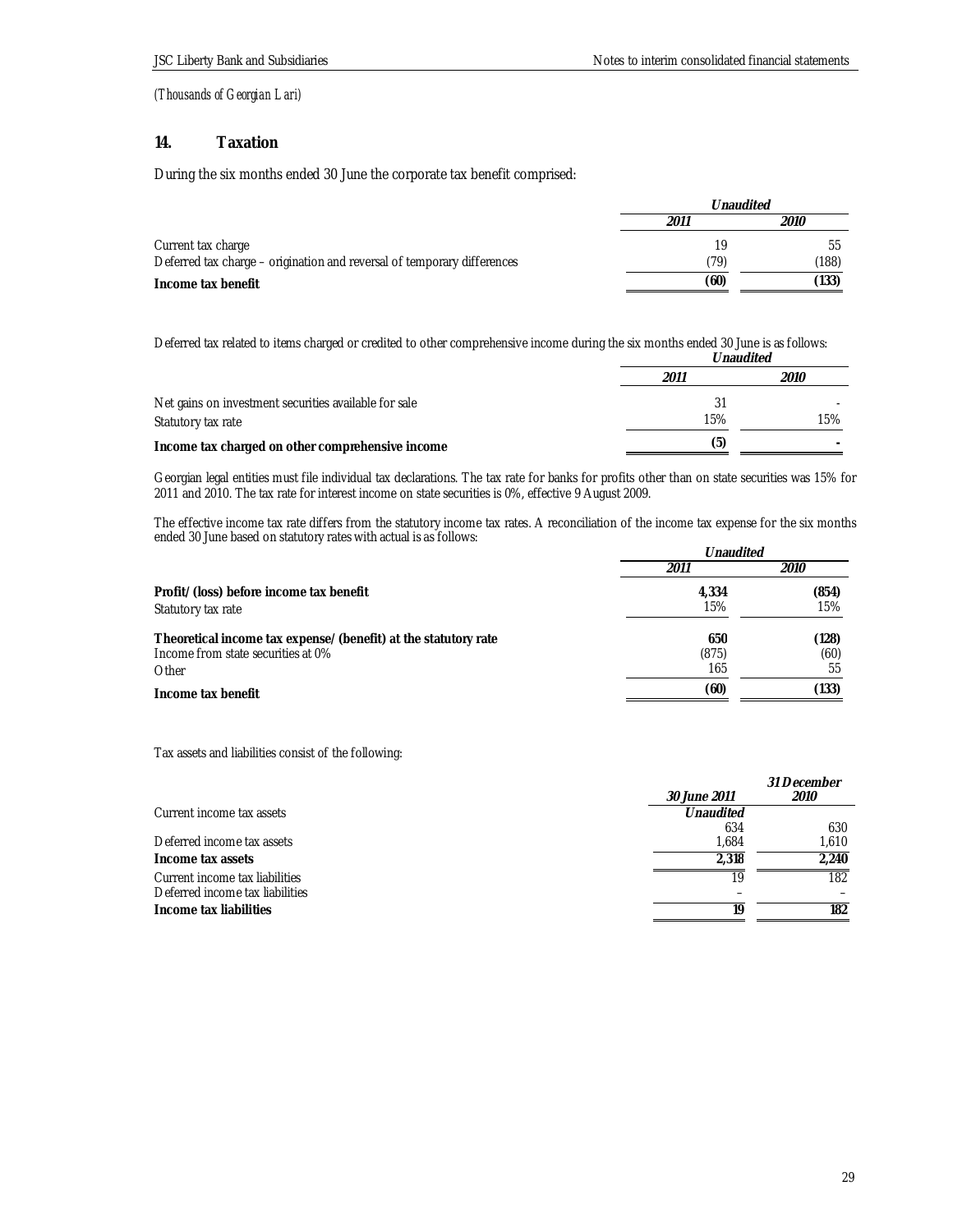# **14. Taxation**

During the six months ended 30 June the corporate tax benefit comprised:

|                                                                         | Unaudited |       |  |
|-------------------------------------------------------------------------|-----------|-------|--|
|                                                                         | 2011      | 2010  |  |
| Current tax charge                                                      | 10        | 55    |  |
| Deferred tax charge – origination and reversal of temporary differences | (79)      | (188) |  |
| Income tax benefit                                                      | (60)      | (133) |  |

Deferred tax related to items charged or credited to other comprehensive income during the six months ended 30 June is as follows:  **Unaudited**

|                                                                             | <i>Unauuncu</i> |      |  |
|-----------------------------------------------------------------------------|-----------------|------|--|
|                                                                             | 2011            | 2010 |  |
| Net gains on investment securities available for sale<br>Statutory tax rate | 15%             | 15%  |  |
|                                                                             | (5)             |      |  |
| Income tax charged on other comprehensive income                            |                 |      |  |

Georgian legal entities must file individual tax declarations. The tax rate for banks for profits other than on state securities was 15% for 2011 and 2010. The tax rate for interest income on state securities is 0%, effective 9 August 2009.

The effective income tax rate differs from the statutory income tax rates. A reconciliation of the income tax expense for the six months ended 30 June based on statutory rates with actual is as follows:  **Unaudited**

|                                                                                                               | unaugited           |                     |  |
|---------------------------------------------------------------------------------------------------------------|---------------------|---------------------|--|
|                                                                                                               | 2011                | 2010                |  |
| Profit/(loss) before income tax benefit<br>Statutory tax rate                                                 | 4,334<br>15%        | (854)<br>15%        |  |
| Theoretical income tax expense/(benefit) at the statutory rate<br>Income from state securities at 0%<br>Other | 650<br>(875)<br>165 | (128)<br>(60)<br>55 |  |
| Income tax benefit                                                                                            | (60)                | (133)               |  |

Tax assets and liabilities consist of the following:

|                                 |                     | 31 December |
|---------------------------------|---------------------|-------------|
|                                 | <i>30 June 2011</i> | <i>2010</i> |
| Current income tax assets       | Unaudited           |             |
|                                 | 634                 | 630         |
| Deferred income tax assets      | 1.684               | 1,610       |
| Income tax assets               | 2.318               | 2.240       |
| Current income tax liabilities  | 19                  | 182         |
| Deferred income tax liabilities |                     |             |
| Income tax liabilities          | 19                  | 182         |
|                                 |                     |             |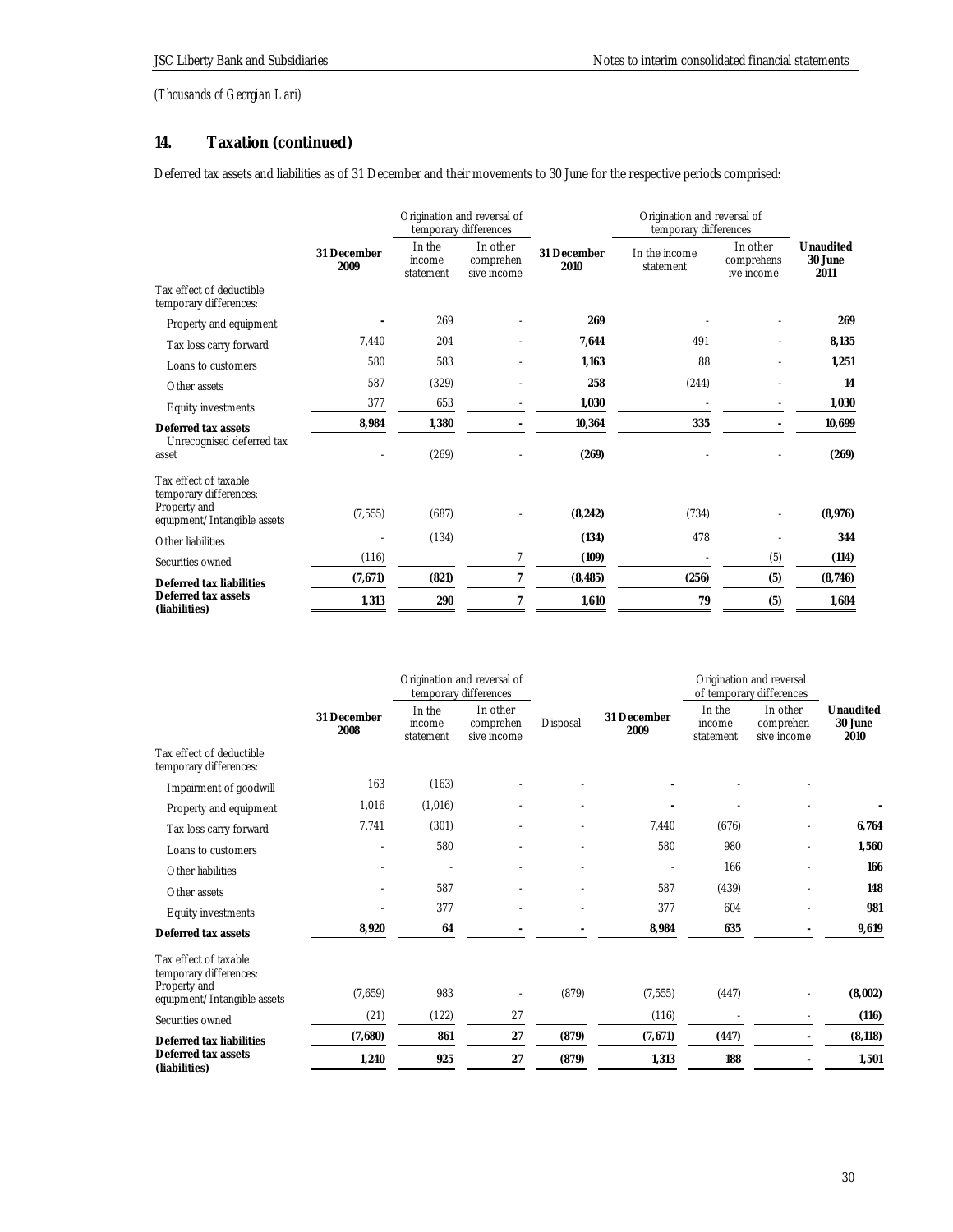# **14. Taxation (continued)**

Deferred tax assets and liabilities as of 31 December and their movements to 30 June for the respective periods comprised:

|                                                                 |                     |                               | Origination and reversal of<br>temporary differences |                     | Origination and reversal of<br>temporary differences |                                      |                              |
|-----------------------------------------------------------------|---------------------|-------------------------------|------------------------------------------------------|---------------------|------------------------------------------------------|--------------------------------------|------------------------------|
|                                                                 | 31 December<br>2009 | In the<br>income<br>statement | In other<br>comprehen<br>sive income                 | 31 December<br>2010 | In the income<br>statement                           | In other<br>comprehens<br>ive income | Unaudited<br>30 June<br>2011 |
| Tax effect of deductible<br>temporary differences:              |                     |                               |                                                      |                     |                                                      |                                      |                              |
| Property and equipment                                          |                     | 269                           |                                                      | 269                 |                                                      |                                      | 269                          |
| Tax loss carry forward                                          | 7,440               | 204                           |                                                      | 7,644               | 491                                                  |                                      | 8,135                        |
| Loans to customers                                              | 580                 | 583                           |                                                      | 1,163               | 88                                                   |                                      | 1,251                        |
| Other assets                                                    | 587                 | (329)                         |                                                      | 258                 | (244)                                                |                                      | 14                           |
| Equity investments                                              | 377                 | 653                           |                                                      | 1,030               |                                                      |                                      | 1,030                        |
| Deferred tax assets<br>Unrecognised deferred tax                | 8,984               | 1,380                         |                                                      | 10,364              | 335                                                  |                                      | 10,699                       |
| asset                                                           |                     | (269)                         |                                                      | (269)               |                                                      |                                      | (269)                        |
| Tax effect of taxable<br>temporary differences:<br>Property and |                     |                               |                                                      |                     |                                                      |                                      |                              |
| equipment/Intangible assets                                     | (7, 555)            | (687)                         |                                                      | (8,242)             | (734)                                                |                                      | (8,976)                      |
| Other liabilities                                               |                     | (134)                         |                                                      | (134)               | 478                                                  |                                      | 344                          |
| Securities owned                                                | (116)               |                               | 7                                                    | (109)               |                                                      | (5)                                  | (114)                        |
| Deferred tax liabilities                                        | (7,671)             | (821)                         | 7                                                    | (8, 485)            | (256)                                                | (5)                                  | (8, 746)                     |
| Deferred tax assets<br>(liabilities)                            | 1,313               | 290                           | 7                                                    | 1,610               | 79                                                   | (5)                                  | 1,684                        |

|                                                    |                     |                               | Origination and reversal of<br>temporary differences |          |                     | Origination and reversal<br>of temporary differences |                                      |                              |  |
|----------------------------------------------------|---------------------|-------------------------------|------------------------------------------------------|----------|---------------------|------------------------------------------------------|--------------------------------------|------------------------------|--|
|                                                    | 31 December<br>2008 | In the<br>income<br>statement | In other<br>comprehen<br>sive income                 | Disposal | 31 December<br>2009 | In the<br>income<br>statement                        | In other<br>comprehen<br>sive income | Unaudited<br>30 June<br>2010 |  |
| Tax effect of deductible<br>temporary differences: |                     |                               |                                                      |          |                     |                                                      |                                      |                              |  |
| Impairment of goodwill                             | 163                 | (163)                         |                                                      |          |                     |                                                      |                                      |                              |  |
| Property and equipment                             | 1,016               | (1,016)                       |                                                      |          |                     |                                                      |                                      |                              |  |
| Tax loss carry forward                             | 7,741               | (301)                         |                                                      |          | 7,440               | (676)                                                |                                      | 6,764                        |  |
| Loans to customers                                 |                     | 580                           |                                                      |          | 580                 | 980                                                  |                                      | 1,560                        |  |
| Other liabilities                                  |                     |                               |                                                      |          |                     | 166                                                  |                                      | 166                          |  |
| Other assets                                       |                     | 587                           |                                                      |          | 587                 | (439)                                                |                                      | 148                          |  |
| Equity investments                                 |                     | 377                           |                                                      |          | 377                 | 604                                                  |                                      | 981                          |  |
| Deferred tax assets                                | 8,920               | 64                            |                                                      |          | 8,984               | 635                                                  |                                      | 9,619                        |  |
| Tax effect of taxable<br>temporary differences:    |                     |                               |                                                      |          |                     |                                                      |                                      |                              |  |
| Property and<br>equipment/Intangible assets        | (7,659)             | 983                           | ٠                                                    | (879)    | (7, 555)            | (447)                                                |                                      | (8,002)                      |  |
| Securities owned                                   | (21)                | (122)                         | 27                                                   |          | (116)               |                                                      |                                      | (116)                        |  |
| Deferred tax liabilities                           | (7,680)             | 861                           | 27                                                   | (879)    | (7,671)             | (447)                                                |                                      | (8, 118)                     |  |
| Deferred tax assets<br>(liabilities)               | 1,240               | 925                           | 27                                                   | (879)    | 1,313               | 188                                                  |                                      | 1,501                        |  |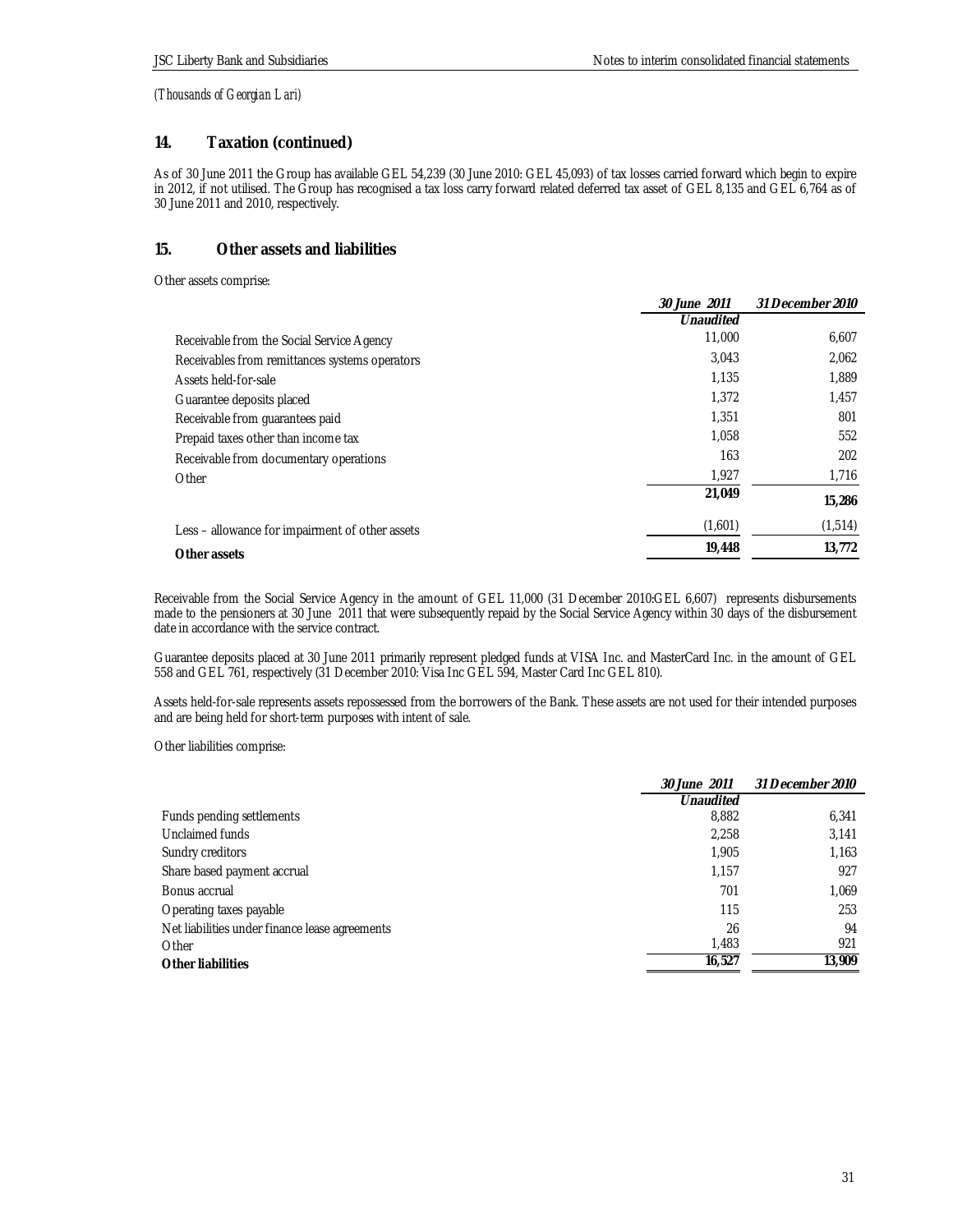# **14. Taxation (continued)**

As of 30 June 2011 the Group has available GEL 54,239 (30 June 2010: GEL 45,093) of tax losses carried forward which begin to expire in 2012, if not utilised. The Group has recognised a tax loss carry forward related deferred tax asset of GEL 8,135 and GEL 6,764 as of 30 June 2011 and 2010, respectively.

# **15. Other assets and liabilities**

Other assets comprise:

|                                                 | 30 June 2011 | 31 December 2010 |
|-------------------------------------------------|--------------|------------------|
|                                                 | Unaudited    |                  |
| Receivable from the Social Service Agency       | 11,000       | 6,607            |
| Receivables from remittances systems operators  | 3.043        | 2,062            |
| Assets held-for-sale                            | 1.135        | 1,889            |
| Guarantee deposits placed                       | 1.372        | 1,457            |
| Receivable from quarantees paid                 | 1,351        | 801              |
| Prepaid taxes other than income tax             | 1.058        | 552              |
| Receivable from documentary operations          | 163          | 202              |
| Other                                           | 1,927        | 1,716            |
|                                                 | 21,049       | 15,286           |
| Less – allowance for impairment of other assets | (1,601)      | (1,514)          |
| Other assets                                    | 19,448       | 13.772           |

Receivable from the Social Service Agency in the amount of GEL 11,000 (31 December 2010:GEL 6,607) represents disbursements made to the pensioners at 30 June 2011 that were subsequently repaid by the Social Service Agency within 30 days of the disbursement date in accordance with the service contract.

Guarantee deposits placed at 30 June 2011 primarily represent pledged funds at VISA Inc. and MasterCard Inc. in the amount of GEL 558 and GEL 761, respectively (31 December 2010: Visa Inc GEL 594, Master Card Inc GEL 810).

Assets held-for-sale represents assets repossessed from the borrowers of the Bank. These assets are not used for their intended purposes and are being held for short-term purposes with intent of sale.

Other liabilities comprise:

|                                                | <i>30 June 2011</i> | <i>31 December 2010</i> |
|------------------------------------------------|---------------------|-------------------------|
|                                                | Unaudited           |                         |
| Funds pending settlements                      | 8,882               | 6,341                   |
| Unclaimed funds                                | 2,258               | 3,141                   |
| Sundry creditors                               | 1.905               | 1,163                   |
| Share based payment accrual                    | 1,157               | 927                     |
| Bonus accrual                                  | 701                 | 1,069                   |
| Operating taxes payable                        | 115                 | 253                     |
| Net liabilities under finance lease agreements | 26                  | 94                      |
| Other                                          | 1.483               | 921                     |
| Other liabilities                              | 16.527              | 13,909                  |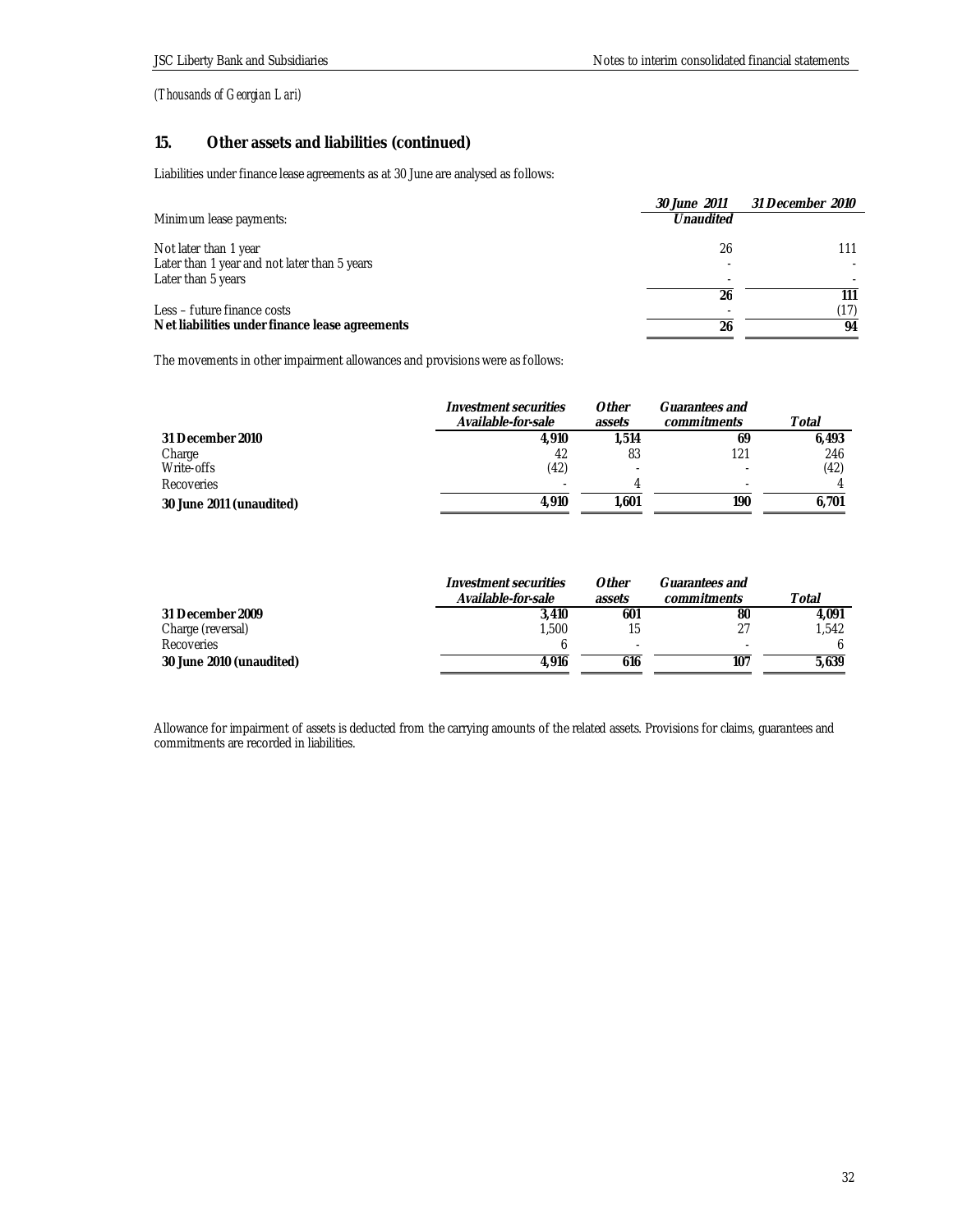# **15. Other assets and liabilities (continued)**

Liabilities under finance lease agreements as at 30 June are analysed as follows:

|                                                |           | 30 June 2011 31 December 2010 |
|------------------------------------------------|-----------|-------------------------------|
| Minimum lease payments:                        | Unaudited |                               |
| Not later than 1 year                          | 26        | 111                           |
| Later than 1 year and not later than 5 years   |           |                               |
| Later than 5 years                             |           |                               |
|                                                | 26        | 111                           |
| Less - future finance costs                    |           |                               |
| Net liabilities under finance lease agreements | 26        | 94                            |

The movements in other impairment allowances and provisions were as follows:

|                          | Investment securities<br>Available-for-sale | Other<br>assets | Guarantees and<br>commitments | Total |
|--------------------------|---------------------------------------------|-----------------|-------------------------------|-------|
| 31 December 2010         | 4.910                                       | 1.514           | 69                            | 6.493 |
| Charge                   | 42                                          | 83              | 121                           | 246   |
| Write-offs               | (42)                                        |                 |                               | (42)  |
| Recoveries               |                                             |                 | -                             |       |
| 30 June 2011 (unaudited) | 4.910                                       | 1.601           | 190                           | 6.701 |

|                          | Investment securities | Other  | Guarantees and |       |
|--------------------------|-----------------------|--------|----------------|-------|
|                          | Available-for-sale    | assets | commitments    | Total |
| 31 December 2009         | 3.410                 | 601    | 80             | 4.091 |
| Charge (reversal)        | 1.500                 | 15     |                | 1.542 |
| Recoveries               |                       |        |                |       |
| 30 June 2010 (unaudited) | 4.916                 | 616    | 107            | 5.639 |

Allowance for impairment of assets is deducted from the carrying amounts of the related assets. Provisions for claims, guarantees and commitments are recorded in liabilities.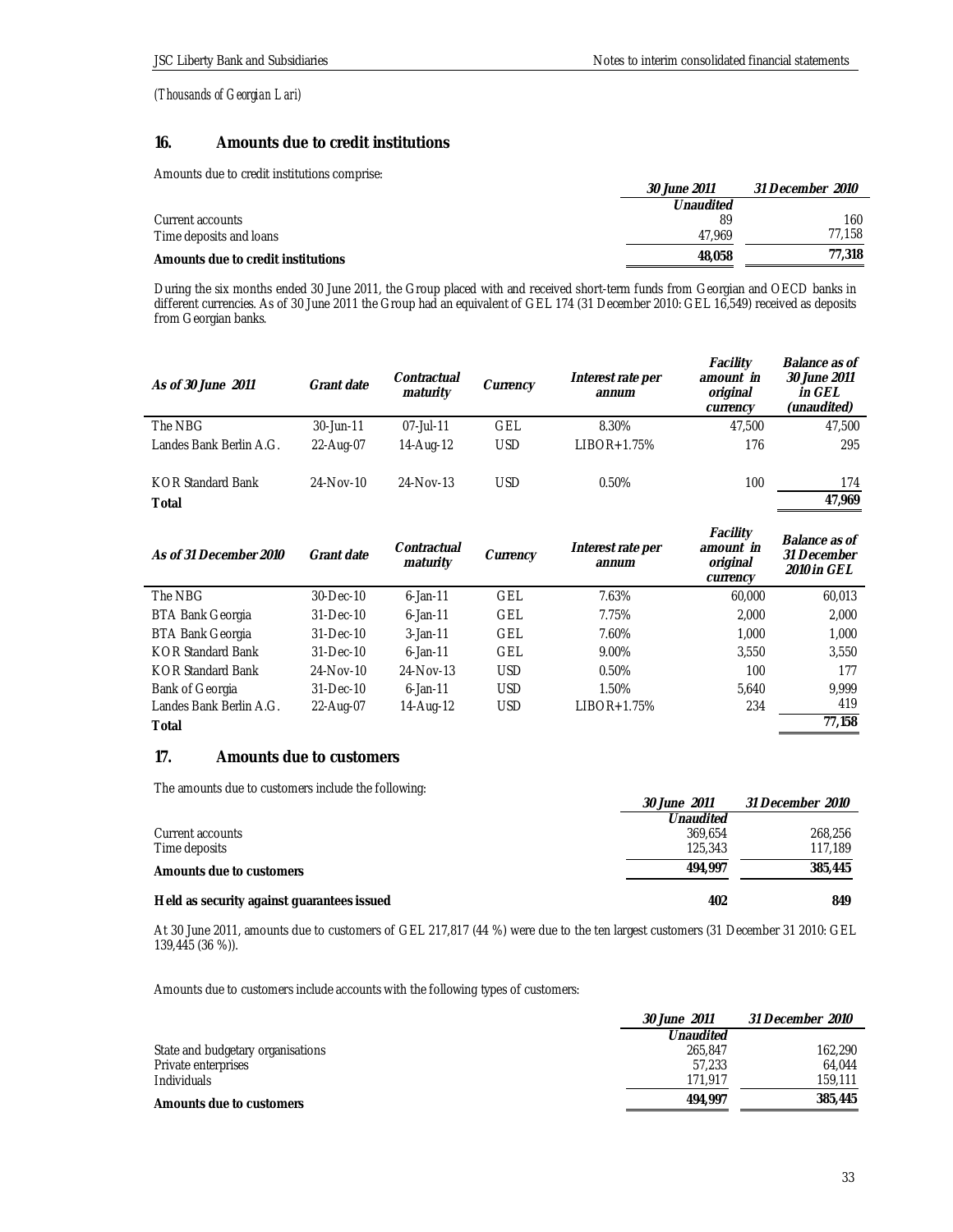j.

j.

# **16. Amounts due to credit institutions**

Amounts due to credit institutions comprise:

|                                    | <i>30 June 2011</i> | <i>31 December 2010</i> |
|------------------------------------|---------------------|-------------------------|
|                                    | Unaudited           |                         |
| Current accounts                   | 89                  | 160                     |
| Time deposits and loans            | 47.969              | 77.158                  |
| Amounts due to credit institutions | 48.058              | 77.318                  |

During the six months ended 30 June 2011, the Group placed with and received short-term funds from Georgian and OECD banks in different currencies. As of 30 June 2011 the Group had an equivalent of GEL 174 (31 December 2010: GEL 16,549) received as deposits from Georgian banks.

| As of 30 June 2011                | Grant date | Contractual<br>maturity | Currency   | Interest rate per<br>annum | Facility<br>amount in<br>original<br>currency | Balance as of<br>30 June 2011<br>in GEL<br>(unaudited) |
|-----------------------------------|------------|-------------------------|------------|----------------------------|-----------------------------------------------|--------------------------------------------------------|
| The NBG                           | 30-Jun-11  | $07 -$ Jul-11           | <b>GEL</b> | 8.30%                      | 47,500                                        | 47,500                                                 |
| Landes Bank Berlin A.G.           | 22-Aug-07  | 14-Aug-12               | <b>USD</b> | LIBOR+1.75%                | 176                                           | 295                                                    |
| <b>KOR Standard Bank</b><br>Total | 24-Nov-10  | 24-Nov-13               | <b>USD</b> | 0.50%                      | 100                                           | 174<br>47,969                                          |
| As of 31 December 2010            | Grant date | Contractual<br>maturity | Currency   | Interest rate per<br>annum | Facility<br>amount in<br>original<br>currency | Balance as of<br>31 December<br>2010 in GEL            |
| The NBG                           | 30-Dec-10  | $6$ -Jan-11             | <b>GEL</b> | 7.63%                      | 60,000                                        | 60,013                                                 |
| <b>BTA Bank Georgia</b>           | 31-Dec-10  | $6$ -Jan-11             | <b>GEL</b> | 7.75%                      | 2,000                                         | 2,000                                                  |
| <b>BTA Bank Georgia</b>           | 31-Dec-10  | $3$ -Jan-11             | <b>GEL</b> | 7.60%                      | 1,000                                         | 1,000                                                  |
| <b>KOR Standard Bank</b>          | 31-Dec-10  | $6$ -Jan-11             | <b>GEL</b> | 9.00%                      | 3,550                                         | 3,550                                                  |
| <b>KOR Standard Bank</b>          | 24-Nov-10  | 24-Nov-13               | <b>USD</b> | 0.50%                      | 100                                           | 177                                                    |
| Bank of Georgia                   | 31-Dec-10  | $6$ -Jan-11             | <b>USD</b> | 1.50%                      | 5,640                                         | 9.999                                                  |
| Landes Bank Berlin A.G.           | 22-Aug-07  | 14-Aug-12               | <b>USD</b> | $LIBOR+1.75%$              | 234                                           | 419                                                    |
| Total                             |            |                         |            |                            |                                               | 77,158                                                 |

# **17. Amounts due to customers**

The amounts due to customers include the following:

|                                            | <i>30 June 2011</i> | <i>31 December 2010</i> |
|--------------------------------------------|---------------------|-------------------------|
|                                            | Unaudited           |                         |
| Current accounts                           | 369.654             | 268.256                 |
| Time deposits                              | 125.343             | 117.189                 |
| Amounts due to customers                   | 494.997             | 385,445                 |
| Held as security against guarantees issued | 402                 | 849                     |

At 30 June 2011, amounts due to customers of GEL 217,817 (44 %) were due to the ten largest customers (31 December 31 2010: GEL 139,445 (36 %)).

Amounts due to customers include accounts with the following types of customers:

|                                   | 30 June 2011 | <i>31 December 2010</i> |
|-----------------------------------|--------------|-------------------------|
|                                   | Unaudited    |                         |
| State and budgetary organisations | 265.847      | 162.290                 |
| Private enterprises               | 57.233       | 64.044                  |
| <b>Individuals</b>                | 171.917      | 159.111                 |
| Amounts due to customers          | 494.997      | 385,445                 |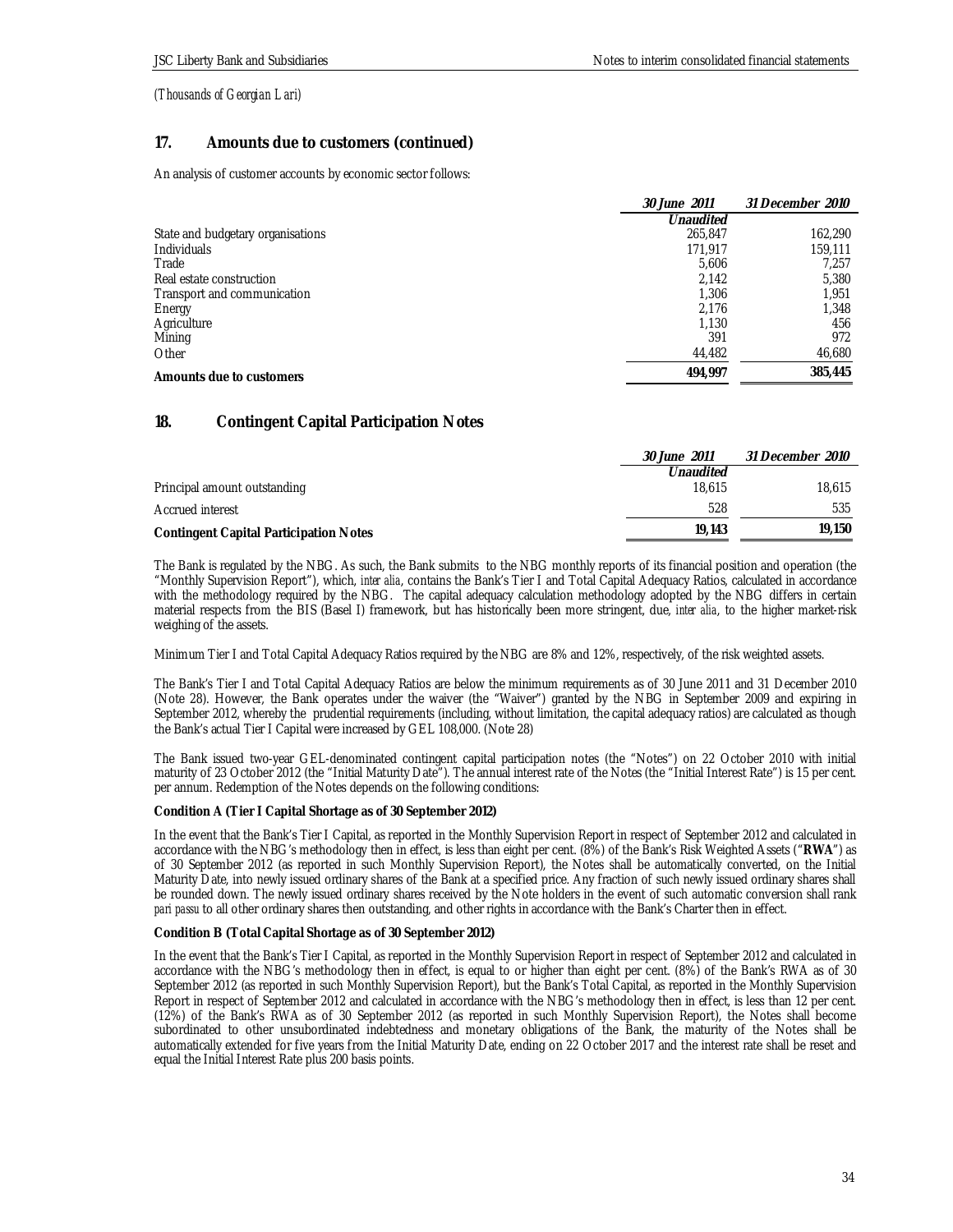# **17. Amounts due to customers (continued)**

An analysis of customer accounts by economic sector follows:

|                                   | <i>30 June 2011</i> | <i>31 December 2010</i> |
|-----------------------------------|---------------------|-------------------------|
|                                   | Unaudited           |                         |
| State and budgetary organisations | 265.847             | 162.290                 |
| <b>Individuals</b>                | 171.917             | 159,111                 |
| Trade                             | 5,606               | 7,257                   |
| Real estate construction          | 2,142               | 5,380                   |
| Transport and communication       | 1.306               | 1.951                   |
| Energy                            | 2.176               | 1,348                   |
| Agriculture                       | 1.130               | 456                     |
| Mining                            | 391                 | 972                     |
| Other                             | 44,482              | 46,680                  |
| Amounts due to customers          | 494.997             | 385,445                 |

# **18. Contingent Capital Participation Notes**

|                                        | <i>30 June 2011</i> | <i>31 December 2010</i> |
|----------------------------------------|---------------------|-------------------------|
|                                        | Unaudited           |                         |
| Principal amount outstanding           | 18.615              | 18.615                  |
| Accrued interest                       | 528                 | 535                     |
| Contingent Capital Participation Notes | 19.143              | 19.150                  |

The Bank is regulated by the NBG. As such, the Bank submits to the NBG monthly reports of its financial position and operation (the "Monthly Supervision Report"), which, *inter alia*, contains the Bank's Tier I and Total Capital Adequacy Ratios, calculated in accordance with the methodology required by the NBG. The capital adequacy calculation methodology adopted by the NBG differs in certain material respects from the BIS (Basel I) framework, but has historically been more stringent, due, *inter alia*, to the higher market-risk weighing of the assets.

Minimum Tier I and Total Capital Adequacy Ratios required by the NBG are 8% and 12%, respectively, of the risk weighted assets.

The Bank's Tier I and Total Capital Adequacy Ratios are below the minimum requirements as of 30 June 2011 and 31 December 2010 (Note 28). However, the Bank operates under the waiver (the "Waiver") granted by the NBG in September 2009 and expiring in September 2012, whereby the prudential requirements (including, without limitation, the capital adequacy ratios) are calculated as though the Bank's actual Tier I Capital were increased by GEL 108,000. (Note 28)

The Bank issued two-year GEL-denominated contingent capital participation notes (the "Notes") on 22 October 2010 with initial maturity of 23 October 2012 (the "Initial Maturity Date"). The annual interest rate of the Notes (the "Initial Interest Rate") is 15 per cent. per annum. Redemption of the Notes depends on the following conditions:

**Condition A (Tier I Capital Shortage as of 30 September 2012)** 

In the event that the Bank's Tier I Capital, as reported in the Monthly Supervision Report in respect of September 2012 and calculated in accordance with the NBG's methodology then in effect, is less than eight per cent. (8%) of the Bank's Risk Weighted Assets ("**RWA**") as of 30 September 2012 (as reported in such Monthly Supervision Report), the Notes shall be automatically converted, on the Initial Maturity Date, into newly issued ordinary shares of the Bank at a specified price. Any fraction of such newly issued ordinary shares shall be rounded down. The newly issued ordinary shares received by the Note holders in the event of such automatic conversion shall rank *pari passu* to all other ordinary shares then outstanding, and other rights in accordance with the Bank's Charter then in effect.

#### **Condition B (Total Capital Shortage as of 30 September 2012)**

In the event that the Bank's Tier I Capital, as reported in the Monthly Supervision Report in respect of September 2012 and calculated in accordance with the NBG's methodology then in effect, is equal to or higher than eight per cent. (8%) of the Bank's RWA as of 30 September 2012 (as reported in such Monthly Supervision Report), but the Bank's Total Capital, as reported in the Monthly Supervision Report in respect of September 2012 and calculated in accordance with the NBG's methodology then in effect, is less than 12 per cent. (12%) of the Bank's RWA as of 30 September 2012 (as reported in such Monthly Supervision Report), the Notes shall become subordinated to other unsubordinated indebtedness and monetary obligations of the Bank, the maturity of the Notes shall be automatically extended for five years from the Initial Maturity Date, ending on 22 October 2017 and the interest rate shall be reset and equal the Initial Interest Rate plus 200 basis points.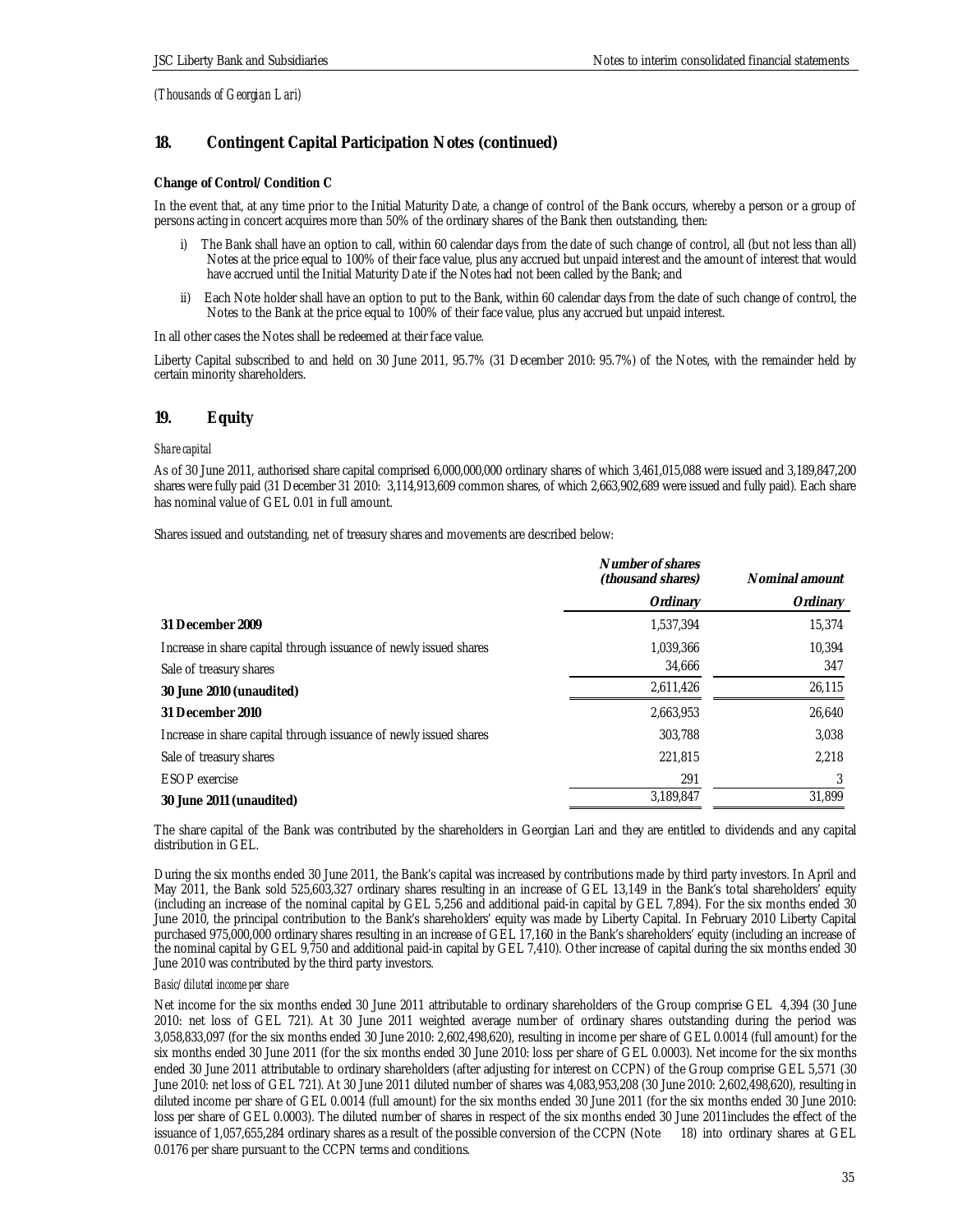# **18. Contingent Capital Participation Notes (continued)**

#### **Change of Control/Condition C**

In the event that, at any time prior to the Initial Maturity Date, a change of control of the Bank occurs, whereby a person or a group of persons acting in concert acquires more than 50% of the ordinary shares of the Bank then outstanding, then:

- i) The Bank shall have an option to call, within 60 calendar days from the date of such change of control, all (but not less than all) Notes at the price equal to 100% of their face value, plus any accrued but unpaid interest and the amount of interest that would have accrued until the Initial Maturity Date if the Notes had not been called by the Bank; and
- ii) Each Note holder shall have an option to put to the Bank, within 60 calendar days from the date of such change of control, the Notes to the Bank at the price equal to 100% of their face value, plus any accrued but unpaid interest.

In all other cases the Notes shall be redeemed at their face value.

Liberty Capital subscribed to and held on 30 June 2011, 95.7% (31 December 2010: 95.7%) of the Notes, with the remainder held by certain minority shareholders.

# **19. Equity**

#### *Share capital*

As of 30 June 2011, authorised share capital comprised 6,000,000,000 ordinary shares of which 3,461,015,088 were issued and 3,189,847,200 shares were fully paid (31 December 31 2010: 3,114,913,609 common shares, of which 2,663,902,689 were issued and fully paid). Each share has nominal value of GEL 0.01 in full amount.

Shares issued and outstanding, net of treasury shares and movements are described below:

|                                                                   | Number of shares<br>(thousand shares) | Nominal amount |
|-------------------------------------------------------------------|---------------------------------------|----------------|
|                                                                   | Ordinary                              | Ordinary       |
| 31 December 2009                                                  | 1,537,394                             | 15,374         |
| Increase in share capital through issuance of newly issued shares | 1.039.366                             | 10.394         |
| Sale of treasury shares                                           | 34,666                                | 347            |
| 30 June 2010 (unaudited)                                          | 2.611.426                             | 26,115         |
| 31 December 2010                                                  | 2,663,953                             | 26,640         |
| Increase in share capital through issuance of newly issued shares | 303.788                               | 3.038          |
| Sale of treasury shares                                           | 221.815                               | 2.218          |
| <b>ESOP</b> exercise                                              | 291                                   |                |
| 30 June 2011 (unaudited)                                          | 3,189,847                             | 31.899         |

The share capital of the Bank was contributed by the shareholders in Georgian Lari and they are entitled to dividends and any capital distribution in GEL.

During the six months ended 30 June 2011, the Bank's capital was increased by contributions made by third party investors. In April and May 2011, the Bank sold 525,603,327 ordinary shares resulting in an increase of GEL 13,149 in the Bank's total shareholders' equity (including an increase of the nominal capital by GEL 5,256 and additional paid-in capital by GEL 7,894). For the six months ended 30 June 2010, the principal contribution to the Bank's shareholders' equity was made by Liberty Capital. In February 2010 Liberty Capital purchased 975,000,000 ordinary shares resulting in an increase of GEL 17,160 in the Bank's shareholders' equity (including an increase of the nominal capital by GEL 9,750 and additional paid-in capital by GEL 7,410). Other increase of capital during the six months ended 30 June 2010 was contributed by the third party investors.

#### *Basic/diluted income per share*

Net income for the six months ended 30 June 2011 attributable to ordinary shareholders of the Group comprise GEL 4,394 (30 June 2010: net loss of GEL 721). At 30 June 2011 weighted average number of ordinary shares outstanding during the period was 3,058,833,097 (for the six months ended 30 June 2010: 2,602,498,620), resulting in income per share of GEL 0.0014 (full amount) for the six months ended 30 June 2011 (for the six months ended 30 June 2010: loss per share of GEL 0.0003). Net income for the six months ended 30 June 2011 attributable to ordinary shareholders (after adjusting for interest on CCPN) of the Group comprise GEL 5,571 (30 June 2010: net loss of GEL 721). At 30 June 2011 diluted number of shares was 4,083,953,208 (30 June 2010: 2,602,498,620), resulting in diluted income per share of GEL 0.0014 (full amount) for the six months ended 30 June 2011 (for the six months ended 30 June 2010: loss per share of GEL 0.0003). The diluted number of shares in respect of the six months ended 30 June 2011includes the effect of the issuance of 1,057,655,284 ordinary shares as a result of the possible conversion of the CCPN (Note 18) into ordinary shares at GEL 0.0176 per share pursuant to the CCPN terms and conditions.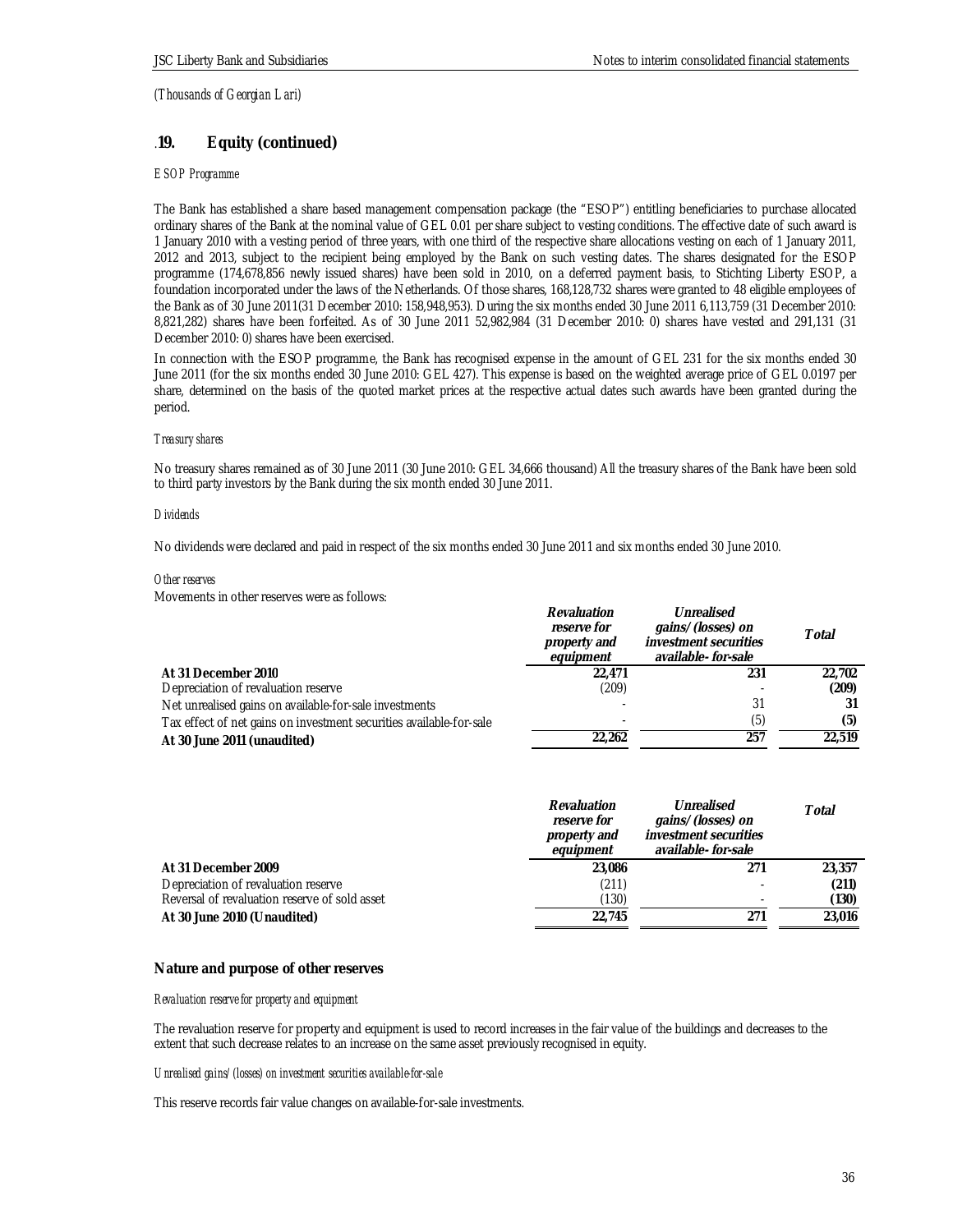# .**19. Equity (continued)**

### *ESOP Programme*

The Bank has established a share based management compensation package (the "ESOP") entitling beneficiaries to purchase allocated ordinary shares of the Bank at the nominal value of GEL 0.01 per share subject to vesting conditions. The effective date of such award is 1 January 2010 with a vesting period of three years, with one third of the respective share allocations vesting on each of 1 January 2011, 2012 and 2013, subject to the recipient being employed by the Bank on such vesting dates. The shares designated for the ESOP programme (174,678,856 newly issued shares) have been sold in 2010, on a deferred payment basis, to Stichting Liberty ESOP, a foundation incorporated under the laws of the Netherlands. Of those shares, 168,128,732 shares were granted to 48 eligible employees of the Bank as of 30 June 2011(31 December 2010: 158,948,953). During the six months ended 30 June 2011 6,113,759 (31 December 2010: 8,821,282) shares have been forfeited. As of 30 June 2011 52,982,984 (31 December 2010: 0) shares have vested and 291,131 (31 December 2010: 0) shares have been exercised.

In connection with the ESOP programme, the Bank has recognised expense in the amount of GEL 231 for the six months ended 30 June 2011 (for the six months ended 30 June 2010: GEL 427). This expense is based on the weighted average price of GEL 0.0197 per share, determined on the basis of the quoted market prices at the respective actual dates such awards have been granted during the period.

#### *Treasury shares*

No treasury shares remained as of 30 June 2011 (30 June 2010: GEL 34,666 thousand) All the treasury shares of the Bank have been sold to third party investors by the Bank during the six month ended 30 June 2011.

#### *Dividends*

No dividends were declared and paid in respect of the six months ended 30 June 2011 and six months ended 30 June 2010.

#### *Other reserves*

Movements in other reserves were as follows:

| reserve for<br>property and<br>equipment | gains/(losses) on<br><i>investment securities</i><br>available-for-sale | Total      |
|------------------------------------------|-------------------------------------------------------------------------|------------|
| 22,471                                   | 231                                                                     | 22.702     |
| (209)                                    |                                                                         | (209)      |
|                                          | 31                                                                      |            |
|                                          | (5)                                                                     | (5)        |
| 22.262                                   | 257                                                                     | 22.519     |
|                                          | Revaluation                                                             | Unrealised |

|                                               | Revaluation<br>reserve for<br>property and<br>equipment | Unrealised<br>gains/(losses) on<br><i>investment securities</i><br>available-for-sale | Total  |
|-----------------------------------------------|---------------------------------------------------------|---------------------------------------------------------------------------------------|--------|
| At 31 December 2009                           | 23,086                                                  | 271                                                                                   | 23,357 |
| Depreciation of revaluation reserve           | (211)                                                   |                                                                                       | (211)  |
| Reversal of revaluation reserve of sold asset | (130)                                                   |                                                                                       | (130)  |
| At 30 June 2010 (Unaudited)                   | 22.745                                                  | 271                                                                                   | 23.016 |

#### **Nature and purpose of other reserves**

#### *Revaluation reserve for property and equipment*

The revaluation reserve for property and equipment is used to record increases in the fair value of the buildings and decreases to the extent that such decrease relates to an increase on the same asset previously recognised in equity.

*Unrealised gains/(losses) on investment securities available-for-sale* 

This reserve records fair value changes on available-for-sale investments.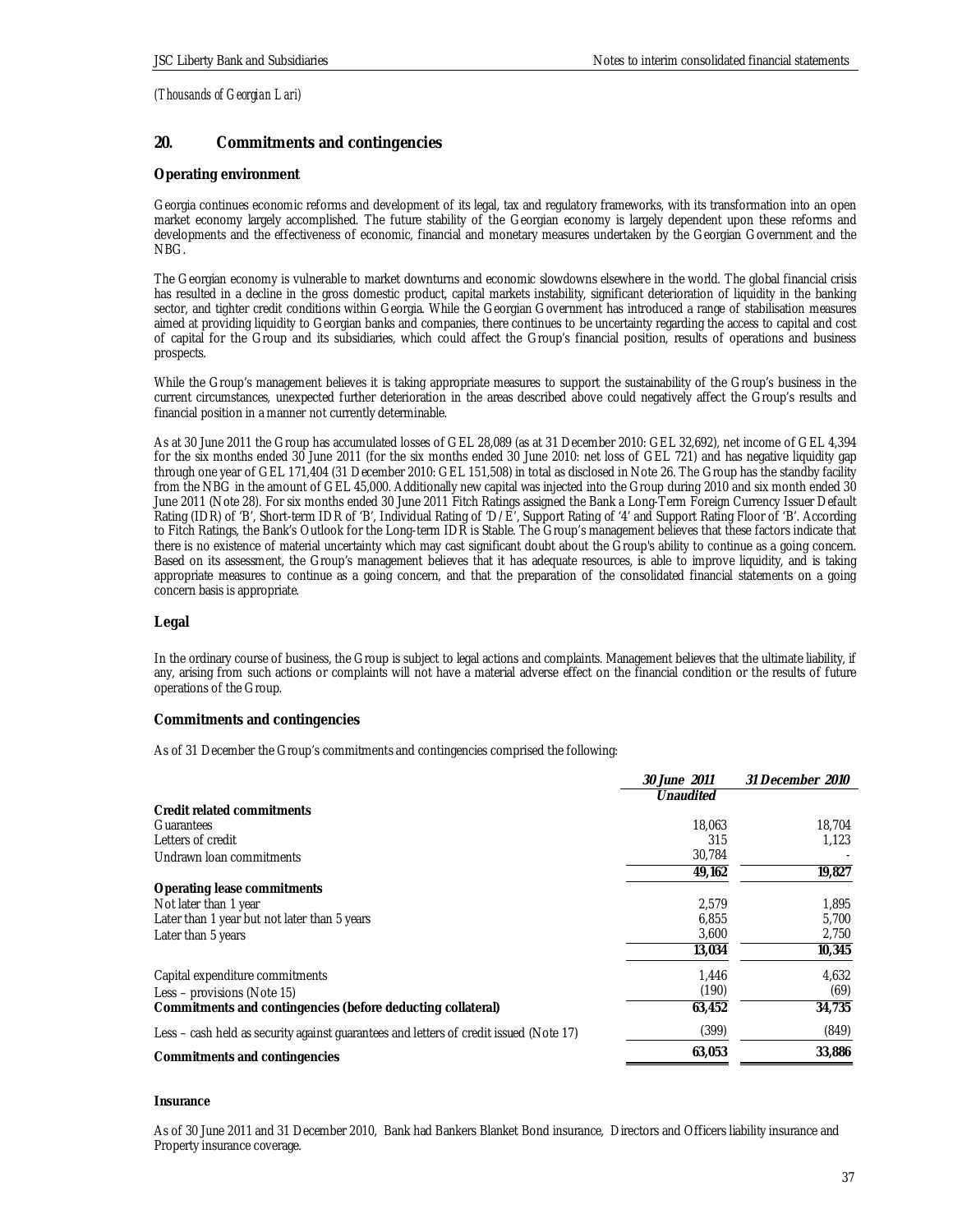# **20. Commitments and contingencies**

#### **Operating environment**

Georgia continues economic reforms and development of its legal, tax and regulatory frameworks, with its transformation into an open market economy largely accomplished. The future stability of the Georgian economy is largely dependent upon these reforms and developments and the effectiveness of economic, financial and monetary measures undertaken by the Georgian Government and the NBG.

The Georgian economy is vulnerable to market downturns and economic slowdowns elsewhere in the world. The global financial crisis has resulted in a decline in the gross domestic product, capital markets instability, significant deterioration of liquidity in the banking sector, and tighter credit conditions within Georgia. While the Georgian Government has introduced a range of stabilisation measures aimed at providing liquidity to Georgian banks and companies, there continues to be uncertainty regarding the access to capital and cost of capital for the Group and its subsidiaries, which could affect the Group's financial position, results of operations and business prospects.

While the Group's management believes it is taking appropriate measures to support the sustainability of the Group's business in the current circumstances, unexpected further deterioration in the areas described above could negatively affect the Group's results and financial position in a manner not currently determinable.

As at 30 June 2011 the Group has accumulated losses of GEL 28,089 (as at 31 December 2010: GEL 32,692), net income of GEL 4,394 for the six months ended 30 June 2011 (for the six months ended 30 June 2010: net loss of GEL 721) and has negative liquidity gap through one year of GEL 171,404 (31 December 2010: GEL 151,508) in total as disclosed in Note 26. The Group has the standby facility from the NBG in the amount of GEL 45,000. Additionally new capital was injected into the Group during 2010 and six month ended 30 June 2011 (Note 28). For six months ended 30 June 2011 Fitch Ratings assigned the Bank a Long-Term Foreign Currency Issuer Default Rating (IDR) of 'B', Short-term IDR of 'B', Individual Rating of 'D/E', Support Rating of '4' and Support Rating Floor of 'B'. According to Fitch Ratings, the Bank's Outlook for the Long-term IDR is Stable. The Group's management believes that these factors indicate that there is no existence of material uncertainty which may cast significant doubt about the Group's ability to continue as a going concern. Based on its assessment, the Group's management believes that it has adequate resources, is able to improve liquidity, and is taking appropriate measures to continue as a going concern, and that the preparation of the consolidated financial statements on a going concern basis is appropriate.

#### **Legal**

In the ordinary course of business, the Group is subject to legal actions and complaints. Management believes that the ultimate liability, if any, arising from such actions or complaints will not have a material adverse effect on the financial condition or the results of future operations of the Group.

#### **Commitments and contingencies**

As of 31 December the Group's commitments and contingencies comprised the following:

|                                                                                        | 30 June 2011 | 31 December 2010 |
|----------------------------------------------------------------------------------------|--------------|------------------|
|                                                                                        | Unaudited    |                  |
| Credit related commitments                                                             |              |                  |
| Guarantees                                                                             | 18,063       | 18,704           |
| Letters of credit                                                                      | 315          | 1,123            |
| Undrawn Ioan commitments                                                               | 30,784       |                  |
|                                                                                        | 49,162       | 19,827           |
| Operating lease commitments                                                            |              |                  |
| Not later than 1 year                                                                  | 2.579        | 1,895            |
| Later than 1 year but not later than 5 years                                           | 6,855        | 5,700            |
| Later than 5 years                                                                     | 3,600        | 2,750            |
|                                                                                        | 13,034       | 10,345           |
| Capital expenditure commitments                                                        | 1,446        | 4,632            |
| Less – provisions (Note 15)                                                            | (190)        | (69)             |
| Commitments and contingencies (before deducting collateral)                            | 63,452       | 34,735           |
| Less - cash held as security against guarantees and letters of credit issued (Note 17) | (399)        | (849)            |
| Commitments and contingencies                                                          | 63,053       | 33,886           |

#### **Insurance**

As of 30 June 2011 and 31 December 2010, Bank had Bankers Blanket Bond insurance, Directors and Officers liability insurance and Property insurance coverage.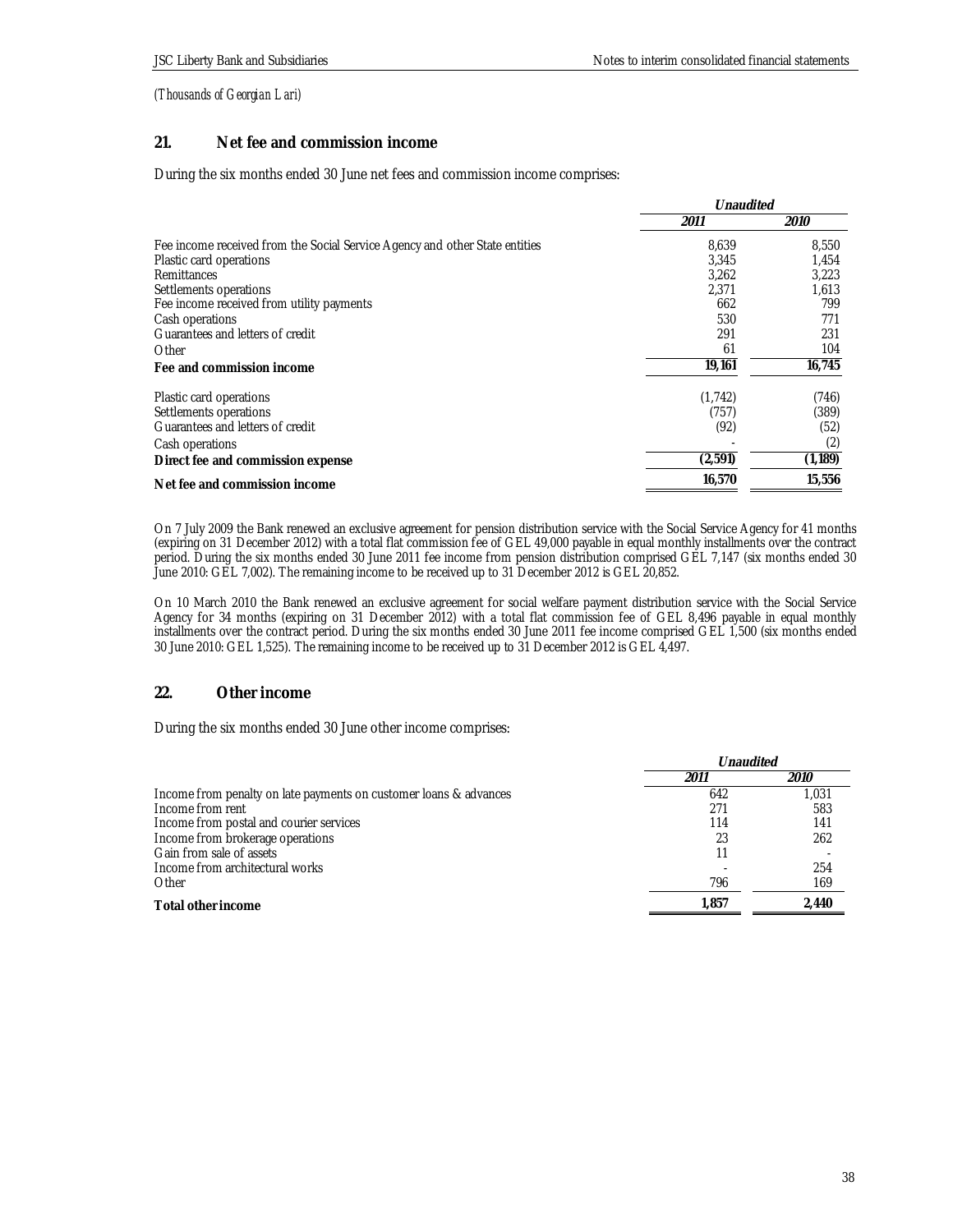**Unaudited**

### *(Thousands of Georgian Lari)*

# **21. Net fee and commission income**

During the six months ended 30 June net fees and commission income comprises:

|                                                                             | <u>onaudit</u> u |          |
|-----------------------------------------------------------------------------|------------------|----------|
|                                                                             | 2011             | 2010     |
| Fee income received from the Social Service Agency and other State entities | 8,639            | 8,550    |
| Plastic card operations                                                     | 3,345            | 1,454    |
| Remittances                                                                 | 3.262            | 3,223    |
| Settlements operations                                                      | 2,371            | 1,613    |
| Fee income received from utility payments                                   | 662              | 799      |
| Cash operations                                                             | 530              | 771      |
| Guarantees and letters of credit                                            | 291              | 231      |
| Other                                                                       | 61               | 104      |
| Fee and commission income                                                   | 19,161           | 16.745   |
| Plastic card operations                                                     | (1, 742)         | (746)    |
| Settlements operations                                                      | (757)            | (389)    |
| Guarantees and letters of credit                                            | (92)             | (52)     |
| Cash operations                                                             |                  | (2)      |
| Direct fee and commission expense                                           | (2,591)          | (1, 189) |
| Net fee and commission income                                               | 16,570           | 15,556   |

On 7 July 2009 the Bank renewed an exclusive agreement for pension distribution service with the Social Service Agency for 41 months (expiring on 31 December 2012) with a total flat commission fee of GEL 49,000 payable in equal monthly installments over the contract period. During the six months ended 30 June 2011 fee income from pension distribution comprised GEL 7,147 (six months ended 30 June 2010: GEL 7,002). The remaining income to be received up to 31 December 2012 is GEL 20,852.

On 10 March 2010 the Bank renewed an exclusive agreement for social welfare payment distribution service with the Social Service Agency for 34 months (expiring on 31 December 2012) with a total flat commission fee of GEL 8,496 payable in equal monthly installments over the contract period. During the six months ended 30 June 2011 fee income comprised GEL 1,500 (six months ended 30 June 2010: GEL 1,525). The remaining income to be received up to 31 December 2012 is GEL 4,497.

# **22. Other income**

During the six months ended 30 June other income comprises:

|                                                                   | Unaudited |             |
|-------------------------------------------------------------------|-----------|-------------|
|                                                                   | 2011      | <i>2010</i> |
| Income from penalty on late payments on customer loans & advances | 642       | 1.031       |
| Income from rent                                                  | 271       | 583         |
| Income from postal and courier services                           | 114       | 141         |
| Income from brokerage operations                                  | 23        | 262         |
| Gain from sale of assets                                          |           |             |
| Income from architectural works                                   |           | 254         |
| Other                                                             | 796       | 169         |
| Total other income                                                | 1.857     | 2.440       |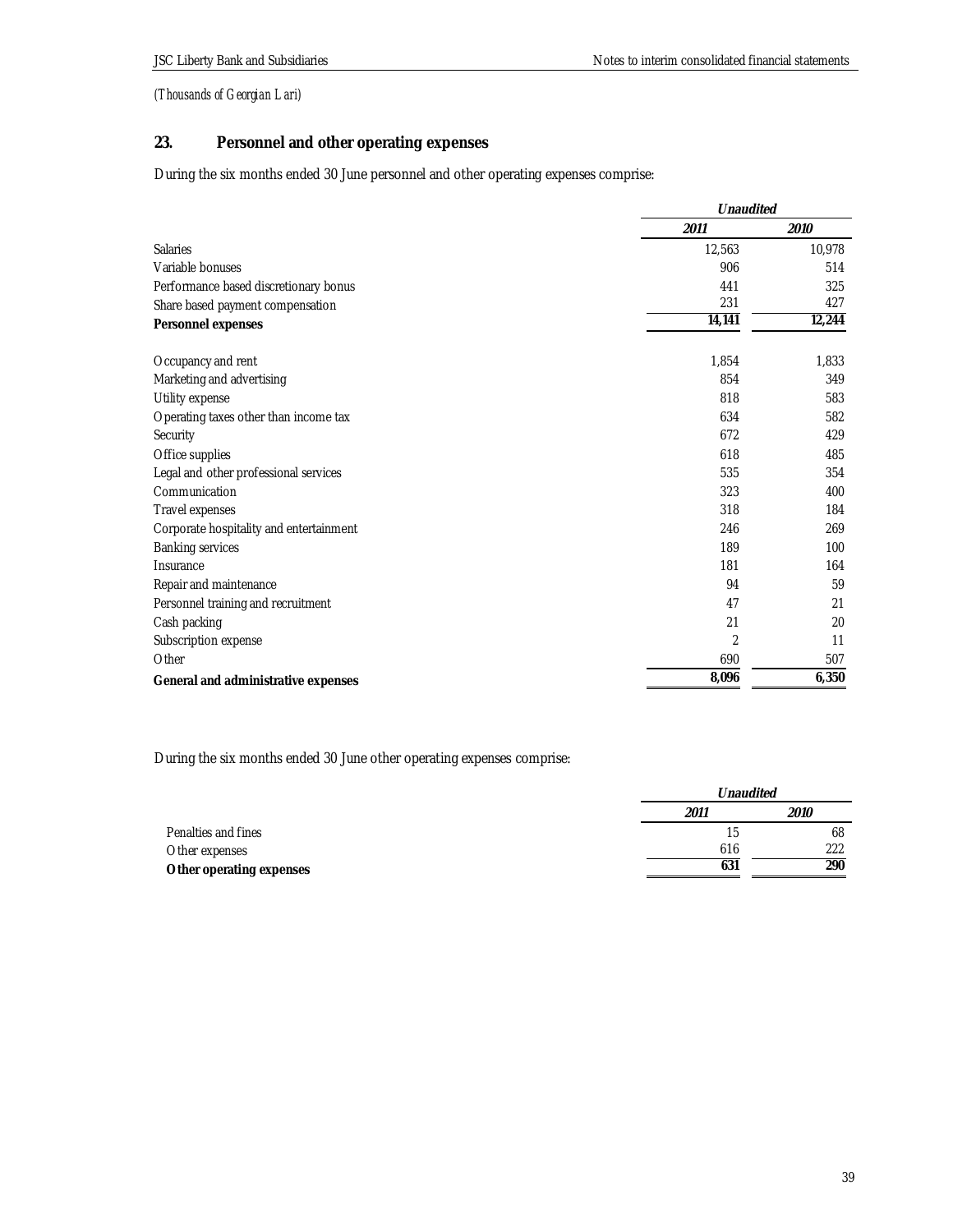# **23. Personnel and other operating expenses**

During the six months ended 30 June personnel and other operating expenses comprise:

|                                         | Unaudited |        |
|-----------------------------------------|-----------|--------|
|                                         | 2011      | 2010   |
| <b>Salaries</b>                         | 12,563    | 10,978 |
| Variable bonuses                        | 906       | 514    |
| Performance based discretionary bonus   | 441       | 325    |
| Share based payment compensation        | 231       | 427    |
| Personnel expenses                      | 14,141    | 12,244 |
| Occupancy and rent                      | 1,854     | 1,833  |
| Marketing and advertising               | 854       | 349    |
| Utility expense                         | 818       | 583    |
| Operating taxes other than income tax   | 634       | 582    |
| Security                                | 672       | 429    |
| Office supplies                         | 618       | 485    |
| Legal and other professional services   | 535       | 354    |
| Communication                           | 323       | 400    |
| Travel expenses                         | 318       | 184    |
| Corporate hospitality and entertainment | 246       | 269    |
| Banking services                        | 189       | 100    |
| Insurance                               | 181       | 164    |
| Repair and maintenance                  | 94        | 59     |
| Personnel training and recruitment      | 47        | 21     |
| Cash packing                            | 21        | 20     |
| Subscription expense                    | 2         | 11     |
| Other                                   | 690       | 507    |
| General and administrative expenses     | 8,096     | 6,350  |
|                                         |           |        |

During the six months ended 30 June other operating expenses comprise:

|                          | Unaudited |             |  |
|--------------------------|-----------|-------------|--|
|                          | 2011      | <i>2010</i> |  |
| Penalties and fines      | 15        | 68          |  |
| Other expenses           | 616       | 222         |  |
| Other operating expenses | 631       | 290         |  |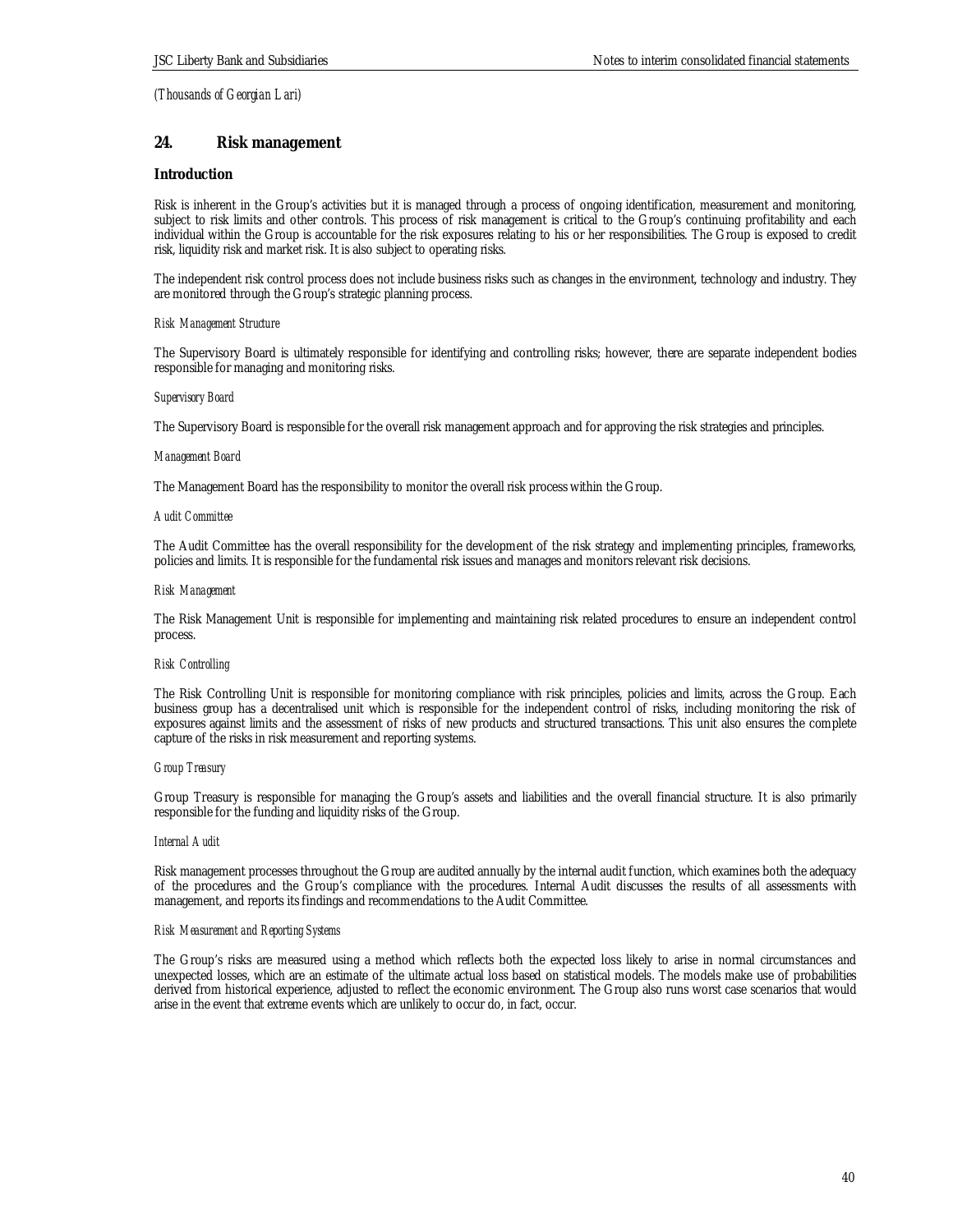### **24. Risk management**

#### **Introduction**

Risk is inherent in the Group's activities but it is managed through a process of ongoing identification, measurement and monitoring, subject to risk limits and other controls. This process of risk management is critical to the Group's continuing profitability and each individual within the Group is accountable for the risk exposures relating to his or her responsibilities. The Group is exposed to credit risk, liquidity risk and market risk. It is also subject to operating risks.

The independent risk control process does not include business risks such as changes in the environment, technology and industry. They are monitored through the Group's strategic planning process.

#### *Risk Management Structure*

The Supervisory Board is ultimately responsible for identifying and controlling risks; however, there are separate independent bodies responsible for managing and monitoring risks.

#### *Supervisory Board*

The Supervisory Board is responsible for the overall risk management approach and for approving the risk strategies and principles.

#### *Management Board*

The Management Board has the responsibility to monitor the overall risk process within the Group.

#### *Audit Committee*

The Audit Committee has the overall responsibility for the development of the risk strategy and implementing principles, frameworks, policies and limits. It is responsible for the fundamental risk issues and manages and monitors relevant risk decisions.

#### *Risk Management*

The Risk Management Unit is responsible for implementing and maintaining risk related procedures to ensure an independent control process.

#### *Risk Controlling*

The Risk Controlling Unit is responsible for monitoring compliance with risk principles, policies and limits, across the Group. Each business group has a decentralised unit which is responsible for the independent control of risks, including monitoring the risk of exposures against limits and the assessment of risks of new products and structured transactions. This unit also ensures the complete capture of the risks in risk measurement and reporting systems.

#### *Group Treasury*

Group Treasury is responsible for managing the Group's assets and liabilities and the overall financial structure. It is also primarily responsible for the funding and liquidity risks of the Group.

#### *Internal Audit*

Risk management processes throughout the Group are audited annually by the internal audit function, which examines both the adequacy of the procedures and the Group's compliance with the procedures. Internal Audit discusses the results of all assessments with management, and reports its findings and recommendations to the Audit Committee.

#### *Risk Measurement and Reporting Systems*

The Group's risks are measured using a method which reflects both the expected loss likely to arise in normal circumstances and unexpected losses, which are an estimate of the ultimate actual loss based on statistical models. The models make use of probabilities derived from historical experience, adjusted to reflect the economic environment. The Group also runs worst case scenarios that would arise in the event that extreme events which are unlikely to occur do, in fact, occur.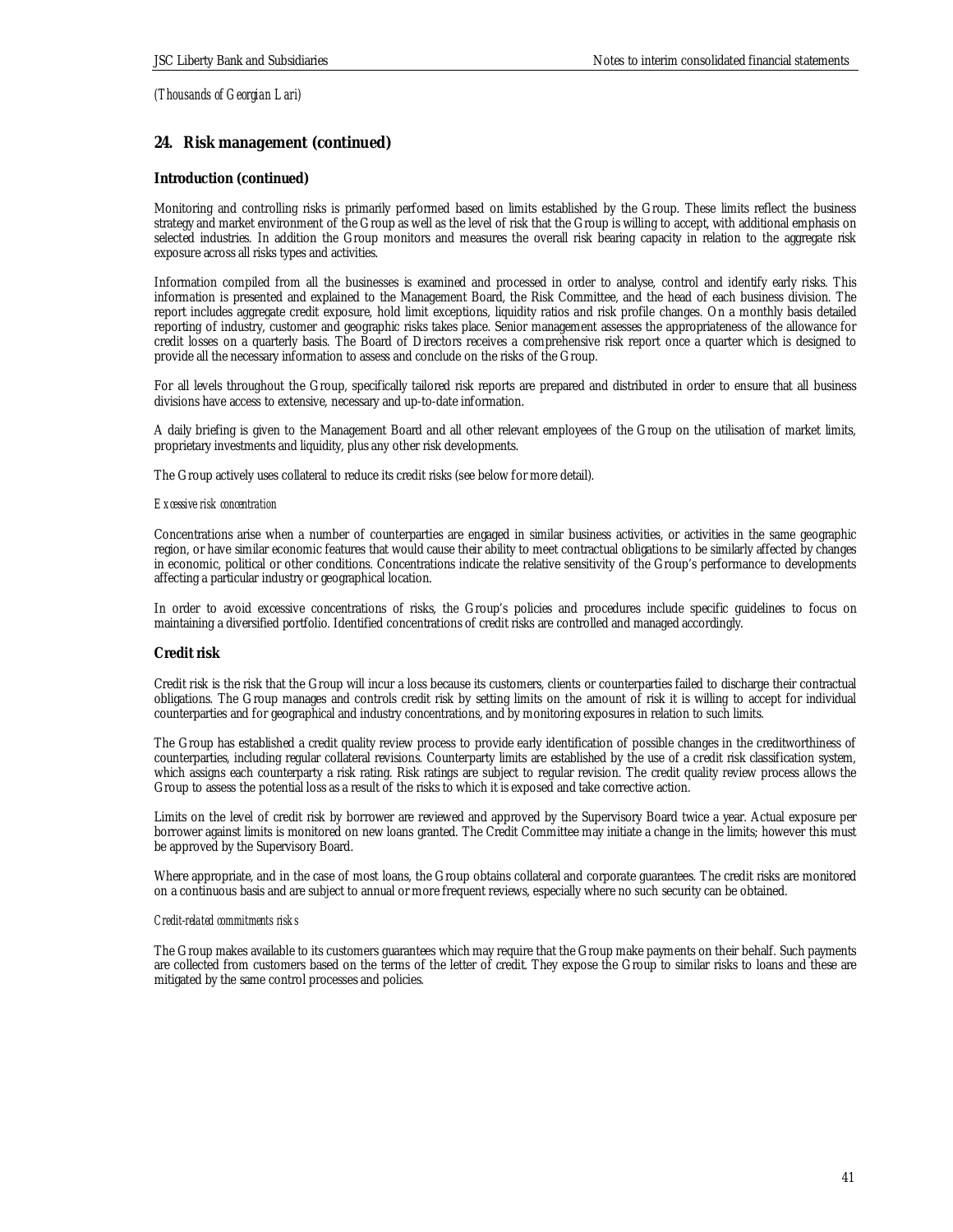### **24. Risk management (continued)**

#### **Introduction (continued)**

Monitoring and controlling risks is primarily performed based on limits established by the Group. These limits reflect the business strategy and market environment of the Group as well as the level of risk that the Group is willing to accept, with additional emphasis on selected industries. In addition the Group monitors and measures the overall risk bearing capacity in relation to the aggregate risk exposure across all risks types and activities.

Information compiled from all the businesses is examined and processed in order to analyse, control and identify early risks. This information is presented and explained to the Management Board, the Risk Committee, and the head of each business division. The report includes aggregate credit exposure, hold limit exceptions, liquidity ratios and risk profile changes. On a monthly basis detailed reporting of industry, customer and geographic risks takes place. Senior management assesses the appropriateness of the allowance for credit losses on a quarterly basis. The Board of Directors receives a comprehensive risk report once a quarter which is designed to provide all the necessary information to assess and conclude on the risks of the Group.

For all levels throughout the Group, specifically tailored risk reports are prepared and distributed in order to ensure that all business divisions have access to extensive, necessary and up-to-date information.

A daily briefing is given to the Management Board and all other relevant employees of the Group on the utilisation of market limits, proprietary investments and liquidity, plus any other risk developments.

The Group actively uses collateral to reduce its credit risks (see below for more detail).

#### *Excessive risk concentration*

Concentrations arise when a number of counterparties are engaged in similar business activities, or activities in the same geographic region, or have similar economic features that would cause their ability to meet contractual obligations to be similarly affected by changes in economic, political or other conditions. Concentrations indicate the relative sensitivity of the Group's performance to developments affecting a particular industry or geographical location.

In order to avoid excessive concentrations of risks, the Group's policies and procedures include specific guidelines to focus on maintaining a diversified portfolio. Identified concentrations of credit risks are controlled and managed accordingly.

#### **Credit risk**

Credit risk is the risk that the Group will incur a loss because its customers, clients or counterparties failed to discharge their contractual obligations. The Group manages and controls credit risk by setting limits on the amount of risk it is willing to accept for individual counterparties and for geographical and industry concentrations, and by monitoring exposures in relation to such limits.

The Group has established a credit quality review process to provide early identification of possible changes in the creditworthiness of counterparties, including regular collateral revisions. Counterparty limits are established by the use of a credit risk classification system, which assigns each counterparty a risk rating. Risk ratings are subject to regular revision. The credit quality review process allows the Group to assess the potential loss as a result of the risks to which it is exposed and take corrective action.

Limits on the level of credit risk by borrower are reviewed and approved by the Supervisory Board twice a year. Actual exposure per borrower against limits is monitored on new loans granted. The Credit Committee may initiate a change in the limits; however this must be approved by the Supervisory Board.

Where appropriate, and in the case of most loans, the Group obtains collateral and corporate guarantees. The credit risks are monitored on a continuous basis and are subject to annual or more frequent reviews, especially where no such security can be obtained.

#### *Credit-related commitments risks*

The Group makes available to its customers guarantees which may require that the Group make payments on their behalf. Such payments are collected from customers based on the terms of the letter of credit. They expose the Group to similar risks to loans and these are mitigated by the same control processes and policies.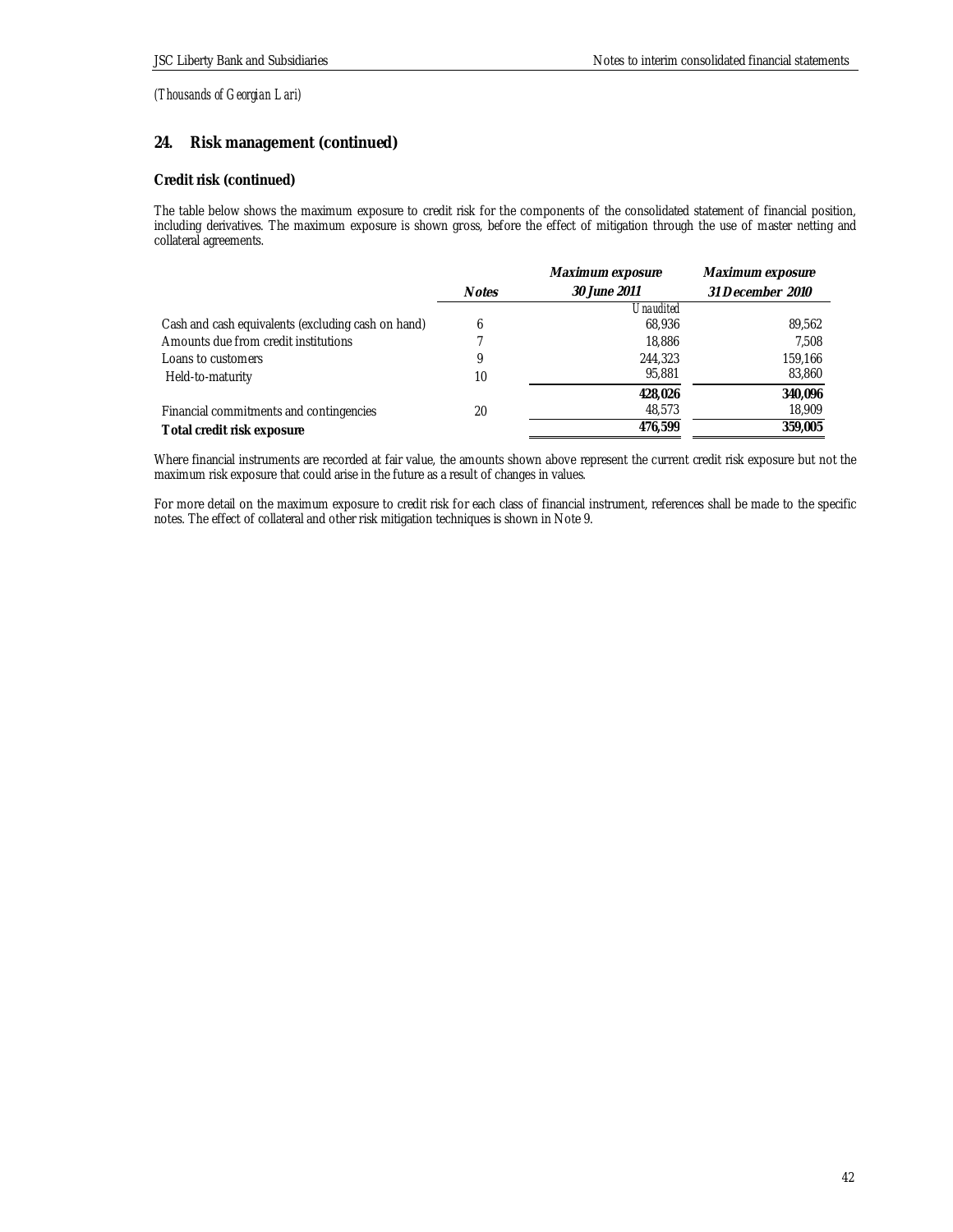# **24. Risk management (continued)**

# **Credit risk (continued)**

The table below shows the maximum exposure to credit risk for the components of the consolidated statement of financial position, including derivatives. The maximum exposure is shown gross, before the effect of mitigation through the use of master netting and collateral agreements.

|                                                    |              | Maximum exposure    | Maximum exposure |
|----------------------------------------------------|--------------|---------------------|------------------|
|                                                    | <b>Notes</b> | <i>30 June 2011</i> | 31 December 2010 |
|                                                    |              | Unaudited           |                  |
| Cash and cash equivalents (excluding cash on hand) | 6            | 68,936              | 89,562           |
| Amounts due from credit institutions               |              | 18,886              | 7,508            |
| Loans to customers                                 | 9            | 244,323             | 159,166          |
| Held-to-maturity                                   | 10           | 95.881              | 83,860           |
|                                                    |              | 428.026             | 340,096          |
| Financial commitments and contingencies            | 20           | 48,573              | 18,909           |
| Total credit risk exposure                         |              | 476.599             | 359,005          |

Where financial instruments are recorded at fair value, the amounts shown above represent the current credit risk exposure but not the maximum risk exposure that could arise in the future as a result of changes in values.

For more detail on the maximum exposure to credit risk for each class of financial instrument, references shall be made to the specific notes. The effect of collateral and other risk mitigation techniques is shown in Note 9.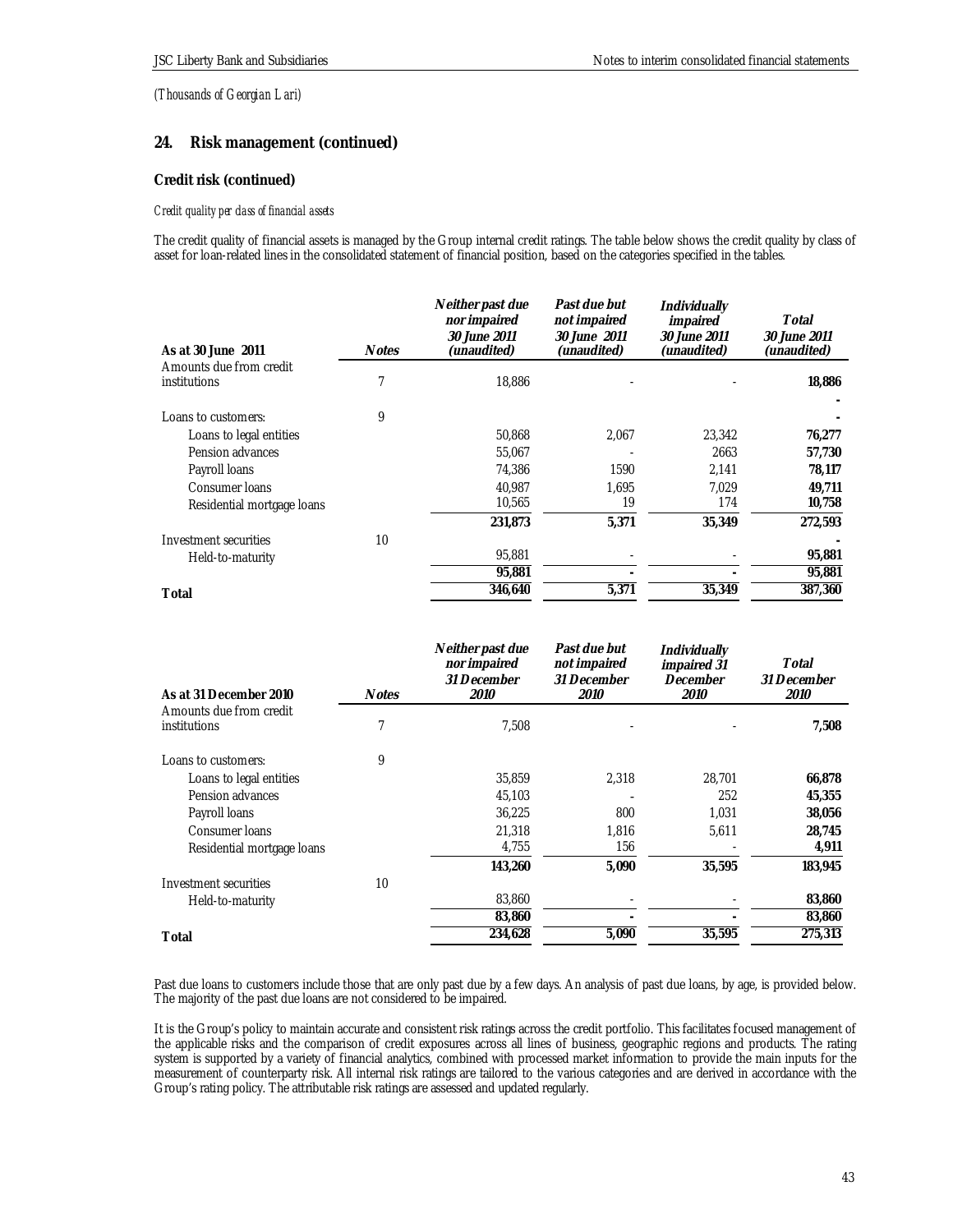# **24. Risk management (continued)**

### **Credit risk (continued)**

#### *Credit quality per class of financial assets*

The credit quality of financial assets is managed by the Group internal credit ratings. The table below shows the credit quality by class of asset for loan-related lines in the consolidated statement of financial position, based on the categories specified in the tables.

| As at 30 June 2011                           | <b>Notes</b> | Neither past due<br>nor impaired<br>30 June 2011<br>(unaudited) | Past due but<br>not impaired<br>30 June 2011<br>(unaudited) | Individually<br>impaired<br>30 June 2011<br>(unaudited) | Total<br>30 June 2011<br>(unaudited) |
|----------------------------------------------|--------------|-----------------------------------------------------------------|-------------------------------------------------------------|---------------------------------------------------------|--------------------------------------|
| Amounts due from credit<br>institutions      | 7            | 18,886                                                          |                                                             |                                                         | 18,886                               |
| Loans to customers:                          | 9            |                                                                 |                                                             |                                                         |                                      |
| Loans to legal entities                      |              | 50,868                                                          | 2,067                                                       | 23,342                                                  | 76,277                               |
| Pension advances                             |              | 55,067                                                          |                                                             | 2663                                                    | 57,730                               |
| Payroll Ioans                                |              | 74,386                                                          | 1590                                                        | 2,141                                                   | 78,117                               |
| Consumer Joans<br>Residential mortgage loans |              | 40.987<br>10,565                                                | 1.695<br>19                                                 | 7.029<br>174                                            | 49.711<br>10,758                     |
|                                              |              | 231,873                                                         | 5,371                                                       | 35,349                                                  | 272,593                              |
| Investment securities                        | 10           |                                                                 |                                                             |                                                         |                                      |
| Held-to-maturity                             |              | 95,881                                                          |                                                             |                                                         | 95,881                               |
|                                              |              | 95,881                                                          |                                                             |                                                         | 95,881                               |
| Total                                        |              | 346,640                                                         | 5,371                                                       | 35,349                                                  | 387,360                              |

| As at 31 December 2010                  | Notes      | Neither past due<br>nor impaired<br>31 December<br><i>2010</i> | Past due but<br>not impaired<br><i>31 December</i><br><i>2010</i> | Individually<br>impaired 31<br>December<br><i>2010</i> | Total<br><i>31 December</i><br><i>2010</i> |
|-----------------------------------------|------------|----------------------------------------------------------------|-------------------------------------------------------------------|--------------------------------------------------------|--------------------------------------------|
| Amounts due from credit<br>institutions | 7<br>7,508 |                                                                |                                                                   | 7,508                                                  |                                            |
| Loans to customers:                     | 9          |                                                                |                                                                   |                                                        |                                            |
| Loans to legal entities                 |            | 35,859                                                         | 2,318                                                             | 28,701                                                 | 66,878                                     |
| Pension advances                        |            | 45,103                                                         |                                                                   | 252                                                    | 45,355                                     |
| Payroll loans                           |            | 36,225                                                         | 800                                                               | 1,031                                                  | 38,056                                     |
| Consumer Joans                          |            | 21,318                                                         | 1.816                                                             | 5,611                                                  | 28,745                                     |
| Residential mortgage loans              |            | 4,755                                                          | 156                                                               |                                                        | 4,911                                      |
|                                         |            | 143,260                                                        | 5,090                                                             | 35,595                                                 | 183,945                                    |
| Investment securities                   | 10         |                                                                |                                                                   |                                                        |                                            |
| Held-to-maturity                        |            | 83,860                                                         |                                                                   |                                                        | 83,860                                     |
|                                         |            | 83,860                                                         |                                                                   |                                                        | 83,860                                     |
| Total                                   |            | 234.628                                                        | 5,090                                                             | 35,595                                                 | 275,313                                    |

Past due loans to customers include those that are only past due by a few days. An analysis of past due loans, by age, is provided below. The majority of the past due loans are not considered to be impaired.

It is the Group's policy to maintain accurate and consistent risk ratings across the credit portfolio. This facilitates focused management of the applicable risks and the comparison of credit exposures across all lines of business, geographic regions and products. The rating system is supported by a variety of financial analytics, combined with processed market information to provide the main inputs for the measurement of counterparty risk. All internal risk ratings are tailored to the various categories and are derived in accordance with the Group's rating policy. The attributable risk ratings are assessed and updated regularly.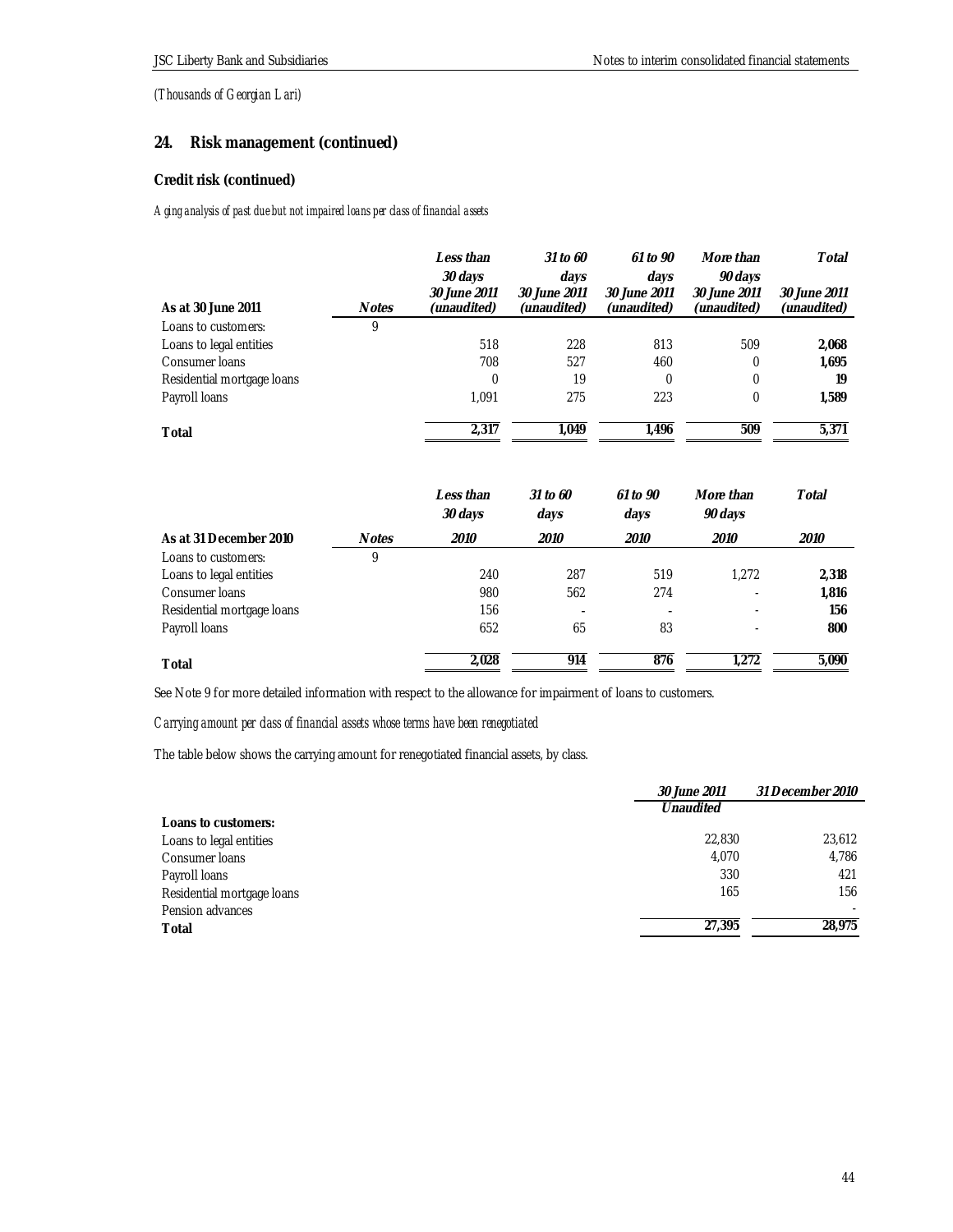# **24. Risk management (continued)**

# **Credit risk (continued)**

# *Aging analysis of past due but not impaired loans per class of financial assets*

|                            |              | Less than    | 31 to 60     | $61$ to $90$        | More than    | Total               |
|----------------------------|--------------|--------------|--------------|---------------------|--------------|---------------------|
|                            |              | 30 days      | days         | days                | 90 days      |                     |
|                            |              | 30 June 2011 | 30 June 2011 | <i>30 June 2011</i> | 30 June 2011 | <i>30 June 2011</i> |
| As at 30 June 2011         | <b>Notes</b> | (unaudited)  | (unaudited)  | (unaudited)         | (unaudited)  | (unaudited)         |
| Loans to customers:        | 9            |              |              |                     |              |                     |
| Loans to legal entities    |              | 518          | 228          | 813                 | 509          | 2,068               |
| Consumer Ioans             |              | 708          | 527          | 460                 | 0            | 1.695               |
| Residential mortgage loans |              | 0            | 19           | $\Omega$            | 0            | 19                  |
| Payroll loans              |              | 1.091        | 275          | 223                 | 0            | 1.589               |
| Total                      |              | 2.317        | 1.049        | 1.496               | 509          | 5.371               |

|                            |              | Less than<br>30 days | 31 to 60<br>days | $61$ to $90$<br>days     | More than<br>90 days     | Total |
|----------------------------|--------------|----------------------|------------------|--------------------------|--------------------------|-------|
| As at 31 December 2010     | <b>Notes</b> | 2010                 | 2010             | 2010                     | 2010                     | 2010  |
| Loans to customers:        | 9            |                      |                  |                          |                          |       |
| Loans to legal entities    |              | 240                  | 287              | 519                      | 1.272                    | 2,318 |
| Consumer Joans             |              | 980                  | 562              | 274                      | $\overline{\phantom{a}}$ | 1,816 |
| Residential mortgage loans |              | 156                  | $\blacksquare$   | $\overline{\phantom{0}}$ |                          | 156   |
| Payroll loans              |              | 652                  | 65               | 83                       | $\overline{\phantom{a}}$ | 800   |
| Total                      |              | 2,028                | 914              | 876                      | 1.272                    | 5,090 |

See Note 9 for more detailed information with respect to the allowance for impairment of loans to customers.

# *Carrying amount per class of financial assets whose terms have been renegotiated*

The table below shows the carrying amount for renegotiated financial assets, by class.

|                            | 30 June 2011 | <i>31 December 2010</i> |
|----------------------------|--------------|-------------------------|
|                            | Unaudited    |                         |
| Loans to customers:        |              |                         |
| Loans to legal entities    | 22,830       | 23,612                  |
| Consumer Ioans             | 4,070        | 4,786                   |
| Payroll loans              | 330          | 421                     |
| Residential mortgage loans | 165          | 156                     |
| Pension advances           |              |                         |
| Total                      | 27.395       | 28,975                  |
|                            |              |                         |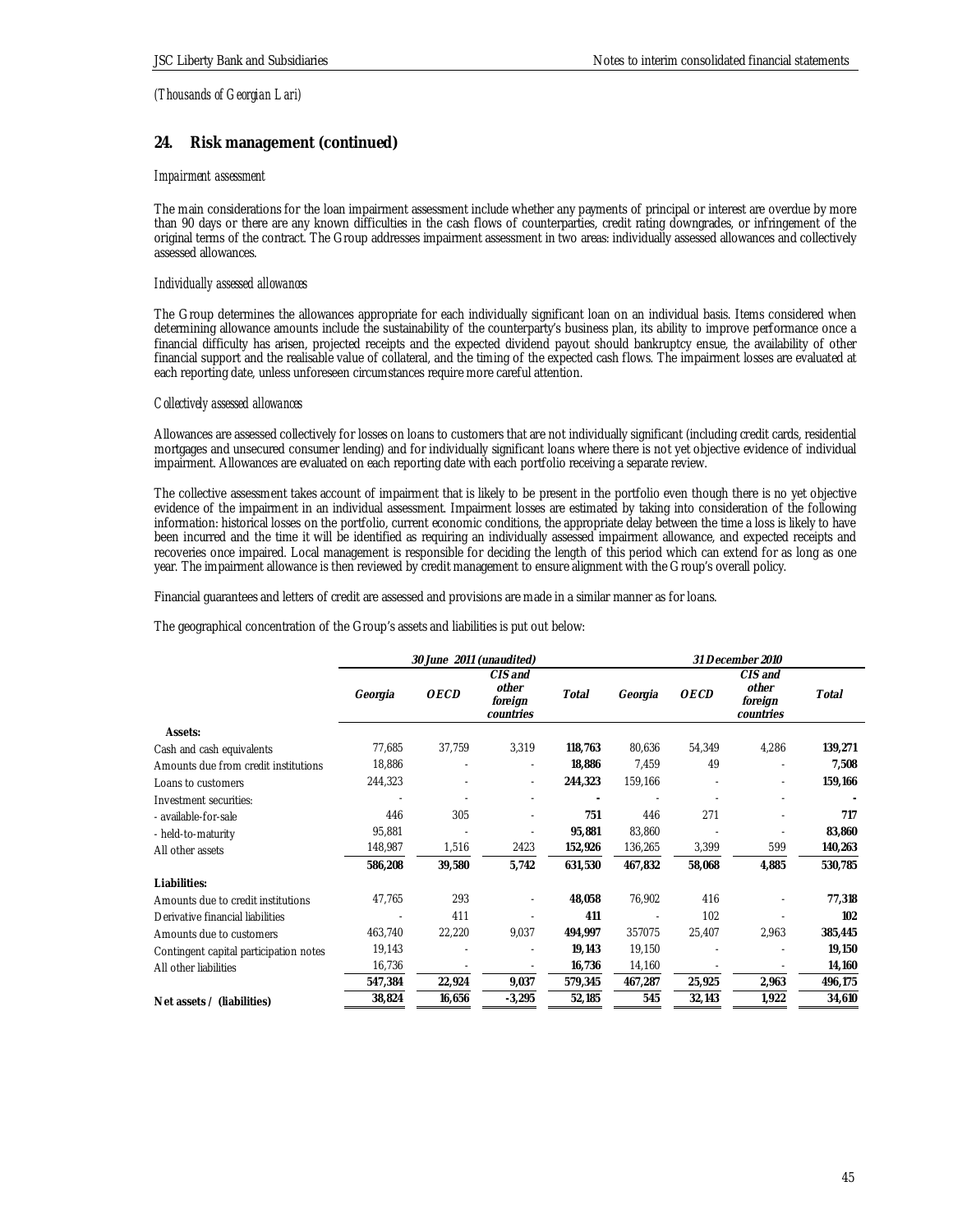# **24. Risk management (continued)**

#### *Impairment assessment*

The main considerations for the loan impairment assessment include whether any payments of principal or interest are overdue by more than 90 days or there are any known difficulties in the cash flows of counterparties, credit rating downgrades, or infringement of the original terms of the contract. The Group addresses impairment assessment in two areas: individually assessed allowances and collectively assessed allowances.

#### *Individually assessed allowances*

The Group determines the allowances appropriate for each individually significant loan on an individual basis. Items considered when determining allowance amounts include the sustainability of the counterparty's business plan, its ability to improve performance once a financial difficulty has arisen, projected receipts and the expected dividend payout should bankruptcy ensue, the availability of other financial support and the realisable value of collateral, and the timing of the expected cash flows. The impairment losses are evaluated at each reporting date, unless unforeseen circumstances require more careful attention.

#### *Collectively assessed allowances*

Allowances are assessed collectively for losses on loans to customers that are not individually significant (including credit cards, residential mortgages and unsecured consumer lending) and for individually significant loans where there is not yet objective evidence of individual impairment. Allowances are evaluated on each reporting date with each portfolio receiving a separate review.

The collective assessment takes account of impairment that is likely to be present in the portfolio even though there is no yet objective evidence of the impairment in an individual assessment. Impairment losses are estimated by taking into consideration of the following information: historical losses on the portfolio, current economic conditions, the appropriate delay between the time a loss is likely to have been incurred and the time it will be identified as requiring an individually assessed impairment allowance, and expected receipts and recoveries once impaired. Local management is responsible for deciding the length of this period which can extend for as long as one year. The impairment allowance is then reviewed by credit management to ensure alignment with the Group's overall policy.

Financial guarantees and letters of credit are assessed and provisions are made in a similar manner as for loans.

The geographical concentration of the Group's assets and liabilities is put out below:

|                                        | 30 June 2011 (unaudited) |             |                                          |         | 31 December 2010 |             |                                          |         |
|----------------------------------------|--------------------------|-------------|------------------------------------------|---------|------------------|-------------|------------------------------------------|---------|
|                                        | Georgia                  | <b>OECD</b> | CIS and<br>other<br>foreign<br>countries | Total   | Georgia          | <b>OECD</b> | CIS and<br>other<br>foreign<br>countries | Total   |
| Assets:                                |                          |             |                                          |         |                  |             |                                          |         |
| Cash and cash equivalents              | 77,685                   | 37,759      | 3,319                                    | 118,763 | 80,636           | 54,349      | 4,286                                    | 139,271 |
| Amounts due from credit institutions   | 18,886                   |             | ٠                                        | 18,886  | 7,459            | 49          |                                          | 7,508   |
| Loans to customers                     | 244,323                  |             | ٠                                        | 244,323 | 159,166          |             | ٠                                        | 159,166 |
| Investment securities:                 |                          |             |                                          |         |                  |             |                                          |         |
| - available-for-sale                   | 446                      | 305         |                                          | 751     | 446              | 271         |                                          | 717     |
| - held-to-maturity                     | 95,881                   |             |                                          | 95,881  | 83,860           |             |                                          | 83,860  |
| All other assets                       | 148,987                  | 1,516       | 2423                                     | 152,926 | 136,265          | 3,399       | 599                                      | 140,263 |
|                                        | 586,208                  | 39,580      | 5,742                                    | 631,530 | 467,832          | 58,068      | 4,885                                    | 530,785 |
| Liabilities:                           |                          |             |                                          |         |                  |             |                                          |         |
| Amounts due to credit institutions     | 47,765                   | 293         |                                          | 48,058  | 76,902           | 416         |                                          | 77,318  |
| Derivative financial liabilities       |                          | 411         |                                          | 411     |                  | 102         |                                          | 102     |
| Amounts due to customers               | 463,740                  | 22,220      | 9,037                                    | 494,997 | 357075           | 25,407      | 2,963                                    | 385,445 |
| Contingent capital participation notes | 19,143                   |             |                                          | 19,143  | 19,150           |             |                                          | 19,150  |
| All other liabilities                  | 16,736                   |             |                                          | 16,736  | 14,160           |             |                                          | 14,160  |
|                                        | 547,384                  | 22,924      | 9,037                                    | 579,345 | 467,287          | 25,925      | 2,963                                    | 496,175 |
| Net assets / (liabilities)             | 38,824                   | 16,656      | $-3,295$                                 | 52,185  | 545              | 32,143      | 1,922                                    | 34,610  |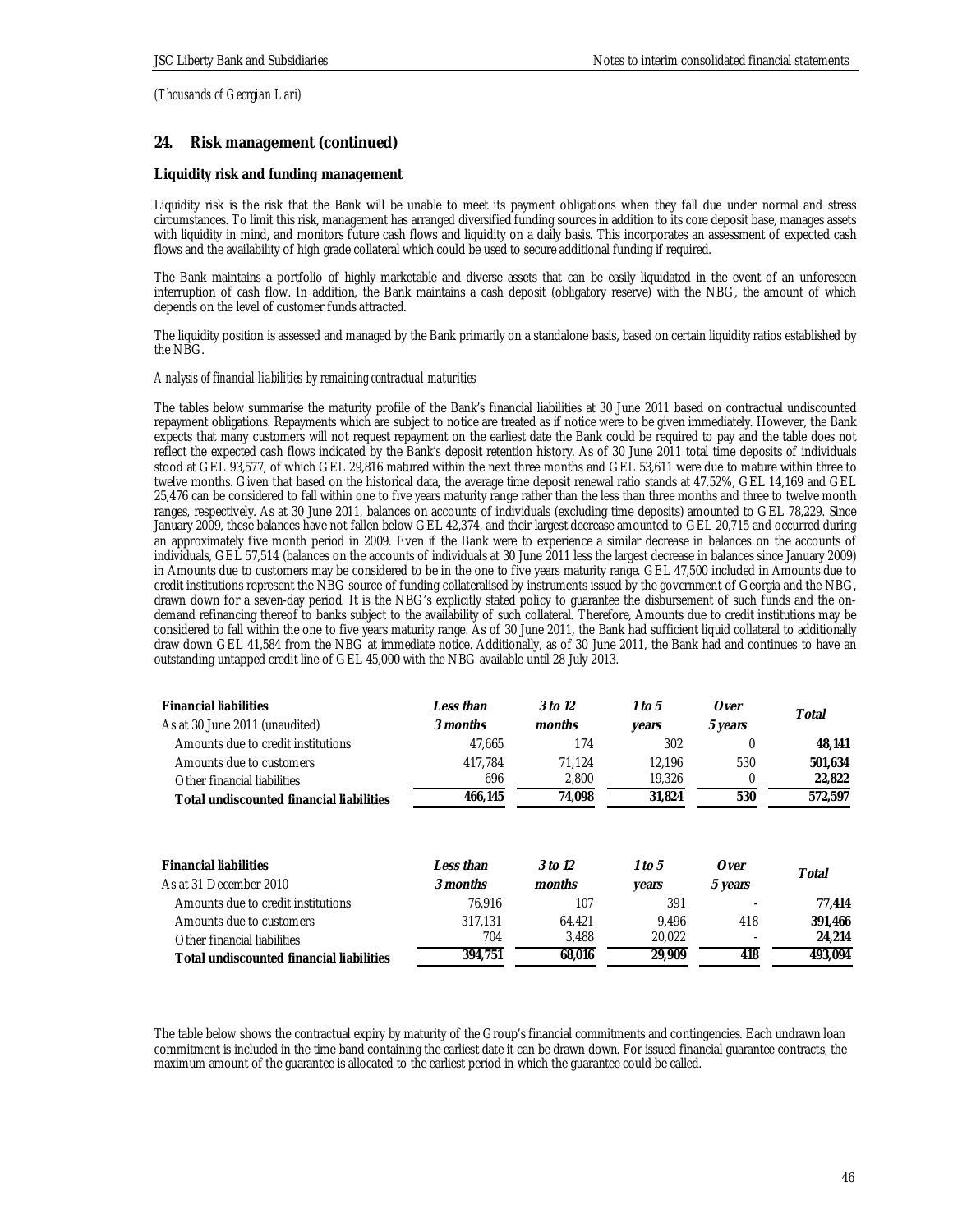# **24. Risk management (continued)**

#### **Liquidity risk and funding management**

Liquidity risk is the risk that the Bank will be unable to meet its payment obligations when they fall due under normal and stress circumstances. To limit this risk, management has arranged diversified funding sources in addition to its core deposit base, manages assets with liquidity in mind, and monitors future cash flows and liquidity on a daily basis. This incorporates an assessment of expected cash flows and the availability of high grade collateral which could be used to secure additional funding if required.

The Bank maintains a portfolio of highly marketable and diverse assets that can be easily liquidated in the event of an unforeseen interruption of cash flow. In addition, the Bank maintains a cash deposit (obligatory reserve) with the NBG, the amount of which depends on the level of customer funds attracted.

The liquidity position is assessed and managed by the Bank primarily on a standalone basis, based on certain liquidity ratios established by the NBG.

#### *Analysis of financial liabilities by remaining contractual maturities*

The tables below summarise the maturity profile of the Bank's financial liabilities at 30 June 2011 based on contractual undiscounted repayment obligations. Repayments which are subject to notice are treated as if notice were to be given immediately. However, the Bank expects that many customers will not request repayment on the earliest date the Bank could be required to pay and the table does not reflect the expected cash flows indicated by the Bank's deposit retention history. As of 30 June 2011 total time deposits of individuals stood at GEL 93,577, of which GEL 29,816 matured within the next three months and GEL 53,611 were due to mature within three to twelve months. Given that based on the historical data, the average time deposit renewal ratio stands at 47.52%, GEL 14,169 and GEL 25,476 can be considered to fall within one to five years maturity range rather than the less than three months and three to twelve month ranges, respectively. As at 30 June 2011, balances on accounts of individuals (excluding time deposits) amounted to GEL 78,229. Since January 2009, these balances have not fallen below GEL 42,374, and their largest decrease amounted to GEL 20,715 and occurred during an approximately five month period in 2009. Even if the Bank were to experience a similar decrease in balances on the accounts of individuals, GEL 57,514 (balances on the accounts of individuals at 30 June 2011 less the largest decrease in balances since January 2009) in Amounts due to customers may be considered to be in the one to five years maturity range. GEL 47,500 included in Amounts due to credit institutions represent the NBG source of funding collateralised by instruments issued by the government of Georgia and the NBG, drawn down for a seven-day period. It is the NBG's explicitly stated policy to guarantee the disbursement of such funds and the ondemand refinancing thereof to banks subject to the availability of such collateral. Therefore, Amounts due to credit institutions may be considered to fall within the one to five years maturity range. As of 30 June 2011, the Bank had sufficient liquid collateral to additionally draw down GEL 41,584 from the NBG at immediate notice. Additionally, as of 30 June 2011, the Bank had and continues to have an outstanding untapped credit line of GEL 45,000 with the NBG available until 28 July 2013.

| <b>Financial liabilities</b>             | Less than | 3 to 12 | 1 to 5 | Over     | Total   |
|------------------------------------------|-----------|---------|--------|----------|---------|
| As at 30 June 2011 (unaudited)           | 3 months  | months  | years  | 5 years  |         |
| Amounts due to credit institutions       | 47.665    | 174     | 302    | $\Omega$ | 48.141  |
| Amounts due to customers                 | 417.784   | 71.124  | 12.196 | 530      | 501.634 |
| Other financial liabilities              | 696       | 2,800   | 19,326 | $\Omega$ | 22,822  |
| Total undiscounted financial liabilities | 466,145   | 74,098  | 31,824 | 530      | 572,597 |
| <b>Financial liabilities</b>             | Less than | 3 to 12 | 1 to 5 | Over     |         |
| As at 31 December 2010                   | 3 months  | months  | years  | 5 years  | Total   |
| Amounts due to credit institutions       | 76.916    | 107     | 391    |          | 77,414  |
| Amounts due to customers                 | 317.131   | 64.421  | 9.496  | 418      | 391.466 |
| Other financial liabilities              | 704       | 3,488   | 20,022 |          | 24,214  |
| Total undiscounted financial liabilities | 394,751   | 68,016  | 29.909 | 418      | 493.094 |

The table below shows the contractual expiry by maturity of the Group's financial commitments and contingencies. Each undrawn loan commitment is included in the time band containing the earliest date it can be drawn down. For issued financial guarantee contracts, the maximum amount of the guarantee is allocated to the earliest period in which the guarantee could be called.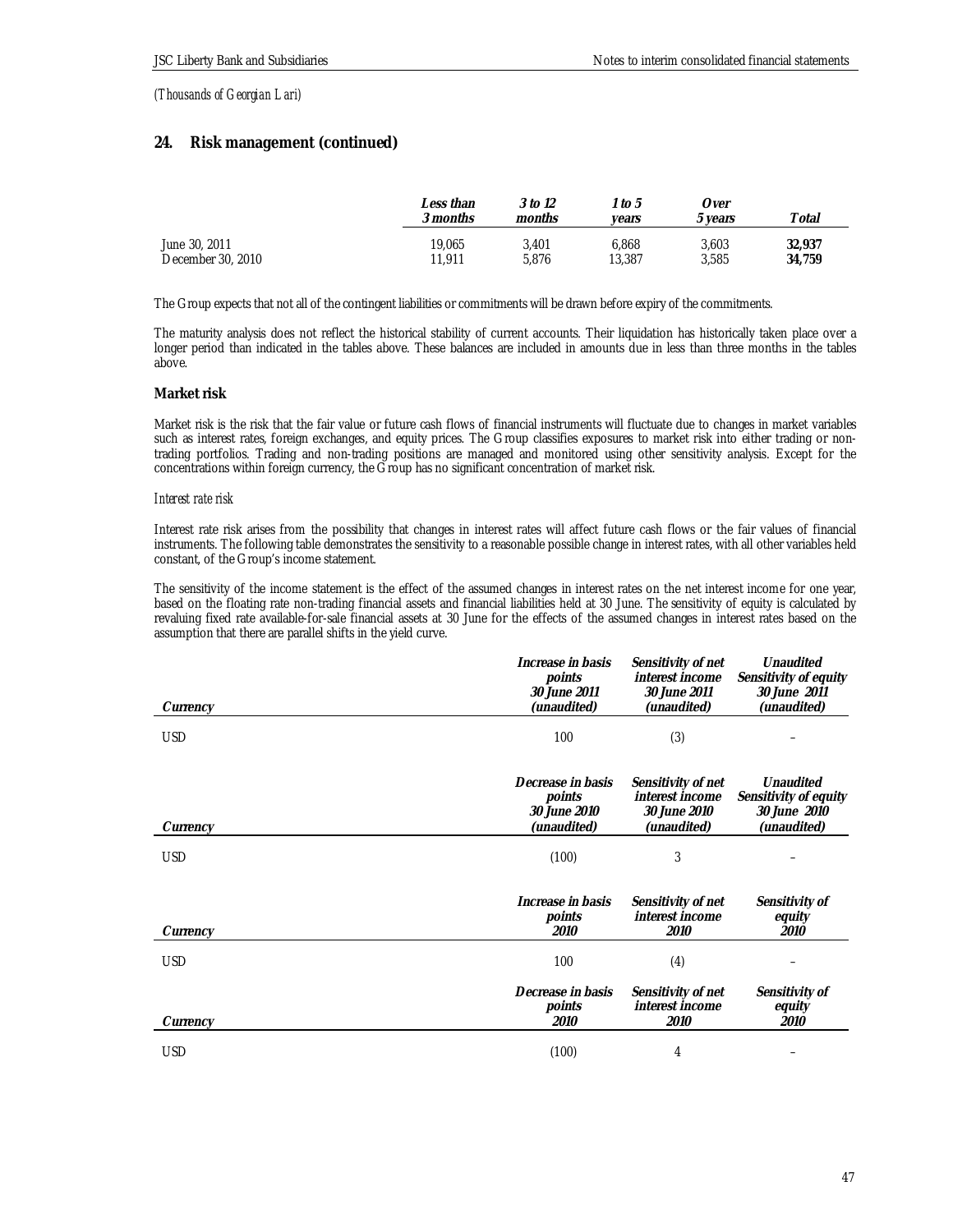# **24. Risk management (continued)**

|                   | _ess than<br>3 months | 3 to 12<br>months | to 5<br>vears | Over<br>5 vears | Total  |
|-------------------|-----------------------|-------------------|---------------|-----------------|--------|
| June 30, 2011     | 19,065                | 3.401             | 6.868         | 3.603           | 32.937 |
| December 30, 2010 | 11.911                | 5.876             | 13.387        | 3.585           | 34.759 |

The Group expects that not all of the contingent liabilities or commitments will be drawn before expiry of the commitments.

The maturity analysis does not reflect the historical stability of current accounts. Their liquidation has historically taken place over a longer period than indicated in the tables above. These balances are included in amounts due in less than three months in the tables above.

#### **Market risk**

Market risk is the risk that the fair value or future cash flows of financial instruments will fluctuate due to changes in market variables such as interest rates, foreign exchanges, and equity prices. The Group classifies exposures to market risk into either trading or nontrading portfolios. Trading and non-trading positions are managed and monitored using other sensitivity analysis. Except for the concentrations within foreign currency, the Group has no significant concentration of market risk.

#### *Interest rate risk*

Interest rate risk arises from the possibility that changes in interest rates will affect future cash flows or the fair values of financial instruments. The following table demonstrates the sensitivity to a reasonable possible change in interest rates, with all other variables held constant, of the Group's income statement.

The sensitivity of the income statement is the effect of the assumed changes in interest rates on the net interest income for one year, based on the floating rate non-trading financial assets and financial liabilities held at 30 June. The sensitivity of equity is calculated by revaluing fixed rate available-for-sale financial assets at 30 June for the effects of the assumed changes in interest rates based on the assumption that there are parallel shifts in the yield curve.

| Currency   | Increase in basis | Sensitivity of net | Unaudited             |
|------------|-------------------|--------------------|-----------------------|
|            | points            | interest income    | Sensitivity of equity |
|            | 30 June 2011      | 30 June 2011       | 30 June 2011          |
|            | (unaudited)       | (unaudited)        | (unaudited)           |
| <b>USD</b> | 100               | (3)                |                       |
| Currency   | Decrease in basis | Sensitivity of net | Unaudited             |
|            | points            | interest income    | Sensitivity of equity |
|            | 30 June 2010      | 30 June 2010       | 30 June 2010          |
|            | (unaudited)       | (unaudited)        | (unaudited)           |
| <b>USD</b> | (100)             | 3                  |                       |
| Currency   | Increase in basis | Sensitivity of net | Sensitivity of        |
|            | points            | interest income    | equity                |
|            | 2010              | 2010               | <i>2010</i>           |
| <b>USD</b> | 100               | (4)                |                       |
| Currency   | Decrease in basis | Sensitivity of net | Sensitivity of        |
|            | points            | interest income    | equity                |
|            | 2010              | 2010               | 2010                  |
| <b>USD</b> | (100)             | 4                  |                       |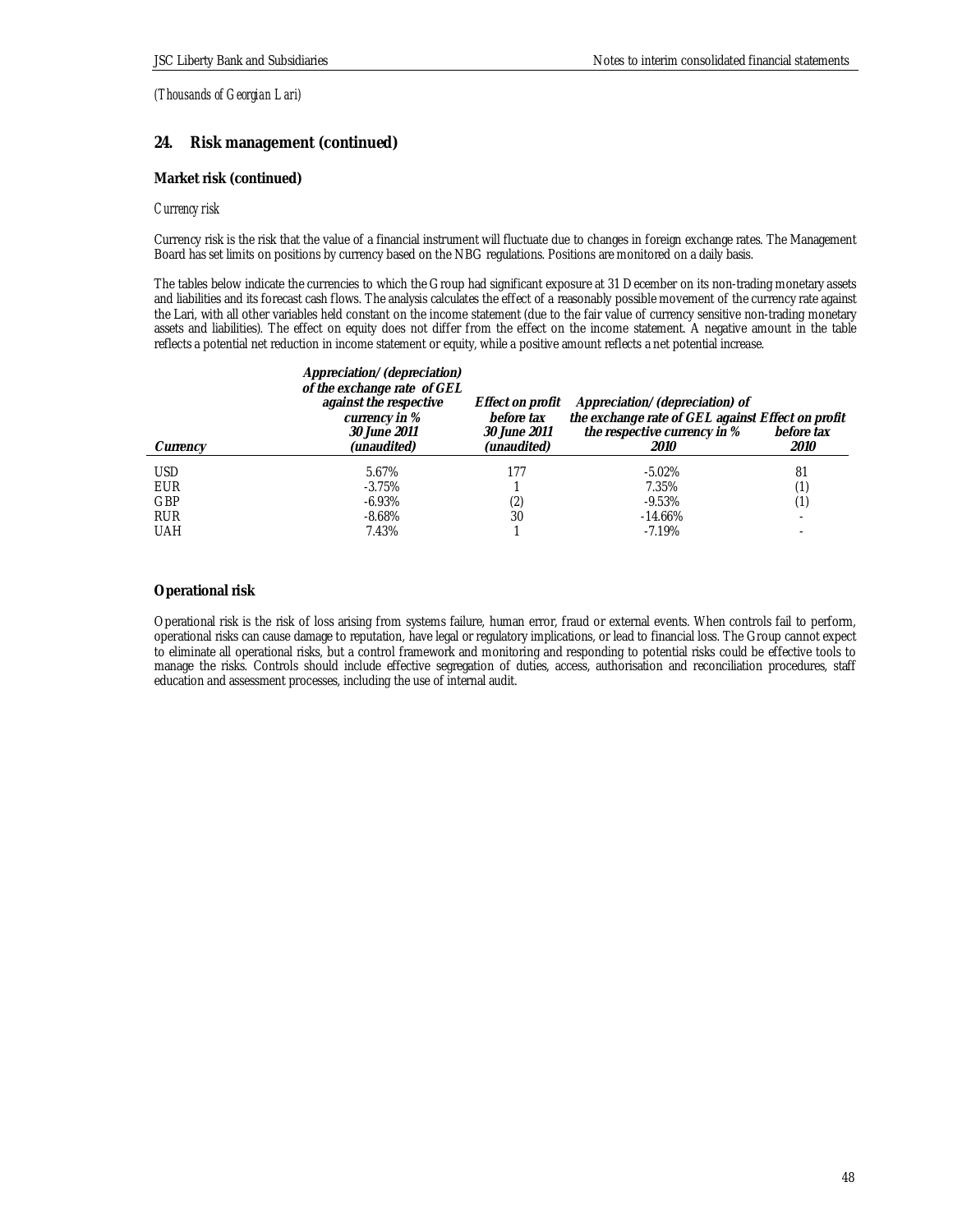# **24. Risk management (continued)**

### **Market risk (continued)**

#### *Currency risk*

Currency risk is the risk that the value of a financial instrument will fluctuate due to changes in foreign exchange rates. The Management Board has set limits on positions by currency based on the NBG regulations. Positions are monitored on a daily basis.

The tables below indicate the currencies to which the Group had significant exposure at 31 December on its non-trading monetary assets and liabilities and its forecast cash flows. The analysis calculates the effect of a reasonably possible movement of the currency rate against the Lari, with all other variables held constant on the income statement (due to the fair value of currency sensitive non-trading monetary assets and liabilities). The effect on equity does not differ from the effect on the income statement. A negative amount in the table reflects a potential net reduction in income statement or equity, while a positive amount reflects a net potential increase.

|            | Appreciation/(depreciation)<br>of the exchange rate of GEL |                     |                                                   |             |
|------------|------------------------------------------------------------|---------------------|---------------------------------------------------|-------------|
|            | against the respective                                     | Effect on profit    | Appreciation/(depreciation) of                    |             |
|            | currency in %                                              | before tax          | the exchange rate of GEL against Effect on profit |             |
|            | <i>30 June 2011</i>                                        | <i>30 June 2011</i> | the respective currency in %                      | before tax  |
| Currency   | (unaudited)                                                | (unaudited)         | <i>2010</i>                                       | <i>2010</i> |
| <b>USD</b> | 5.67%                                                      | 177                 | $-5.02%$                                          | 81          |
| <b>EUR</b> | $-3.75%$                                                   |                     | 7.35%                                             | (1)         |
| GBP        | $-6.93\%$                                                  | (2)                 | $-9.53%$                                          | (1)         |
| <b>RUR</b> | $-8.68%$                                                   | 30                  | $-14.66\%$                                        |             |
| <b>UAH</b> | 7.43%                                                      |                     | $-7.19%$                                          |             |
|            |                                                            |                     |                                                   |             |

### **Operational risk**

Operational risk is the risk of loss arising from systems failure, human error, fraud or external events. When controls fail to perform, operational risks can cause damage to reputation, have legal or regulatory implications, or lead to financial loss. The Group cannot expect to eliminate all operational risks, but a control framework and monitoring and responding to potential risks could be effective tools to manage the risks. Controls should include effective segregation of duties, access, authorisation and reconciliation procedures, staff education and assessment processes, including the use of internal audit.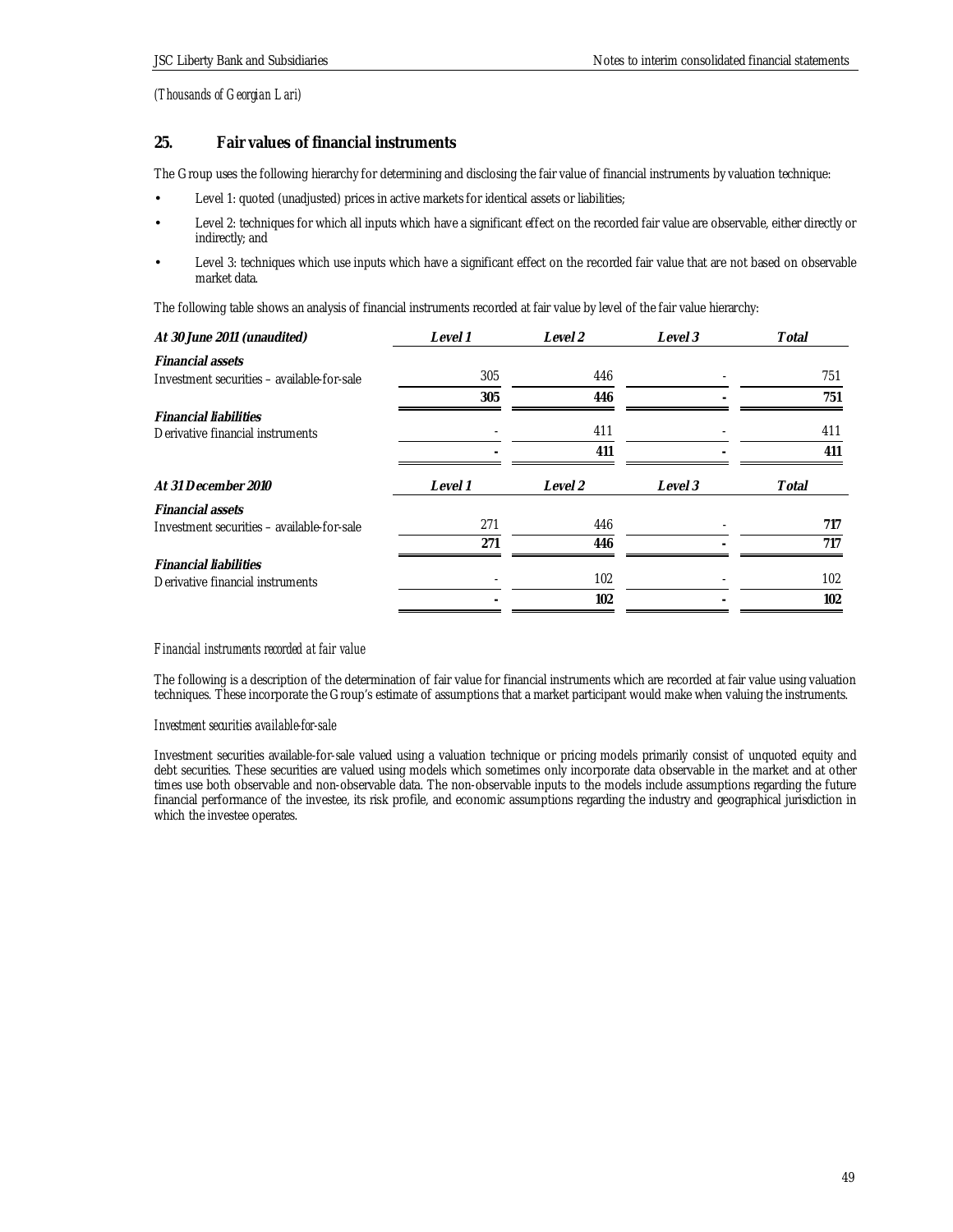### **25. Fair values of financial instruments**

The Group uses the following hierarchy for determining and disclosing the fair value of financial instruments by valuation technique:

- Level 1: quoted (unadjusted) prices in active markets for identical assets or liabilities;
- Level 2: techniques for which all inputs which have a significant effect on the recorded fair value are observable, either directly or indirectly; and
- Level 3: techniques which use inputs which have a significant effect on the recorded fair value that are not based on observable market data.

The following table shows an analysis of financial instruments recorded at fair value by level of the fair value hierarchy:

| Level 1 | Level 2            | Level 3 | Total |
|---------|--------------------|---------|-------|
|         |                    |         |       |
| 305     | 446                |         | 751   |
| 305     | 446                |         | 751   |
|         |                    |         |       |
|         | 411                |         | 411   |
|         | 411                |         | 411   |
| Level 1 | Level <sub>2</sub> | Level 3 | Total |
|         |                    |         |       |
| 271     | 446                |         | 717   |
| 271     | 446                |         | 717   |
|         |                    |         |       |
|         | 102                |         | 102   |
|         | 102                |         | 102   |
|         |                    |         |       |

### *Financial instruments recorded at fair value*

The following is a description of the determination of fair value for financial instruments which are recorded at fair value using valuation techniques. These incorporate the Group's estimate of assumptions that a market participant would make when valuing the instruments.

#### *Investment securities available-for-sale*

Investment securities available-for-sale valued using a valuation technique or pricing models primarily consist of unquoted equity and debt securities. These securities are valued using models which sometimes only incorporate data observable in the market and at other times use both observable and non-observable data. The non-observable inputs to the models include assumptions regarding the future financial performance of the investee, its risk profile, and economic assumptions regarding the industry and geographical jurisdiction in which the investee operates.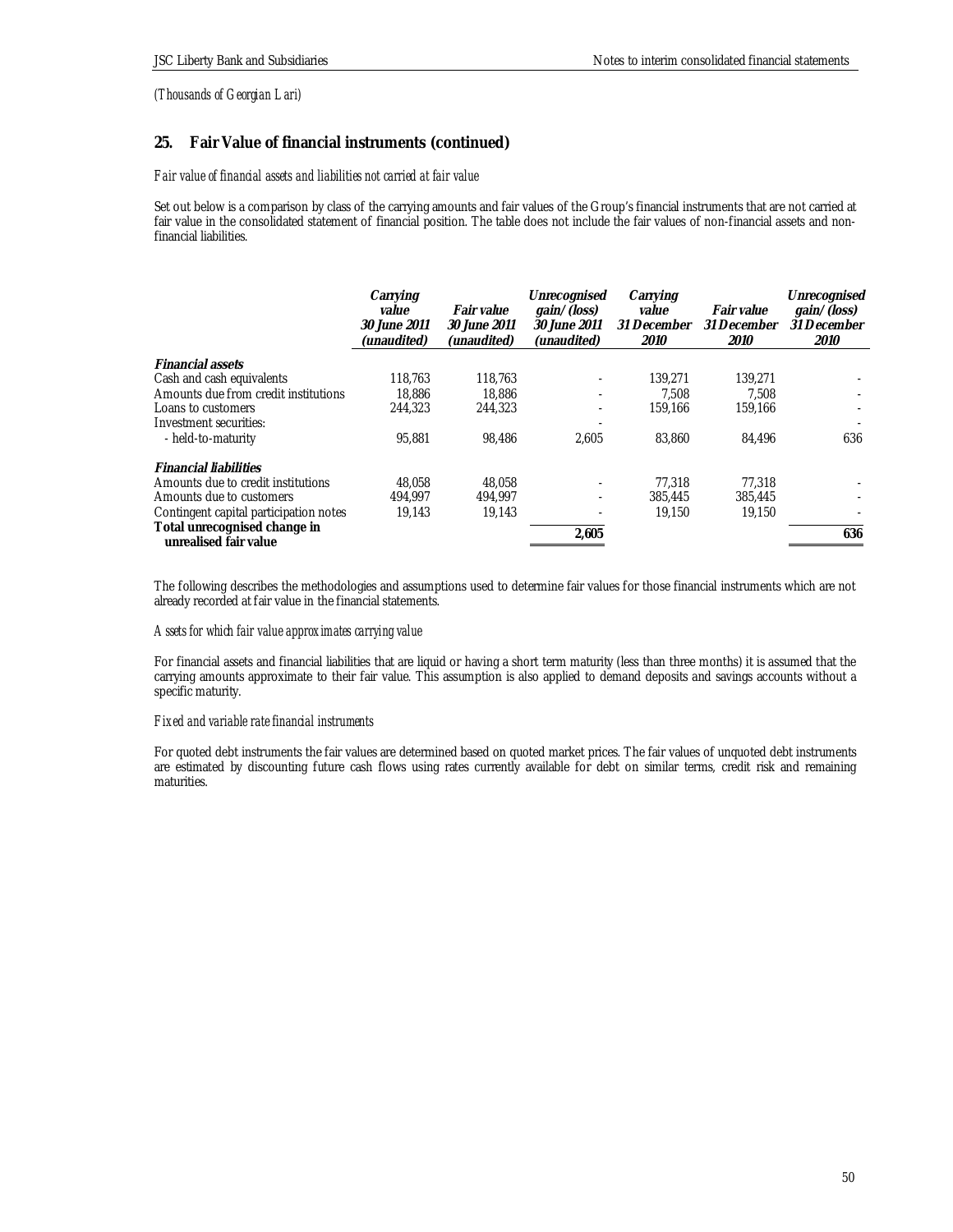# **25. Fair Value of financial instruments (continued)**

#### *Fair value of financial assets and liabilities not carried at fair value*

Set out below is a comparison by class of the carrying amounts and fair values of the Group's financial instruments that are not carried at fair value in the consolidated statement of financial position. The table does not include the fair values of non-financial assets and nonfinancial liabilities.

|                                                       | Carrying<br>value<br>30 June 2011<br>(unaudited) | Fair value<br>30 June 2011<br>(unaudited) | Unrecognised<br>gain/(loss)<br>30 June 2011<br>(unaudited) | Carrying<br>value<br>31 December<br>2010 | <i>Fair value</i><br>31 December<br>2010 | Unrecognised<br>gain/(loss)<br>31 December<br>2010 |
|-------------------------------------------------------|--------------------------------------------------|-------------------------------------------|------------------------------------------------------------|------------------------------------------|------------------------------------------|----------------------------------------------------|
| <b>Financial assets</b>                               |                                                  |                                           |                                                            |                                          |                                          |                                                    |
| Cash and cash equivalents                             | 118.763                                          | 118.763                                   |                                                            | 139.271                                  | 139.271                                  |                                                    |
| Amounts due from credit institutions                  | 18.886                                           | 18,886                                    |                                                            | 7.508                                    | 7.508                                    |                                                    |
| Loans to customers                                    | 244,323                                          | 244,323                                   |                                                            | 159.166                                  | 159.166                                  |                                                    |
| Investment securities:                                |                                                  |                                           |                                                            |                                          |                                          |                                                    |
| - held-to-maturity                                    | 95.881                                           | 98.486                                    | 2.605                                                      | 83.860                                   | 84.496                                   | 636                                                |
| <b>Financial liabilities</b>                          |                                                  |                                           |                                                            |                                          |                                          |                                                    |
| Amounts due to credit institutions                    | 48.058                                           | 48.058                                    |                                                            | 77.318                                   | 77.318                                   |                                                    |
| Amounts due to customers                              | 494.997                                          | 494.997                                   |                                                            | 385,445                                  | 385,445                                  |                                                    |
| Contingent capital participation notes                | 19,143                                           | 19.143                                    |                                                            | 19.150                                   | 19.150                                   |                                                    |
| Total unrecognised change in<br>unrealised fair value |                                                  |                                           | 2,605                                                      |                                          |                                          | 636                                                |

The following describes the methodologies and assumptions used to determine fair values for those financial instruments which are not already recorded at fair value in the financial statements.

#### *Assets for which fair value approximates carrying value*

For financial assets and financial liabilities that are liquid or having a short term maturity (less than three months) it is assumed that the carrying amounts approximate to their fair value. This assumption is also applied to demand deposits and savings accounts without a specific maturity.

#### *Fixed and variable rate financial instruments*

For quoted debt instruments the fair values are determined based on quoted market prices. The fair values of unquoted debt instruments are estimated by discounting future cash flows using rates currently available for debt on similar terms, credit risk and remaining maturities.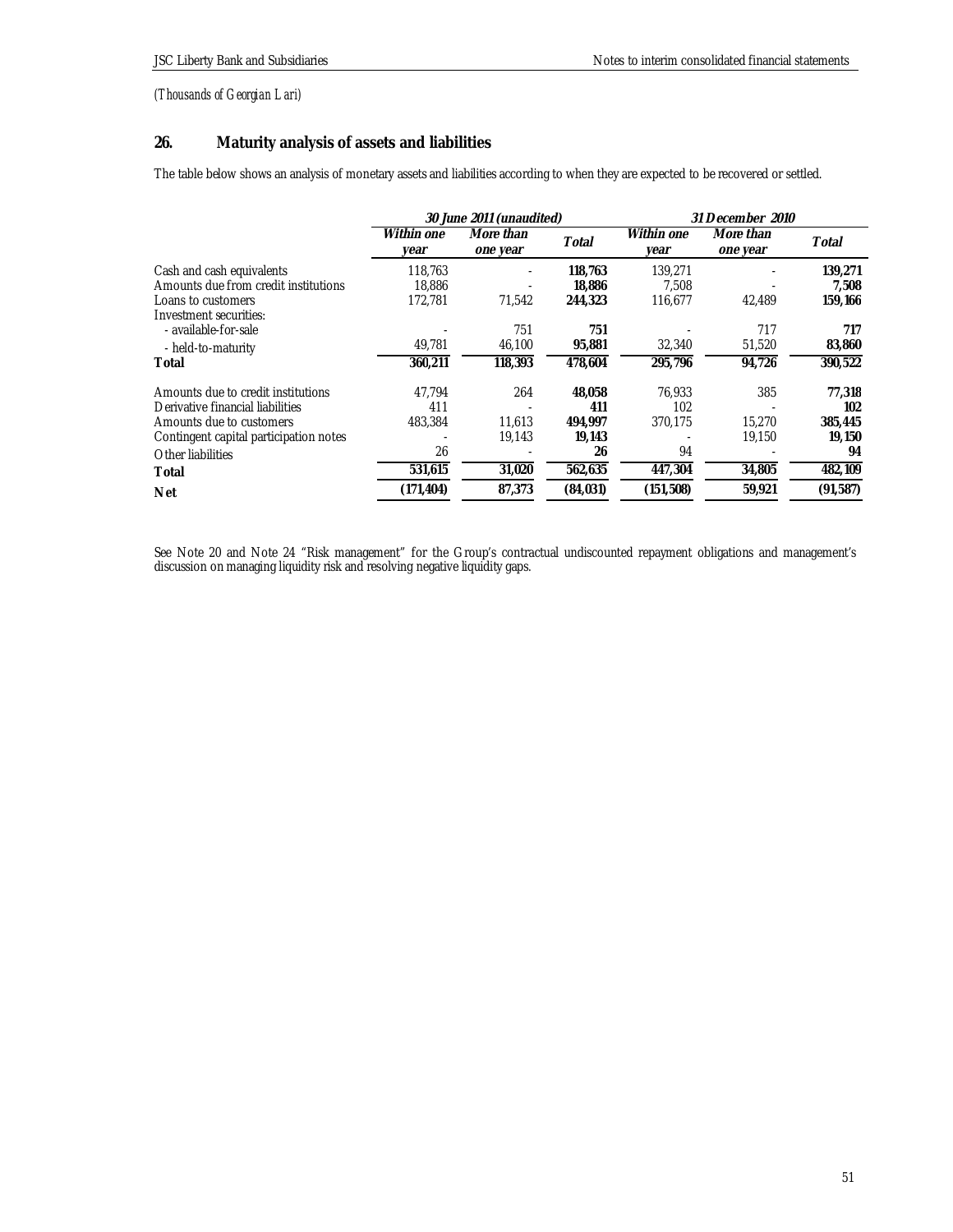# **26. Maturity analysis of assets and liabilities**

The table below shows an analysis of monetary assets and liabilities according to when they are expected to be recovered or settled.

|                                                                                                                                                                   | 30 June 2011 (unaudited)       |                                    |                                          | <i>31 December 2010</i>        |                         |                                          |  |
|-------------------------------------------------------------------------------------------------------------------------------------------------------------------|--------------------------------|------------------------------------|------------------------------------------|--------------------------------|-------------------------|------------------------------------------|--|
|                                                                                                                                                                   | Within one<br>year             | More than<br>one year              | Total                                    | Within one<br>year             | More than<br>one year   | Total                                    |  |
| Cash and cash equivalents<br>Amounts due from credit institutions<br>Loans to customers<br>Investment securities:                                                 | 118.763<br>18,886<br>172,781   | $\overline{\phantom{a}}$<br>71,542 | 118,763<br>18,886<br>244,323             | 139.271<br>7.508<br>116,677    | 42,489                  | 139,271<br>7.508<br>159,166              |  |
| - available-for-sale<br>- held-to-maturity<br>Total                                                                                                               | 49,781<br>360,211              | 751<br>46,100<br>118,393           | 751<br>95,881<br>478.604                 | 32,340<br>295,796              | 717<br>51,520<br>94,726 | 717<br>83,860<br>390,522                 |  |
| Amounts due to credit institutions<br>Derivative financial liabilities<br>Amounts due to customers<br>Contingent capital participation notes<br>Other liabilities | 47.794<br>411<br>483,384<br>26 | 264<br>11.613<br>19.143            | 48.058<br>411<br>494.997<br>19,143<br>26 | 76.933<br>102<br>370,175<br>94 | 385<br>15,270<br>19,150 | 77.318<br>102<br>385,445<br>19,150<br>94 |  |
| Total                                                                                                                                                             | 531,615<br>(171, 404)          | 31.020<br>87.373                   | 562,635<br>(84, 031)                     | 447,304<br>(151, 508)          | 34,805<br>59.921        | 482,109<br>(91, 587)                     |  |
| <b>Net</b>                                                                                                                                                        |                                |                                    |                                          |                                |                         |                                          |  |

See Note 20 and Note 24 "Risk management" for the Group's contractual undiscounted repayment obligations and management's discussion on managing liquidity risk and resolving negative liquidity gaps.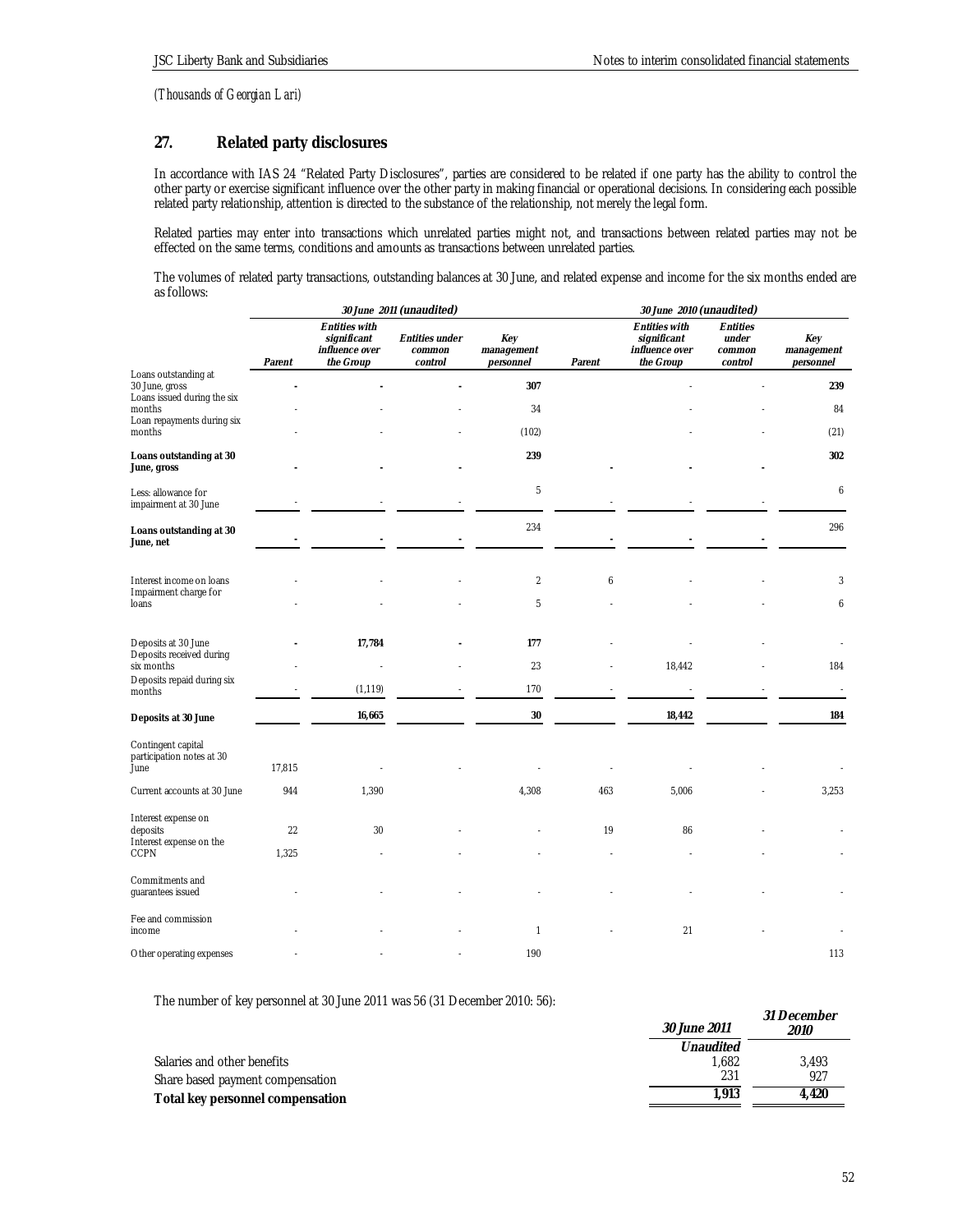# **27. Related party disclosures**

In accordance with IAS 24 "Related Party Disclosures", parties are considered to be related if one party has the ability to control the other party or exercise significant influence over the other party in making financial or operational decisions. In considering each possible related party relationship, attention is directed to the substance of the relationship, not merely the legal form.

Related parties may enter into transactions which unrelated parties might not, and transactions between related parties may not be effected on the same terms, conditions and amounts as transactions between unrelated parties.

The volumes of related party transactions, outstanding balances at 30 June, and related expense and income for the six months ended are as follows:

|                                                                     | 30 June 2011 (unaudited) |                                                             |                                     |                                | 30 June 2010 (unaudited) |                                                                    |                                        |                                |
|---------------------------------------------------------------------|--------------------------|-------------------------------------------------------------|-------------------------------------|--------------------------------|--------------------------|--------------------------------------------------------------------|----------------------------------------|--------------------------------|
|                                                                     | Parent                   | Entities with<br>significant<br>influence over<br>the Group | Entities under<br>common<br>control | Key<br>management<br>personnel | Parent                   | <b>Entities with</b><br>significant<br>influence over<br>the Group | Entities<br>under<br>common<br>control | Key<br>management<br>personnel |
| Loans outstanding at                                                |                          |                                                             |                                     |                                |                          |                                                                    |                                        |                                |
| 30 June, gross                                                      |                          |                                                             |                                     | 307                            |                          |                                                                    |                                        | 239                            |
| Loans issued during the six<br>months<br>Loan repayments during six |                          |                                                             |                                     | 34                             |                          |                                                                    |                                        | 84                             |
| months                                                              |                          |                                                             |                                     | (102)                          |                          |                                                                    |                                        | (21)                           |
| Loans outstanding at 30<br>June, gross                              |                          |                                                             |                                     | 239                            |                          |                                                                    |                                        | 302                            |
| Less: allowance for<br>impairment at 30 June                        |                          |                                                             |                                     | 5                              |                          |                                                                    |                                        | 6                              |
| Loans outstanding at 30<br>June, net                                |                          |                                                             |                                     | 234                            |                          |                                                                    |                                        | 296                            |
| Interest income on loans                                            |                          |                                                             |                                     | $\sqrt{2}$                     | 6                        |                                                                    |                                        | 3                              |
| Impairment charge for<br>loans                                      |                          |                                                             |                                     | 5                              |                          |                                                                    |                                        | 6                              |
| Deposits at 30 June                                                 |                          | 17,784                                                      |                                     | 177                            |                          |                                                                    |                                        |                                |
| Deposits received during<br>six months                              |                          |                                                             |                                     | 23                             |                          | 18,442                                                             |                                        | 184                            |
| Deposits repaid during six<br>months                                |                          | (1, 119)                                                    |                                     | 170                            |                          |                                                                    |                                        |                                |
| Deposits at 30 June                                                 |                          | 16,665                                                      |                                     | 30                             |                          | 18,442                                                             |                                        | 184                            |
| Contingent capital<br>participation notes at 30<br>June             | 17,815                   |                                                             |                                     |                                |                          |                                                                    |                                        |                                |
| Current accounts at 30 June                                         | 944                      | 1,390                                                       |                                     | 4,308                          | 463                      | 5,006                                                              |                                        | 3,253                          |
|                                                                     |                          |                                                             |                                     |                                |                          |                                                                    |                                        |                                |
| Interest expense on<br>deposits<br>Interest expense on the          | 22                       | 30                                                          |                                     |                                | 19                       | 86                                                                 |                                        |                                |
| <b>CCPN</b>                                                         | 1,325                    |                                                             |                                     |                                |                          |                                                                    |                                        |                                |
| Commitments and<br>guarantees issued                                |                          |                                                             |                                     |                                |                          |                                                                    |                                        |                                |
| Fee and commission<br>income                                        |                          |                                                             |                                     | $\mathbf{1}$                   |                          | 21                                                                 |                                        |                                |
| Other operating expenses                                            |                          |                                                             |                                     | 190                            |                          |                                                                    |                                        | 113                            |

The number of key personnel at 30 June 2011 was 56 (31 December 2010: 56):

|                                  | <i>30 June 2011</i> | <i>31 December</i><br>2010 |
|----------------------------------|---------------------|----------------------------|
|                                  | Unaudited           |                            |
| Salaries and other benefits      | 1.682               | 3.493                      |
| Share based payment compensation | 231                 | 927                        |
| Total key personnel compensation | 1.913               | 4.420                      |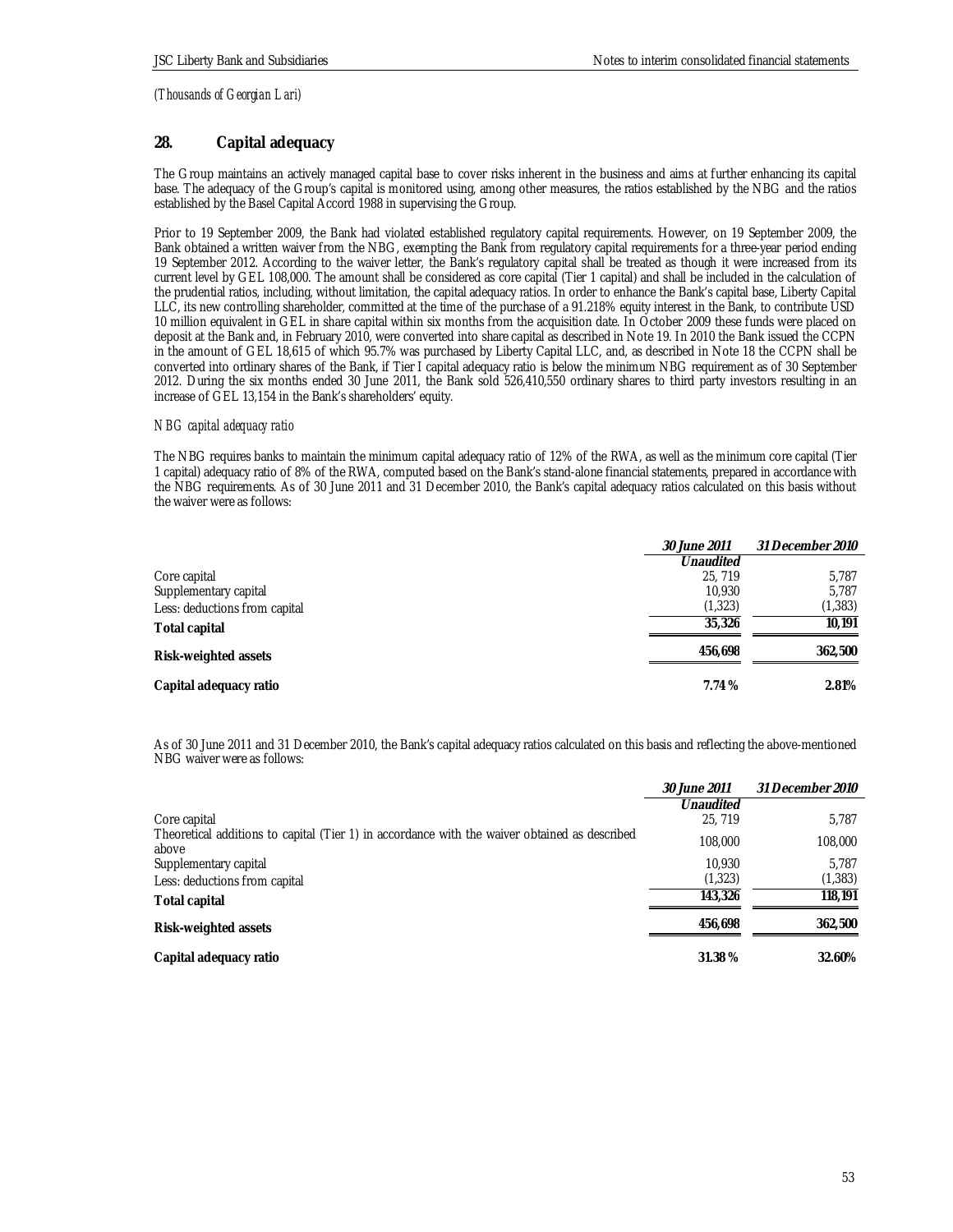### **28. Capital adequacy**

The Group maintains an actively managed capital base to cover risks inherent in the business and aims at further enhancing its capital base. The adequacy of the Group's capital is monitored using, among other measures, the ratios established by the NBG and the ratios established by the Basel Capital Accord 1988 in supervising the Group.

Prior to 19 September 2009, the Bank had violated established regulatory capital requirements. However, on 19 September 2009, the Bank obtained a written waiver from the NBG, exempting the Bank from regulatory capital requirements for a three-year period ending 19 September 2012. According to the waiver letter, the Bank's regulatory capital shall be treated as though it were increased from its current level by GEL 108,000. The amount shall be considered as core capital (Tier 1 capital) and shall be included in the calculation of the prudential ratios, including, without limitation, the capital adequacy ratios. In order to enhance the Bank's capital base, Liberty Capital LLC, its new controlling shareholder, committed at the time of the purchase of a 91.218% equity interest in the Bank, to contribute USD 10 million equivalent in GEL in share capital within six months from the acquisition date. In October 2009 these funds were placed on deposit at the Bank and, in February 2010, were converted into share capital as described in Note 19. In 2010 the Bank issued the CCPN in the amount of GEL 18,615 of which 95.7% was purchased by Liberty Capital LLC, and, as described in Note 18 the CCPN shall be converted into ordinary shares of the Bank, if Tier I capital adequacy ratio is below the minimum NBG requirement as of 30 September 2012. During the six months ended 30 June 2011, the Bank sold 526,410,550 ordinary shares to third party investors resulting in an increase of GEL 13,154 in the Bank's shareholders' equity.

#### *NBG capital adequacy ratio*

The NBG requires banks to maintain the minimum capital adequacy ratio of 12% of the RWA, as well as the minimum core capital (Tier 1 capital) adequacy ratio of 8% of the RWA, computed based on the Bank's stand-alone financial statements, prepared in accordance with the NBG requirements. As of 30 June 2011 and 31 December 2010, the Bank's capital adequacy ratios calculated on this basis without the waiver were as follows:

|                               | 30 June 2011 | 31 December 2010 |
|-------------------------------|--------------|------------------|
|                               | Unaudited    |                  |
| Core capital                  | 25, 719      | 5,787            |
| Supplementary capital         | 10.930       | 5,787            |
| Less: deductions from capital | (1, 323)     | (1,383)          |
| Total capital                 | 35,326       | 10.191           |
| Risk-weighted assets          | 456.698      | 362,500          |
| Capital adequacy ratio        | 7.74 %       | 2.81%            |

As of 30 June 2011 and 31 December 2010, the Bank's capital adequacy ratios calculated on this basis and reflecting the above-mentioned NBG waiver were as follows:

|                                                                                                        | <i>30 June 2011</i>  | 31 December 2010 |
|--------------------------------------------------------------------------------------------------------|----------------------|------------------|
| Core capital                                                                                           | Unaudited<br>25, 719 | 5,787            |
| Theoretical additions to capital (Tier 1) in accordance with the waiver obtained as described<br>above | 108,000              | 108,000          |
| Supplementary capital                                                                                  | 10.930               | 5.787            |
| Less: deductions from capital                                                                          | (1, 323)             | (1, 383)         |
| Total capital                                                                                          | 143,326              | 118.191          |
| Risk-weighted assets                                                                                   | 456.698              | 362,500          |
| Capital adequacy ratio                                                                                 | 31.38 %              | 32.60%           |